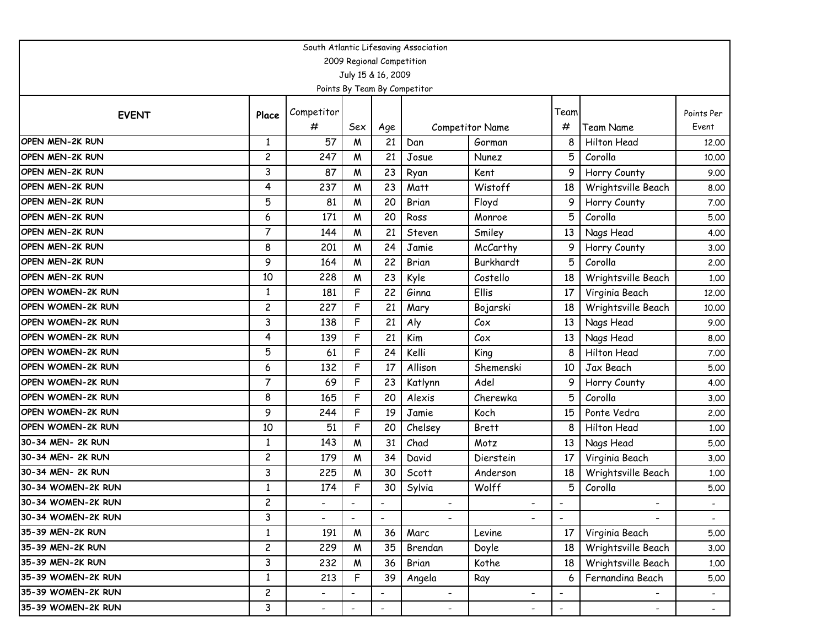| South Atlantic Lifesaving Association |                |                          |                           |                          |                              |                          |                          |                          |                |  |  |  |
|---------------------------------------|----------------|--------------------------|---------------------------|--------------------------|------------------------------|--------------------------|--------------------------|--------------------------|----------------|--|--|--|
|                                       |                |                          | 2009 Regional Competition |                          |                              |                          |                          |                          |                |  |  |  |
|                                       |                |                          | July 15 & 16, 2009        |                          |                              |                          |                          |                          |                |  |  |  |
|                                       |                |                          |                           |                          | Points By Team By Competitor |                          |                          |                          |                |  |  |  |
| <b>EVENT</b>                          | Place          | Competitor               |                           |                          |                              |                          | Team                     |                          | Points Per     |  |  |  |
|                                       |                | #                        | Sex                       | Age                      |                              | Competitor Name          | #                        | Team Name                | Event          |  |  |  |
| OPEN MEN-2K RUN                       | $\mathbf{1}$   | 57                       | M                         | 21                       | Dan                          | Gorman                   | 8                        | <b>Hilton Head</b>       | 12,00          |  |  |  |
| OPEN MEN-2K RUN                       | $\overline{c}$ | 247                      | W                         | 21                       | Josue                        | Nunez                    | 5                        | Corolla                  | 10.00          |  |  |  |
| OPEN MEN-2K RUN                       | 3              | 87                       | W                         | 23                       | Ryan                         | Kent                     | 9                        | Horry County             | 9.00           |  |  |  |
| OPEN MEN-2K RUN                       | 4              | 237                      | W                         | 23                       | Matt                         | Wistoff                  | 18                       | Wrightsville Beach       | 8.00           |  |  |  |
| OPEN MEN-2K RUN                       | 5              | 81                       | W                         | 20                       | Brian                        | Floyd                    | 9                        | Horry County             | 7.00           |  |  |  |
| OPEN MEN-2K RUN                       | 6              | 171                      | W                         | 20                       | Ross                         | Monroe                   | 5                        | Corolla                  | 5.00           |  |  |  |
| OPEN MEN-2K RUN                       | $\overline{7}$ | 144                      | W                         | 21                       | Steven                       | Smiley                   | 13                       | Nags Head                | 4.00           |  |  |  |
| OPEN MEN-2K RUN                       | 8              | 201                      | W                         | 24                       | Jamie                        | McCarthy                 | 9                        | Horry County             | 3.00           |  |  |  |
| OPEN MEN-2K RUN                       | 9              | 164                      | W                         | 22                       | Brian                        | Burkhardt                | 5                        | Corolla                  | 2.00           |  |  |  |
| OPEN MEN-2K RUN                       | 10             | 228                      | W                         | 23                       | Kyle                         | Costello                 | 18                       | Wrightsville Beach       | 1.00           |  |  |  |
| OPEN WOMEN-2K RUN                     | $\mathbf{1}$   | 181                      | F                         | 22                       | Ginna                        | Ellis                    | 17                       | Virginia Beach           | 12.00          |  |  |  |
| OPEN WOMEN-2K RUN                     | $\overline{c}$ | 227                      | F                         | 21                       | Mary                         | Bojarski                 | 18                       | Wrightsville Beach       | 10.00          |  |  |  |
| OPEN WOMEN-2K RUN                     | 3              | 138                      | F                         | 21                       | Aly                          | Cox                      | 13                       | Nags Head                | 9.00           |  |  |  |
| OPEN WOMEN-2K RUN                     | 4              | 139                      | F                         | 21                       | Kim                          | Cox                      | 13                       | Nags Head                | 8.00           |  |  |  |
| OPEN WOMEN-2K RUN                     | 5              | 61                       | F                         | 24                       | Kelli                        | King                     | 8                        | Hilton Head              | 7.00           |  |  |  |
| OPEN WOMEN-2K RUN                     | 6              | 132                      | F                         | 17                       | Allison                      | Shemenski                | 10                       | Jax Beach                | 5.00           |  |  |  |
| OPEN WOMEN-2K RUN                     | $\overline{7}$ | 69                       | F                         | 23                       | Katlynn                      | Adel                     | 9                        | Horry County             | 4.00           |  |  |  |
| OPEN WOMEN-2K RUN                     | 8              | 165                      | F                         | 20                       | Alexis                       | Cherewka                 | 5                        | Corolla                  | 3.00           |  |  |  |
| OPEN WOMEN-2K RUN                     | 9              | 244                      | F                         | 19                       | Jamie                        | Koch                     | 15                       | Ponte Vedra              | 2.00           |  |  |  |
| OPEN WOMEN-2K RUN                     | 10             | 51                       | F                         | 20                       | Chelsey                      | <b>Brett</b>             | 8                        | Hilton Head              | 1.00           |  |  |  |
| 30-34 MEN- 2K RUN                     | $\mathbf{1}$   | 143                      | W                         | 31                       | Chad                         | Motz                     | 13                       | Nags Head                | 5.00           |  |  |  |
| 30-34 MEN- 2K RUN                     | $\overline{c}$ | 179                      | W                         | 34                       | David                        | Dierstein                | 17                       | Virginia Beach           | 3.00           |  |  |  |
| 30-34 MEN- 2K RUN                     | 3              | 225                      | W                         | 30                       | Scott                        | Anderson                 | 18                       | Wrightsville Beach       | 1.00           |  |  |  |
| 30-34 WOMEN-2K RUN                    | 1              | 174                      | F                         | 30                       | Sylvia                       | Wolff                    | 5                        | Corolla                  | 5.00           |  |  |  |
| 30-34 WOMEN-2K RUN                    | $\overline{c}$ |                          |                           |                          |                              |                          |                          |                          |                |  |  |  |
| 30-34 WOMEN-2K RUN                    | 3              |                          | $\overline{\phantom{a}}$  |                          |                              |                          | $\overline{\phantom{a}}$ |                          | $\blacksquare$ |  |  |  |
| 35-39 MEN-2K RUN                      | $\mathbf{1}$   | 191                      | M                         | 36                       | Marc                         | Levine                   | 17                       | Virginia Beach           | 5.00           |  |  |  |
| 35-39 MEN-2K RUN                      | $\overline{c}$ | 229                      | W                         | 35                       | Brendan                      | Doyle                    | 18                       | Wrightsville Beach       | 3.00           |  |  |  |
| 35-39 MEN-2K RUN                      | 3              | 232                      | W                         | 36                       | Brian                        | Kothe                    | 18                       | Wrightsville Beach       | 1.00           |  |  |  |
| 35-39 WOMEN-2K RUN                    | $\mathbf{1}$   | 213                      | F                         | 39                       | Angela                       | Ray                      | 6                        | Fernandina Beach         | 5.00           |  |  |  |
| 35-39 WOMEN-2K RUN                    | $\overline{c}$ | $\overline{\phantom{0}}$ |                           | $\overline{\phantom{a}}$ | $\overline{\phantom{a}}$     | $\overline{\phantom{0}}$ | $\overline{\phantom{a}}$ |                          |                |  |  |  |
| 35-39 WOMEN-2K RUN                    | 3              | $\overline{\phantom{a}}$ | $\overline{\phantom{a}}$  | $\blacksquare$           | -                            | $\overline{\phantom{a}}$ | $\overline{\phantom{a}}$ | $\overline{\phantom{a}}$ | $\sim$         |  |  |  |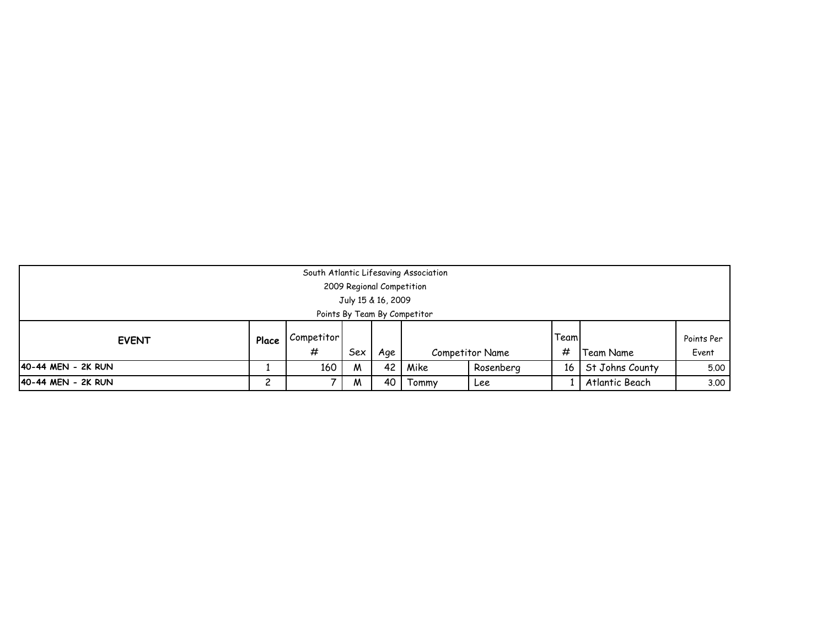|                              | South Atlantic Lifesaving Association<br>2009 Regional Competition<br>July 15 & 16, 2009 |            |     |     |  |                 |       |           |            |  |  |  |
|------------------------------|------------------------------------------------------------------------------------------|------------|-----|-----|--|-----------------|-------|-----------|------------|--|--|--|
| Points By Team By Competitor |                                                                                          |            |     |     |  |                 |       |           |            |  |  |  |
| <b>EVENT</b>                 | Place                                                                                    | Competitor |     |     |  |                 | Teaml |           | Points Per |  |  |  |
|                              |                                                                                          | #          | Sex | Age |  | Competitor Name | #     | Team Name | Event      |  |  |  |
| 40-44 MEN - 2K RUN           | St Johns County<br>160<br>42<br>Mike<br>Rosenberg<br>5.00<br>16 I<br>M                   |            |     |     |  |                 |       |           |            |  |  |  |
| 40-44 MEN - 2K RUN           | າ<br>Atlantic Beach<br>40<br>3.00<br>Tommy<br>M<br>Lee                                   |            |     |     |  |                 |       |           |            |  |  |  |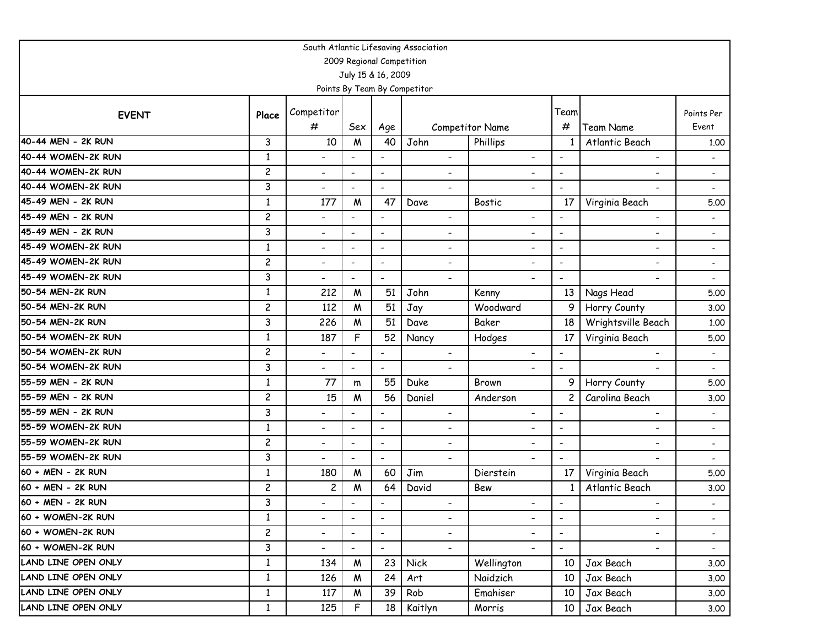| South Atlantic Lifesaving Association |                |                          |                           |                              |                              |                          |                          |                          |                          |  |  |
|---------------------------------------|----------------|--------------------------|---------------------------|------------------------------|------------------------------|--------------------------|--------------------------|--------------------------|--------------------------|--|--|
|                                       |                |                          | 2009 Regional Competition |                              |                              |                          |                          |                          |                          |  |  |
|                                       |                |                          | July 15 & 16, 2009        |                              |                              |                          |                          |                          |                          |  |  |
|                                       |                |                          |                           |                              | Points By Team By Competitor |                          |                          |                          |                          |  |  |
| <b>EVENT</b>                          | Place          | Competitor               |                           |                              |                              |                          | Team                     |                          | Points Per               |  |  |
|                                       |                | #                        | Sex                       | Age                          |                              | <b>Competitor Name</b>   | #                        | <b>Team Name</b>         | Event                    |  |  |
| 40-44 MEN - 2K RUN                    | 3              | 10                       | $\boldsymbol{M}$          | 40                           | John                         | Phillips                 | 1                        | Atlantic Beach           | 1.00                     |  |  |
| 40-44 WOMEN-2K RUN                    | $\mathbf{1}$   | $\overline{\phantom{a}}$ |                           | $\overline{\phantom{a}}$     | $\overline{\phantom{0}}$     | $\overline{\phantom{a}}$ | $\overline{\phantom{a}}$ | $\overline{\phantom{a}}$ |                          |  |  |
| 40-44 WOMEN-2K RUN                    | $\overline{c}$ | $\overline{\phantom{a}}$ | $\overline{\phantom{a}}$  | $\overline{\phantom{a}}$     | $\overline{\phantom{0}}$     | $\overline{\phantom{a}}$ | $\blacksquare$           | $\overline{\phantom{a}}$ |                          |  |  |
| 40-44 WOMEN-2K RUN                    | 3              | $\overline{\phantom{a}}$ | $\overline{\phantom{a}}$  | $\qquad \qquad \blacksquare$ | $\overline{\phantom{0}}$     | $\overline{\phantom{0}}$ |                          | -                        |                          |  |  |
| 45-49 MEN - 2K RUN                    | $\mathbf{1}$   | 177                      | M                         | 47                           | Dave                         | <b>Bostic</b>            | 17                       | Virginia Beach           | 5.00                     |  |  |
| 45-49 MEN - 2K RUN                    | $\overline{c}$ | $\overline{\phantom{a}}$ |                           | $\overline{\phantom{a}}$     | $\qquad \qquad \blacksquare$ | $\overline{\phantom{a}}$ | $\overline{\phantom{a}}$ | -                        |                          |  |  |
| 45-49 MEN - 2K RUN                    | 3              | $\overline{\phantom{a}}$ | $\overline{\phantom{a}}$  | $\overline{\phantom{a}}$     | $\overline{\phantom{0}}$     | $\blacksquare$           | $\blacksquare$           | $\overline{\phantom{a}}$ |                          |  |  |
| 45-49 WOMEN-2K RUN                    | $\mathbf{1}$   | $\overline{\phantom{a}}$ | $\overline{\phantom{a}}$  | $\overline{\phantom{a}}$     | $\qquad \qquad \blacksquare$ | $\overline{\phantom{a}}$ | $\blacksquare$           | $\overline{\phantom{a}}$ |                          |  |  |
| 45-49 WOMEN-2K RUN                    | $\overline{c}$ | $\overline{\phantom{a}}$ | $\overline{\phantom{a}}$  | $\qquad \qquad \blacksquare$ | ٠                            | ٠                        | $\overline{\phantom{a}}$ | -                        | $\overline{\phantom{a}}$ |  |  |
| 45-49 WOMEN-2K RUN                    | 3              | $\overline{\phantom{a}}$ | $\overline{\phantom{a}}$  | $\overline{\phantom{a}}$     | $\overline{\phantom{0}}$     | $\overline{\phantom{a}}$ | $\overline{\phantom{a}}$ | $\overline{\phantom{a}}$ | $\overline{\phantom{a}}$ |  |  |
| 50-54 MEN-2K RUN                      | 1              | 212                      | M                         | 51                           | John                         | Kenny                    | 13                       | Nags Head                | 5.00                     |  |  |
| 50-54 MEN-2K RUN                      | $\overline{c}$ | 112                      | M                         | 51                           | Jay                          | Woodward                 | 9                        | Horry County             | 3.00                     |  |  |
| 50-54 MEN-2K RUN                      | 3              | 226                      | M                         | 51                           | Dave                         | Baker                    | 18                       | Wrightsville Beach       | 1.00                     |  |  |
| 50-54 WOMEN-2K RUN                    | 1              | 187                      | F                         | 52                           | Nancy                        | Hodges                   | 17                       | Virginia Beach           | 5.00                     |  |  |
| 50-54 WOMEN-2K RUN                    | $\overline{c}$ | $\overline{\phantom{a}}$ | $\overline{\phantom{a}}$  | $\overline{\phantom{a}}$     | $\overline{\phantom{0}}$     | $\overline{\phantom{a}}$ | $\blacksquare$           | $\overline{\phantom{a}}$ | $\overline{\phantom{a}}$ |  |  |
| 50-54 WOMEN-2K RUN                    | 3              | $\blacksquare$           | $\blacksquare$            | $\overline{\phantom{0}}$     |                              |                          | $\blacksquare$           |                          |                          |  |  |
| 55-59 MEN - 2K RUN                    | $\mathbf{1}$   | 77                       | m                         | 55                           | Duke                         | Brown                    | 9                        | Horry County             | 5.00                     |  |  |
| 55-59 MEN - 2K RUN                    | $\overline{c}$ | 15                       | M                         | 56                           | Daniel                       | Anderson                 | $\overline{c}$           | Carolina Beach           | 3.00                     |  |  |
| 55-59 MEN - 2K RUN                    | 3              | $\overline{\phantom{a}}$ | $\overline{\phantom{a}}$  | $\overline{\phantom{a}}$     | ٠                            | $\overline{\phantom{0}}$ | $\overline{\phantom{a}}$ | ۰                        |                          |  |  |
| 55-59 WOMEN-2K RUN                    | $\mathbf{1}$   | $\overline{\phantom{a}}$ | $\overline{\phantom{a}}$  | $\overline{\phantom{a}}$     | $\qquad \qquad \blacksquare$ | $\overline{\phantom{a}}$ | $\overline{\phantom{a}}$ | $\overline{\phantom{a}}$ | $\overline{\phantom{a}}$ |  |  |
| 55-59 WOMEN-2K RUN                    | $\overline{c}$ | $\overline{\phantom{a}}$ | $\overline{\phantom{a}}$  | $\overline{\phantom{a}}$     | -                            | $\overline{\phantom{0}}$ | $\overline{\phantom{a}}$ | -                        | $\blacksquare$           |  |  |
| 55-59 WOMEN-2K RUN                    | 3              | $\blacksquare$           | $\overline{\phantom{a}}$  | $\overline{\phantom{a}}$     | $\overline{\phantom{0}}$     | $\blacksquare$           | $\overline{\phantom{a}}$ |                          |                          |  |  |
| 60 + MEN - 2K RUN                     | $\mathbf{1}$   | 180                      | M                         | 60                           | Jim                          | Dierstein                | 17                       | Virginia Beach           | 5.00                     |  |  |
| 60 + MEN - 2K RUN                     | $\overline{c}$ | $\overline{\mathbf{c}}$  | M                         | 64                           | David                        | Bew                      | 1                        | Atlantic Beach           | 3.00                     |  |  |
| 60 + MEN - 2K RUN                     | 3              | -                        |                           | $\overline{\phantom{a}}$     | -                            | $\overline{\phantom{a}}$ | $\overline{\phantom{a}}$ |                          |                          |  |  |
| 60 + WOMEN-2K RUN                     | $\mathbf{1}$   | $\overline{\phantom{a}}$ | $\overline{\phantom{a}}$  | $\overline{\phantom{a}}$     | -                            | $\overline{\phantom{a}}$ | $\overline{\phantom{a}}$ | $\overline{\phantom{a}}$ | $\overline{\phantom{a}}$ |  |  |
| 60 + WOMEN-2K RUN                     | $\overline{c}$ | $\overline{\phantom{a}}$ | $\overline{\phantom{a}}$  | $\overline{\phantom{a}}$     | $\overline{\phantom{0}}$     | $\overline{\phantom{a}}$ | $\overline{\phantom{a}}$ | $\overline{\phantom{a}}$ | $\sim$                   |  |  |
| 60 + WOMEN-2K RUN                     | 3              | $\overline{\phantom{0}}$ | $\overline{\phantom{a}}$  | $\overline{\phantom{a}}$     | $\overline{\phantom{a}}$     | $\overline{\phantom{0}}$ | $\overline{\phantom{a}}$ | $\overline{\phantom{a}}$ | $\sim$                   |  |  |
| LAND LINE OPEN ONLY                   | $\mathbf{1}$   | 134                      | W                         | 23                           | <b>Nick</b>                  | Wellington               | 10                       | Jax Beach                | 3.00                     |  |  |
| LAND LINE OPEN ONLY                   | $\mathbf{1}$   | 126                      | M                         | 24                           | Art                          | Naidzich                 | 10                       | Jax Beach                | 3.00                     |  |  |
| LAND LINE OPEN ONLY                   | $\mathbf{1}$   | 117                      | M                         | 39                           | Rob                          | Emahiser                 | 10                       | Jax Beach                | 3.00                     |  |  |
| LAND LINE OPEN ONLY                   | $\mathbf{1}$   | 125                      | F                         | 18                           | Kaitlyn                      | Morris                   | 10                       | Jax Beach                | 3.00                     |  |  |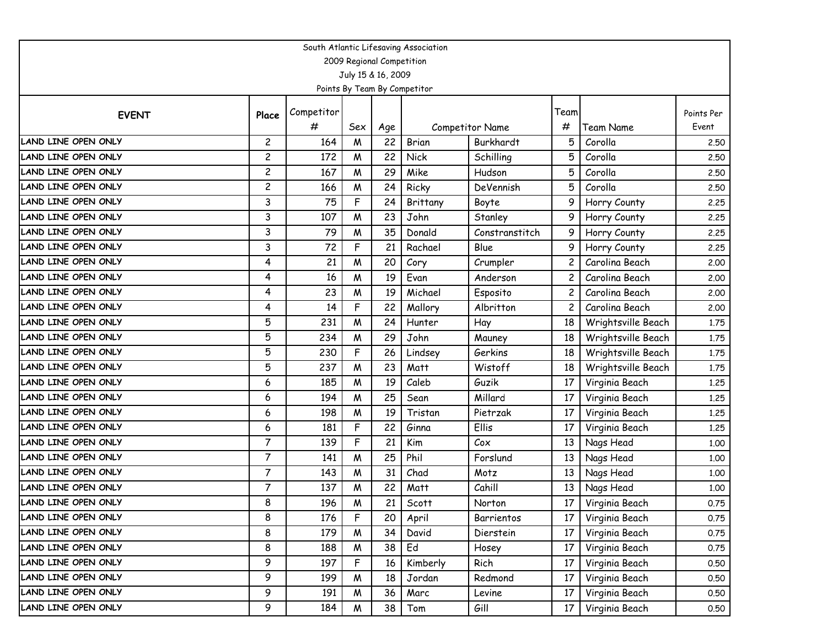| South Atlantic Lifesaving Association |                         |            |                           |     |                              |                 |                |                    |            |  |  |  |
|---------------------------------------|-------------------------|------------|---------------------------|-----|------------------------------|-----------------|----------------|--------------------|------------|--|--|--|
|                                       |                         |            | 2009 Regional Competition |     |                              |                 |                |                    |            |  |  |  |
|                                       |                         |            | July 15 & 16, 2009        |     |                              |                 |                |                    |            |  |  |  |
|                                       |                         |            |                           |     | Points By Team By Competitor |                 |                |                    |            |  |  |  |
| <b>EVENT</b>                          | Place                   | Competitor |                           |     |                              |                 | Team           |                    | Points Per |  |  |  |
|                                       |                         | #          | Sex                       | Age |                              | Competitor Name | #              | Team Name          | Event      |  |  |  |
| LAND LINE OPEN ONLY                   | $\overline{c}$          | 164        | $\boldsymbol{M}$          | 22  | Brian                        | Burkhardt       | 5              | Corolla            | 2,50       |  |  |  |
| LAND LINE OPEN ONLY                   | 2                       | 172        | M                         | 22  | <b>Nick</b>                  | Schilling       | 5              | Corolla            | 2.50       |  |  |  |
| LAND LINE OPEN ONLY                   | $\overline{c}$          | 167        | M                         | 29  | Mike                         | Hudson          | 5              | Corolla            | 2.50       |  |  |  |
| LAND LINE OPEN ONLY                   | $\overline{\mathbf{c}}$ | 166        | M                         | 24  | Ricky                        | DeVennish       | 5              | Corolla            | 2.50       |  |  |  |
| LAND LINE OPEN ONLY                   | 3                       | 75         | F                         | 24  | Brittany                     | Boyte           | 9              | Horry County       | 2.25       |  |  |  |
| LAND LINE OPEN ONLY                   | 3                       | 107        | M                         | 23  | John                         | Stanley         | 9              | Horry County       | 2.25       |  |  |  |
| LAND LINE OPEN ONLY                   | 3                       | 79         | M                         | 35  | Donald                       | Constranstitch  | 9              | Horry County       | 2.25       |  |  |  |
| LAND LINE OPEN ONLY                   | 3                       | 72         | F                         | 21  | Rachael                      | Blue            | 9              | Horry County       | 2.25       |  |  |  |
| LAND LINE OPEN ONLY                   | 4                       | 21         | M                         | 20  | Cory                         | Crumpler        |                | Carolina Beach     | 2.00       |  |  |  |
| <b>LAND LINE OPEN ONLY</b>            | 4                       | 16         | M                         | 19  | Evan                         | Anderson        | 2              | Carolina Beach     | 2.00       |  |  |  |
| LAND LINE OPEN ONLY                   | 4                       | 23         | M                         | 19  | Michael                      | Esposito        | $\overline{c}$ | Carolina Beach     | 2.00       |  |  |  |
| LAND LINE OPEN ONLY                   | 4                       | 14         | F                         | 22  | Mallory                      | Albritton       | 2              | Carolina Beach     | 2.00       |  |  |  |
| LAND LINE OPEN ONLY                   | 5                       | 231        | M                         | 24  | Hunter                       | Hay             | 18             | Wrightsville Beach | 1.75       |  |  |  |
| LAND LINE OPEN ONLY                   | 5                       | 234        | M                         | 29  | John                         | Mauney          | 18             | Wrightsville Beach | 1.75       |  |  |  |
| <b>LAND LINE OPEN ONLY</b>            | 5                       | 230        | F                         | 26  | Lindsey                      | Gerkins         | 18             | Wrightsville Beach | 1.75       |  |  |  |
| LAND LINE OPEN ONLY                   | 5                       | 237        | M                         | 23  | Matt                         | Wistoff         | 18             | Wrightsville Beach | 1.75       |  |  |  |
| <b>LAND LINE OPEN ONLY</b>            | 6                       | 185        | M                         | 19  | Caleb                        | Guzik           | 17             | Virginia Beach     | 1.25       |  |  |  |
| LAND LINE OPEN ONLY                   | 6                       | 194        | M                         | 25  | Sean                         | Millard         | 17             | Virginia Beach     | 1.25       |  |  |  |
| LAND LINE OPEN ONLY                   | 6                       | 198        | M                         | 19  | Tristan                      | Pietrzak        | 17             | Virginia Beach     | 1.25       |  |  |  |
| <b>LAND LINE OPEN ONLY</b>            | 6                       | 181        | F                         | 22  | Ginna                        | Ellis           | 17             | Virginia Beach     | 1.25       |  |  |  |
| LAND LINE OPEN ONLY                   | $\overline{7}$          | 139        | F                         | 21  | Kim                          | Cox             | 13             | Nags Head          | 1.00       |  |  |  |
| <b>LAND LINE OPEN ONLY</b>            | $\overline{7}$          | 141        | M                         | 25  | Phil                         | Forslund        | 13             | Nags Head          | 1.00       |  |  |  |
| LAND LINE OPEN ONLY                   | $\overline{7}$          | 143        | M                         | 31  | Chad                         | Motz            | 13             | Nags Head          | 1.00       |  |  |  |
| LAND LINE OPEN ONLY                   | $\overline{7}$          | 137        | M                         | 22  | Matt                         | Cahill          | 13             | Nags Head          | 1.00       |  |  |  |
| LAND LINE OPEN ONLY                   | 8                       | 196        | M                         | 21  | Scott                        | Norton          | 17             | Virginia Beach     | 0.75       |  |  |  |
| LAND LINE OPEN ONLY                   | 8                       | 176        | F                         | 20  | April                        | Barrientos      | 17             | Virginia Beach     | 0.75       |  |  |  |
| LAND LINE OPEN ONLY                   | 8                       | 179        | M                         | 34  | David                        | Dierstein       | 17             | Virginia Beach     | 0.75       |  |  |  |
| LAND LINE OPEN ONLY                   | 8                       | 188        | M                         | 38  | Ed                           | Hosey           | 17             | Virginia Beach     | 0.75       |  |  |  |
| LAND LINE OPEN ONLY                   | 9                       | 197        | F                         | 16  | Kimberly                     | Rich            | 17             | Virginia Beach     | 0.50       |  |  |  |
| LAND LINE OPEN ONLY                   | 9                       | 199        | M                         | 18  | Jordan                       | Redmond         | 17             | Virginia Beach     | 0.50       |  |  |  |
| LAND LINE OPEN ONLY                   | 9                       | 191        | M                         | 36  | Marc                         | Levine          | 17             | Virginia Beach     | 0.50       |  |  |  |
| LAND LINE OPEN ONLY                   | 9                       | 184        | W                         | 38  | Tom                          | Gill            | 17             | Virginia Beach     | 0.50       |  |  |  |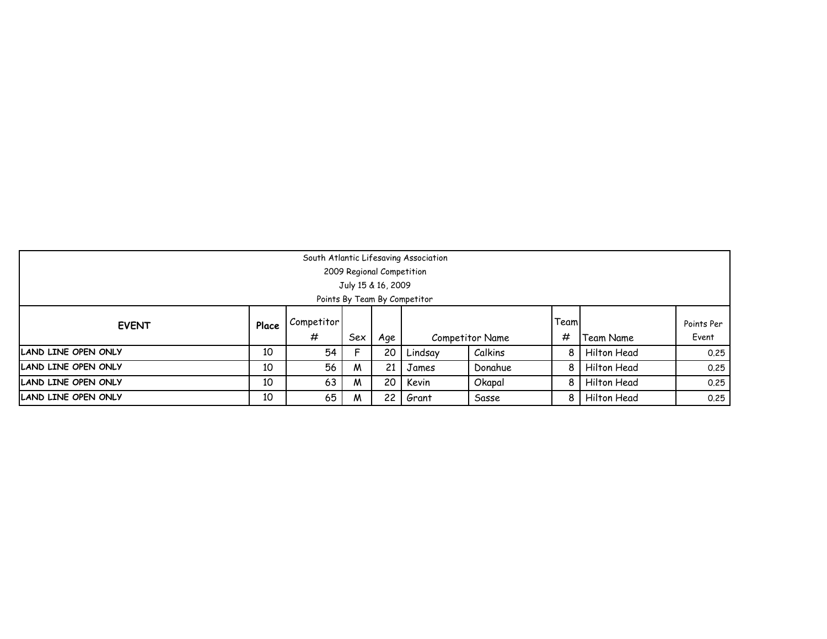| South Atlantic Lifesaving Association                                                |    |    |     |                           |         |                 |   |             |            |  |  |
|--------------------------------------------------------------------------------------|----|----|-----|---------------------------|---------|-----------------|---|-------------|------------|--|--|
|                                                                                      |    |    |     | 2009 Regional Competition |         |                 |   |             |            |  |  |
| July 15 & 16, 2009                                                                   |    |    |     |                           |         |                 |   |             |            |  |  |
| Points By Team By Competitor                                                         |    |    |     |                           |         |                 |   |             |            |  |  |
| Team<br>Competitor<br>Place<br><b>EVENT</b>                                          |    |    |     |                           |         |                 |   |             | Points Per |  |  |
|                                                                                      |    | #  | Sex | Age                       |         | Competitor Name | # | Team Name   | Event      |  |  |
| <b>LAND LINE OPEN ONLY</b>                                                           | 10 | 54 |     | 20                        | Lindsay | Calkins         |   | Hilton Head | 0.25       |  |  |
| LAND LINE OPEN ONLY                                                                  | 10 | 56 | M   | 21                        | James   | Donahue         |   | Hilton Head | 0.25       |  |  |
| LAND LINE OPEN ONLY<br>10<br>63<br>20<br>Kevin<br>Hilton Head<br>Okapal<br>0.25<br>M |    |    |     |                           |         |                 |   |             |            |  |  |
| LAND LINE OPEN ONLY                                                                  | 10 | 65 | M   | 22                        | Grant   | Sasse           |   | Hilton Head | 0.25       |  |  |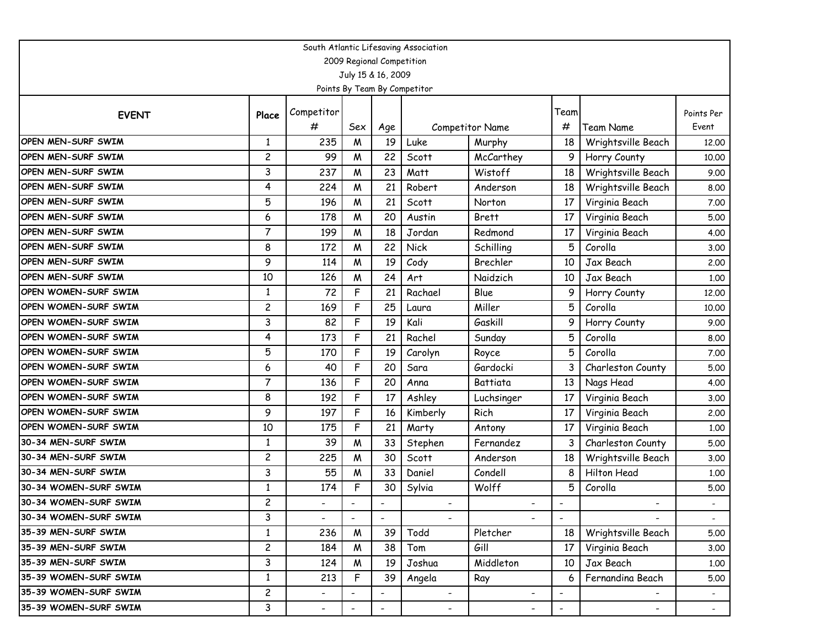| South Atlantic Lifesaving Association |                         |                          |                          |                           |                              |                          |                          |                    |                          |  |  |  |
|---------------------------------------|-------------------------|--------------------------|--------------------------|---------------------------|------------------------------|--------------------------|--------------------------|--------------------|--------------------------|--|--|--|
|                                       |                         |                          |                          | 2009 Regional Competition |                              |                          |                          |                    |                          |  |  |  |
|                                       |                         |                          |                          | July 15 & 16, 2009        |                              |                          |                          |                    |                          |  |  |  |
|                                       |                         |                          |                          |                           | Points By Team By Competitor |                          |                          |                    |                          |  |  |  |
| <b>EVENT</b>                          | Place                   | Competitor               |                          |                           |                              |                          | Team                     |                    | Points Per               |  |  |  |
|                                       |                         | #                        | Sex                      | Age                       |                              | Competitor Name          | #                        | Team Name          | Event                    |  |  |  |
| OPEN MEN-SURF SWIM                    | $\mathbf{1}$            | 235                      | M                        | 19                        | Luke                         | Murphy                   | 18                       | Wrightsville Beach | 12.00                    |  |  |  |
| <b>OPEN MEN-SURF SWIM</b>             | $\overline{c}$          | 99                       | M                        | 22                        | Scott                        | McCarthey                | 9                        | Horry County       | 10.00                    |  |  |  |
| <b>OPEN MEN-SURF SWIM</b>             | 3                       | 237                      | M                        | 23                        | Matt                         | Wistoff                  | 18                       | Wrightsville Beach | 9.00                     |  |  |  |
| <b>OPEN MEN-SURF SWIM</b>             | 4                       | 224                      | M                        | 21                        | Robert                       | Anderson                 | 18                       | Wrightsville Beach | 8.00                     |  |  |  |
| <b>OPEN MEN-SURF SWIM</b>             | 5                       | 196                      | W                        | 21                        | Scott                        | Norton                   | 17                       | Virginia Beach     | 7.00                     |  |  |  |
| OPEN MEN-SURF SWIM                    | 6                       | 178                      | M                        | 20                        | Austin                       | <b>Brett</b>             | 17                       | Virginia Beach     | 5.00                     |  |  |  |
| OPEN MEN-SURF SWIM                    | $\overline{7}$          | 199                      | M                        | 18                        | Jordan                       | Redmond                  | 17                       | Virginia Beach     | 4.00                     |  |  |  |
| OPEN MEN-SURF SWIM                    | 8                       | 172                      | M                        | 22                        | Nick                         | Schilling                | 5                        | Corolla            | 3.00                     |  |  |  |
| <b>OPEN MEN-SURF SWIM</b>             | 9                       | 114                      | M                        | 19                        | Cody                         | Brechler                 | 10                       | Jax Beach          | 2.00                     |  |  |  |
| <b>OPEN MEN-SURF SWIM</b>             | 10                      | 126                      | W                        | 24                        | Art                          | Naidzich                 | 10                       | Jax Beach          | 1.00                     |  |  |  |
| OPEN WOMEN-SURF SWIM                  | $\mathbf{1}$            | 72                       | F                        | 21                        | Rachael                      | Blue                     | 9                        | Horry County       | 12.00                    |  |  |  |
| <b>OPEN WOMEN-SURF SWIM</b>           | 2                       | 169                      | F                        | 25                        | Laura                        | Miller                   | 5                        | Corolla            | 10.00                    |  |  |  |
| <b>OPEN WOMEN-SURF SWIM</b>           | 3                       | 82                       | F                        | 19                        | Kali                         | Gaskill                  | 9                        | Horry County       | 9.00                     |  |  |  |
| <b>OPEN WOMEN-SURF SWIM</b>           | 4                       | 173                      | F                        | 21                        | Rachel                       | Sunday                   | 5                        | Corolla            | 8.00                     |  |  |  |
| <b>OPEN WOMEN-SURF SWIM</b>           | 5                       | 170                      | F                        | 19                        | Carolyn                      | Royce                    | 5                        | Corolla            | 7.00                     |  |  |  |
| <b>OPEN WOMEN-SURF SWIM</b>           | 6                       | 40                       | F                        | 20                        | Sara                         | Gardocki                 | 3                        | Charleston County  | 5.00                     |  |  |  |
| <b>OPEN WOMEN-SURF SWIM</b>           | $\overline{7}$          | 136                      | F                        | 20                        | Anna                         | Battiata                 | 13                       | Nags Head          | 4.00                     |  |  |  |
| <b>OPEN WOMEN-SURF SWIM</b>           | 8                       | 192                      | F                        | 17                        | Ashley                       | Luchsinger               | 17                       | Virginia Beach     | 3.00                     |  |  |  |
| <b>OPEN WOMEN-SURF SWIM</b>           | 9                       | 197                      | F                        | 16                        | Kimberly                     | Rich                     | 17                       | Virginia Beach     | 2.00                     |  |  |  |
| <b>OPEN WOMEN-SURF SWIM</b>           | 10                      | 175                      | F                        | 21                        | Marty                        | Antony                   | 17                       | Virginia Beach     | 1.00                     |  |  |  |
| 30-34 MEN-SURF SWIM                   | 1                       | 39                       | M                        | 33                        | Stephen                      | Fernandez                | 3                        | Charleston County  | 5.00                     |  |  |  |
| 30-34 MEN-SURF SWIM                   | $\overline{\mathbf{c}}$ | 225                      | M                        | 30                        | Scott                        | Anderson                 | 18                       | Wrightsville Beach | 3.00                     |  |  |  |
| 30-34 MEN-SURF SWIM                   | 3                       | 55                       | M                        | 33                        | Daniel                       | Condell                  | 8                        | Hilton Head        | 1.00                     |  |  |  |
| 30-34 WOMEN-SURF SWIM                 | 1                       | 174                      | F                        | 30                        | Sylvia                       | Wolff                    | 5                        | Corolla            | 5.00                     |  |  |  |
| 30-34 WOMEN-SURF SWIM                 | $\overline{c}$          |                          |                          |                           |                              |                          |                          |                    |                          |  |  |  |
| 30-34 WOMEN-SURF SWIM                 | 3                       | $\overline{\phantom{0}}$ | $\overline{\phantom{a}}$ |                           |                              |                          | $\overline{\phantom{a}}$ |                    | $\overline{\phantom{a}}$ |  |  |  |
| 35-39 MEN-SURF SWIM                   | $\mathbf{1}$            | 236                      | M                        | 39                        | Todd                         | Pletcher                 | 18                       | Wrightsville Beach | 5.00                     |  |  |  |
| 35-39 MEN-SURF SWIM                   | $\overline{c}$          | 184                      | W                        | 38                        | Tom                          | Gill                     | 17                       | Virginia Beach     | 3.00                     |  |  |  |
| 35-39 MEN-SURF SWIM                   | 3                       | 124                      | W                        | 19                        | Joshua                       | Middleton                | 10                       | Jax Beach          | 1.00                     |  |  |  |
| 35-39 WOMEN-SURF SWIM                 | $\mathbf{1}$            | 213                      | F                        | 39                        | Angela                       | Ray                      | 6                        | Fernandina Beach   | 5.00                     |  |  |  |
| 35-39 WOMEN-SURF SWIM                 | $\overline{c}$          | $\overline{\phantom{0}}$ |                          |                           | $\overline{\phantom{0}}$     |                          | $\overline{\phantom{a}}$ |                    |                          |  |  |  |
| 35-39 WOMEN-SURF SWIM                 | 3                       | $\blacksquare$           | $\overline{\phantom{a}}$ | $\blacksquare$            | ۰.                           | $\overline{\phantom{a}}$ | $\overline{\phantom{a}}$ | ۰.                 | $\sim$                   |  |  |  |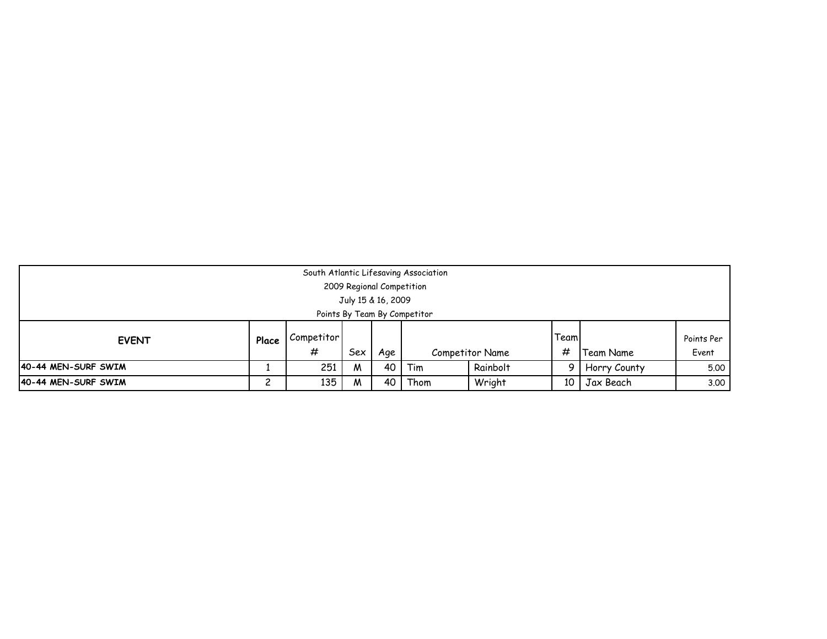|                                                                                                                             | South Atlantic Lifesaving Association<br>2009 Regional Competition<br>July 15 & 16, 2009 |     |   |    |      |        |    |           |      |  |  |  |
|-----------------------------------------------------------------------------------------------------------------------------|------------------------------------------------------------------------------------------|-----|---|----|------|--------|----|-----------|------|--|--|--|
| Points By Team By Competitor                                                                                                |                                                                                          |     |   |    |      |        |    |           |      |  |  |  |
| Teaml<br>Competitor<br>Points Per<br>Place<br><b>EVENT</b><br>#<br>#<br>Sex<br>Event<br>Competitor Name<br>Team Name<br>Age |                                                                                          |     |   |    |      |        |    |           |      |  |  |  |
| Rainbolt<br>40-44 MEN-SURF SWIM<br>251<br>40<br>Horry County<br>Tim<br>5.00<br>M                                            |                                                                                          |     |   |    |      |        |    |           |      |  |  |  |
| 40-44 MEN-SURF SWIM                                                                                                         | າ                                                                                        | 135 | M | 40 | Thom | Wright | 10 | Jax Beach | 3.00 |  |  |  |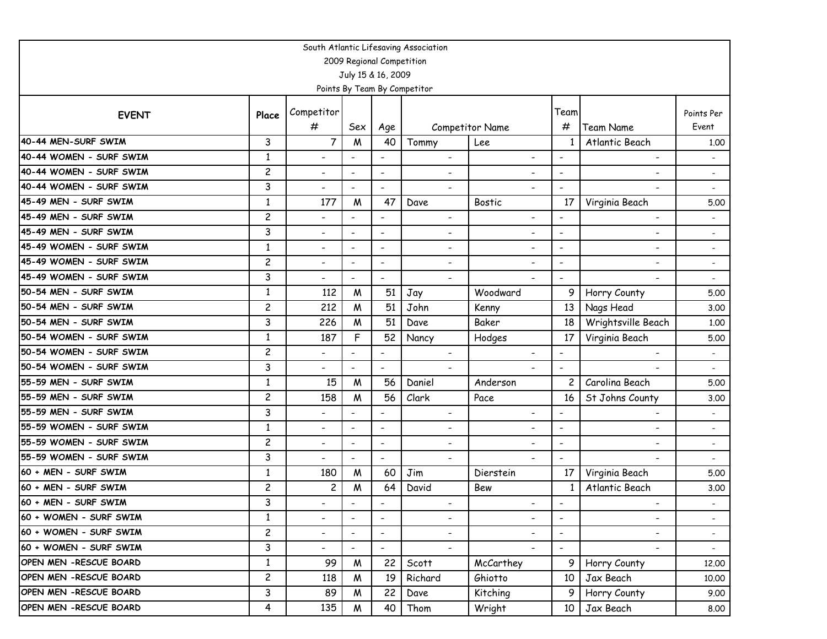| South Atlantic Lifesaving Association |                         |                          |                           |                              |                              |                          |                          |                          |                          |  |  |  |
|---------------------------------------|-------------------------|--------------------------|---------------------------|------------------------------|------------------------------|--------------------------|--------------------------|--------------------------|--------------------------|--|--|--|
|                                       |                         |                          | 2009 Regional Competition |                              |                              |                          |                          |                          |                          |  |  |  |
|                                       |                         |                          | July 15 & 16, 2009        |                              |                              |                          |                          |                          |                          |  |  |  |
|                                       |                         |                          |                           |                              | Points By Team By Competitor |                          |                          |                          |                          |  |  |  |
| <b>EVENT</b>                          | Place                   | Competitor               |                           |                              |                              |                          | Team                     |                          | Points Per               |  |  |  |
|                                       |                         | #                        | Sex                       | Age                          |                              | <b>Competitor Name</b>   | #                        | <b>Team Name</b>         | Event                    |  |  |  |
| 40-44 MEN-SURF SWIM                   | 3                       | $\overline{7}$           | M                         | 40                           | Tommy                        | Lee                      | 1                        | Atlantic Beach           | 1.00                     |  |  |  |
| 40-44 WOMEN - SURF SWIM               | $\mathbf{1}$            | $\overline{\phantom{a}}$ |                           | $\overline{a}$               |                              | $\blacksquare$           | $\overline{\phantom{a}}$ | $\overline{\phantom{a}}$ |                          |  |  |  |
| 40-44 WOMEN - SURF SWIM               | $\overline{c}$          | $\overline{\phantom{a}}$ | $\overline{\phantom{a}}$  | $\overline{\phantom{a}}$     | $\overline{\phantom{0}}$     | $\overline{\phantom{a}}$ | $\blacksquare$           | $\overline{\phantom{a}}$ |                          |  |  |  |
| 40-44 WOMEN - SURF SWIM               | 3                       | $\overline{\phantom{a}}$ | $\overline{\phantom{a}}$  | $\qquad \qquad \blacksquare$ | $\overline{\phantom{0}}$     |                          |                          |                          |                          |  |  |  |
| 45-49 MEN - SURF SWIM                 | $\mathbf{1}$            | 177                      | M                         | 47                           | Dave                         | <b>Bostic</b>            | 17                       | Virginia Beach           | 5.00                     |  |  |  |
| 45-49 MEN - SURF SWIM                 | $\overline{c}$          | $\overline{\phantom{a}}$ |                           | $\overline{\phantom{a}}$     | $\qquad \qquad \blacksquare$ | $\overline{\phantom{a}}$ | $\overline{\phantom{a}}$ | -                        |                          |  |  |  |
| 45-49 MEN - SURF SWIM                 | 3                       | $\overline{\phantom{a}}$ | $\overline{\phantom{a}}$  | $\overline{\phantom{a}}$     | $\overline{\phantom{0}}$     | $\overline{\phantom{a}}$ | $\blacksquare$           | $\overline{\phantom{a}}$ |                          |  |  |  |
| 45-49 WOMEN - SURF SWIM               | $\mathbf{1}$            | $\overline{\phantom{a}}$ | $\overline{\phantom{a}}$  | $\overline{\phantom{a}}$     | $\qquad \qquad \blacksquare$ | $\overline{\phantom{a}}$ | $\blacksquare$           | -                        |                          |  |  |  |
| 45-49 WOMEN - SURF SWIM               | $\overline{c}$          | $\overline{\phantom{a}}$ | $\overline{\phantom{a}}$  | $\qquad \qquad \blacksquare$ | $\overline{\phantom{0}}$     | ٠                        | $\overline{\phantom{a}}$ | -                        | $\overline{\phantom{a}}$ |  |  |  |
| 45-49 WOMEN - SURF SWIM               | 3                       | $\overline{\phantom{a}}$ | $\overline{\phantom{a}}$  | $\overline{\phantom{a}}$     | $\overline{\phantom{0}}$     |                          | $\overline{\phantom{a}}$ | $\overline{\phantom{a}}$ | $\overline{\phantom{a}}$ |  |  |  |
| 50-54 MEN - SURF SWIM                 | 1                       | 112                      | M                         | 51                           | Jay                          | Woodward                 | 9                        | Horry County             | 5.00                     |  |  |  |
| 50-54 MEN - SURF SWIM                 | $\overline{c}$          | 212                      | M                         | 51                           | John                         | Kenny                    | 13                       | Nags Head                | 3.00                     |  |  |  |
| 50-54 MEN - SURF SWIM                 | 3                       | 226                      | W                         | 51                           | Dave                         | Baker                    | 18                       | Wrightsville Beach       | 1.00                     |  |  |  |
| 50-54 WOMEN - SURF SWIM               | 1                       | 187                      | F                         | 52                           | Nancy                        | Hodges                   | 17                       | Virginia Beach           | 5.00                     |  |  |  |
| 50-54 WOMEN - SURF SWIM               | $\overline{c}$          | $\overline{\phantom{a}}$ | $\overline{\phantom{a}}$  | $\overline{\phantom{a}}$     | $\overline{\phantom{a}}$     | $\overline{\phantom{a}}$ | $\blacksquare$           | $\overline{\phantom{a}}$ | $\overline{\phantom{a}}$ |  |  |  |
| 50-54 WOMEN - SURF SWIM               | 3                       | $\blacksquare$           | $\overline{a}$            | $\overline{\phantom{0}}$     |                              |                          | $\blacksquare$           |                          |                          |  |  |  |
| 55-59 MEN - SURF SWIM                 | $\mathbf{1}$            | 15                       | M                         | 56                           | Daniel                       | Anderson                 | 2                        | Carolina Beach           | 5.00                     |  |  |  |
| 55-59 MEN - SURF SWIM                 | $\overline{c}$          | 158                      | W                         | 56                           | Clark                        | Pace                     | 16                       | St Johns County          | 3.00                     |  |  |  |
| 55-59 MEN - SURF SWIM                 | 3                       | $\overline{\phantom{a}}$ | $\overline{\phantom{a}}$  | $\overline{\phantom{a}}$     | ٠                            | $\overline{\phantom{0}}$ | $\overline{\phantom{a}}$ | -                        |                          |  |  |  |
| 55-59 WOMEN - SURF SWIM               | $\mathbf{1}$            | $\overline{\phantom{a}}$ | $\overline{\phantom{a}}$  | $\overline{\phantom{a}}$     | $\qquad \qquad \blacksquare$ | $\overline{\phantom{a}}$ | $\overline{\phantom{a}}$ | $\overline{\phantom{a}}$ | $\overline{\phantom{a}}$ |  |  |  |
| 55-59 WOMEN - SURF SWIM               | $\overline{c}$          | $\overline{\phantom{a}}$ | $\overline{\phantom{a}}$  | $\overline{\phantom{a}}$     | $\qquad \qquad \blacksquare$ | $\overline{\phantom{0}}$ | $\overline{\phantom{a}}$ | -                        | $\blacksquare$           |  |  |  |
| 55-59 WOMEN - SURF SWIM               | 3                       | $\blacksquare$           | $\overline{\phantom{a}}$  | $\overline{\phantom{a}}$     |                              | $\blacksquare$           | $\overline{\phantom{a}}$ |                          |                          |  |  |  |
| 60 + MEN - SURF SWIM                  | $\mathbf{1}$            | 180                      | M                         | 60                           | Jim                          | Dierstein                | 17                       | Virginia Beach           | 5.00                     |  |  |  |
| 60 + MEN - SURF SWIM                  | $\overline{c}$          | $\overline{\mathbf{c}}$  | M                         | 64                           | David                        | Bew                      | 1                        | Atlantic Beach           | 3.00                     |  |  |  |
| 60 + MEN - SURF SWIM                  | 3                       |                          |                           | $\overline{\phantom{a}}$     | -                            | $\overline{\phantom{a}}$ | $\overline{\phantom{a}}$ |                          |                          |  |  |  |
| 60 + WOMEN - SURF SWIM                | $\mathbf{1}$            | $\overline{\phantom{a}}$ | $\overline{\phantom{a}}$  |                              | $\overline{\phantom{0}}$     | -                        | $\overline{\phantom{a}}$ | $\overline{\phantom{0}}$ | $\overline{\phantom{0}}$ |  |  |  |
| 60 + WOMEN - SURF SWIM                | $\overline{\mathbf{c}}$ | $\overline{\phantom{a}}$ | $\overline{\phantom{a}}$  | $\overline{\phantom{a}}$     | $\overline{\phantom{0}}$     | $\overline{\phantom{a}}$ | $\overline{\phantom{a}}$ | $\overline{\phantom{a}}$ | $\sim$                   |  |  |  |
| 60 + WOMEN - SURF SWIM                | 3                       | $\overline{\phantom{a}}$ | $\blacksquare$            | $\overline{\phantom{a}}$     | $\overline{\phantom{0}}$     | $\blacksquare$           | $\overline{\phantom{a}}$ | $\overline{\phantom{a}}$ | $\sim$                   |  |  |  |
| OPEN MEN - RESCUE BOARD               | $\mathbf{1}$            | 99                       | W                         | 22                           | Scott                        | McCarthey                | 9 <sup>1</sup>           | Horry County             | 12.00                    |  |  |  |
| OPEN MEN - RESCUE BOARD               | $\overline{c}$          | 118                      | M                         | 19                           | Richard                      | Ghiotto                  | 10                       | Jax Beach                | 10.00                    |  |  |  |
| OPEN MEN - RESCUE BOARD               | 3                       | 89                       | M                         | 22                           | Dave                         | Kitching                 | 9                        | Horry County             | 9.00                     |  |  |  |
| OPEN MEN - RESCUE BOARD               | 4                       | 135                      | W                         | 40                           | Thom                         | Wright                   | 10                       | Jax Beach                | 8.00                     |  |  |  |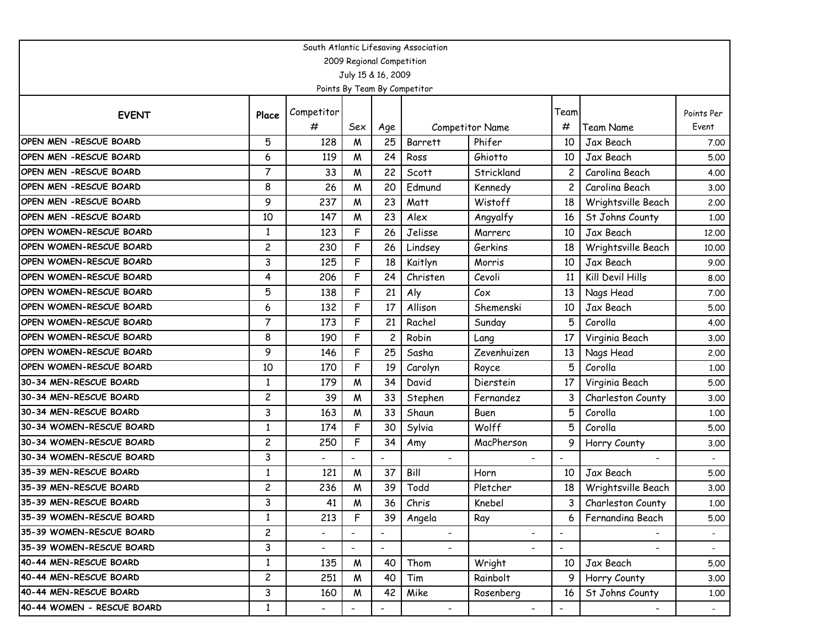| South Atlantic Lifesaving Association |                |                          |                          |                           |                              |                          |                          |                          |                          |  |  |  |
|---------------------------------------|----------------|--------------------------|--------------------------|---------------------------|------------------------------|--------------------------|--------------------------|--------------------------|--------------------------|--|--|--|
|                                       |                |                          |                          | 2009 Regional Competition |                              |                          |                          |                          |                          |  |  |  |
|                                       |                |                          |                          | July 15 & 16, 2009        |                              |                          |                          |                          |                          |  |  |  |
|                                       |                |                          |                          |                           | Points By Team By Competitor |                          |                          |                          |                          |  |  |  |
| <b>EVENT</b>                          | Place          | Competitor               |                          |                           |                              |                          | Team                     |                          | Points Per               |  |  |  |
|                                       |                | #                        | Sex                      | Age                       |                              | Competitor Name          | #                        | Team Name                | Event                    |  |  |  |
| <b>OPEN MEN -RESCUE BOARD</b>         | 5              | 128                      | M                        | 25                        | <b>Barrett</b>               | Phifer                   | 10                       | Jax Beach                | 7.00                     |  |  |  |
| OPEN MEN - RESCUE BOARD               | 6              | 119                      | W                        | 24                        | Ross                         | Ghiotto                  | 10                       | Jax Beach                | 5.00                     |  |  |  |
| OPEN MEN - RESCUE BOARD               | $\overline{7}$ | 33                       | W                        | 22                        | Scott                        | Strickland               |                          | Carolina Beach           | 4.00                     |  |  |  |
| OPEN MEN - RESCUE BOARD               | 8              | 26                       | W                        | 20                        | Edmund                       | Kennedy                  |                          | Carolina Beach           | 3.00                     |  |  |  |
| OPEN MEN - RESCUE BOARD               | 9              | 237                      | W                        | 23                        | Matt                         | Wistoff                  | 18                       | Wrightsville Beach       | 2.00                     |  |  |  |
| <b>OPEN MEN -RESCUE BOARD</b>         | 10             | 147                      | W                        | 23                        | Alex                         | Angyalfy                 | 16                       | St Johns County          | 1.00                     |  |  |  |
| OPEN WOMEN-RESCUE BOARD               | 1              | 123                      | F                        | 26                        | Jelisse                      | Marrero                  | 10                       | Jax Beach                | 12.00                    |  |  |  |
| <b>OPEN WOMEN-RESCUE BOARD</b>        | $\overline{c}$ | 230                      | F                        | 26                        | Lindsey                      | Gerkins                  | 18                       | Wrightsville Beach       | 10.00                    |  |  |  |
| <b>OPEN WOMEN-RESCUE BOARD</b>        | 3              | 125                      | F                        | 18                        | Kaitlyn                      | Morris                   | 10                       | Jax Beach                | 9.00                     |  |  |  |
| <b>OPEN WOMEN-RESCUE BOARD</b>        | 4              | 206                      | F                        | 24                        | Christen                     | Cevoli                   | 11                       | Kill Devil Hills         | 8.00                     |  |  |  |
| <b>OPEN WOMEN-RESCUE BOARD</b>        | 5              | 138                      | F                        | 21                        | Aly                          | Cox                      | 13                       | Nags Head                | 7.00                     |  |  |  |
| OPEN WOMEN-RESCUE BOARD               | 6              | 132                      | F                        | 17                        | Allison                      | Shemenski                | 10                       | Jax Beach                | 5.00                     |  |  |  |
| <b>OPEN WOMEN-RESCUE BOARD</b>        | $\overline{7}$ | 173                      | F                        | 21                        | Rachel                       | Sunday                   | 5                        | Corolla                  | 4.00                     |  |  |  |
| <b>OPEN WOMEN-RESCUE BOARD</b>        | 8              | 190                      | F                        | $\overline{c}$            | Robin                        | Lang                     | 17                       | Virginia Beach           | 3.00                     |  |  |  |
| <b>OPEN WOMEN-RESCUE BOARD</b>        | 9              | 146                      | F                        | 25                        | Sasha                        | Zevenhuizen              | 13                       | Nags Head                | 2.00                     |  |  |  |
| OPEN WOMEN-RESCUE BOARD               | 10             | 170                      | F                        | 19                        | Carolyn                      | Royce                    | 5                        | Corolla                  | 1.00                     |  |  |  |
| 30-34 MEN-RESCUE BOARD                | 1              | 179                      | M                        | 34                        | David                        | Dierstein                | 17                       | Virginia Beach           | 5.00                     |  |  |  |
| 30-34 MEN-RESCUE BOARD                | $\overline{c}$ | 39                       | W                        | 33                        | Stephen                      | Fernandez                | 3                        | Charleston County        | 3.00                     |  |  |  |
| 30-34 MEN-RESCUE BOARD                | 3              | 163                      | W                        | 33                        | Shaun                        | Buen                     | 5                        | Corolla                  | 1.00                     |  |  |  |
| 30-34 WOMEN-RESCUE BOARD              | $\mathbf{1}$   | 174                      | F                        | 30                        | Sylvia                       | Wolff                    | 5                        | Corolla                  | 5.00                     |  |  |  |
| 30-34 WOMEN-RESCUE BOARD              | $\overline{c}$ | 250                      | F                        | 34                        | Amy                          | MacPherson               | 9                        | Horry County             | 3.00                     |  |  |  |
| 30-34 WOMEN-RESCUE BOARD              | 3              | $\overline{\phantom{0}}$ |                          |                           | $\overline{\phantom{a}}$     |                          |                          |                          | $\overline{\phantom{0}}$ |  |  |  |
| 35-39 MEN-RESCUE BOARD                | 1              | 121                      | W                        | 37                        | Bill                         | Horn                     | 10                       | Jax Beach                | 5.00                     |  |  |  |
| 35-39 MEN-RESCUE BOARD                | 2              | 236                      | M                        | 39                        | Todd                         | Pletcher                 | 18                       | Wrightsville Beach       | 3.00                     |  |  |  |
| 35-39 MEN-RESCUE BOARD                | 3              | 41                       | M<br>$\cdots$            | 36                        | Chris                        | Knebel                   | 3                        | Charleston County        | 1.00                     |  |  |  |
| 35-39 WOMEN-RESCUE BOARD              | $\mathbf{1}$   | 213                      | F                        | 39                        | Angela                       | Ray                      | 6                        | Fernandina Beach         | 5.00                     |  |  |  |
| 35-39 WOMEN-RESCUE BOARD              | $\overline{c}$ | Ξ.                       | $\overline{\phantom{a}}$ |                           | $\blacksquare$               | $\overline{\phantom{a}}$ | $\overline{\phantom{a}}$ | $\overline{\phantom{0}}$ | $\sim$                   |  |  |  |
| 35-39 WOMEN-RESCUE BOARD              | 3              | $\blacksquare$           | $\overline{\phantom{a}}$ | $\blacksquare$            |                              | $\overline{\phantom{0}}$ |                          | $\overline{\phantom{0}}$ | $\sim$                   |  |  |  |
| 40-44 MEN-RESCUE BOARD                | $\mathbf{1}$   | 135                      | W                        | 40                        | Thom                         | Wright                   | 10                       | Jax Beach                | 5.00                     |  |  |  |
| 40-44 MEN-RESCUE BOARD                | $\overline{c}$ | 251                      | W                        | 40                        | Tim                          | Rainbolt                 | 9                        | Horry County             | 3.00                     |  |  |  |
| 40-44 MEN-RESCUE BOARD                | 3              | 160                      | W                        | 42                        | Mike                         | Rosenberg                | 16                       | St Johns County          | 1.00                     |  |  |  |
| 40-44 WOMEN - RESCUE BOARD            | $\mathbf{1}$   | $\overline{\phantom{a}}$ | $\overline{\phantom{a}}$ | $\overline{\phantom{a}}$  | $\blacksquare$               | $\overline{\phantom{a}}$ | $\overline{\phantom{a}}$ | $\overline{\phantom{a}}$ | $\sim$                   |  |  |  |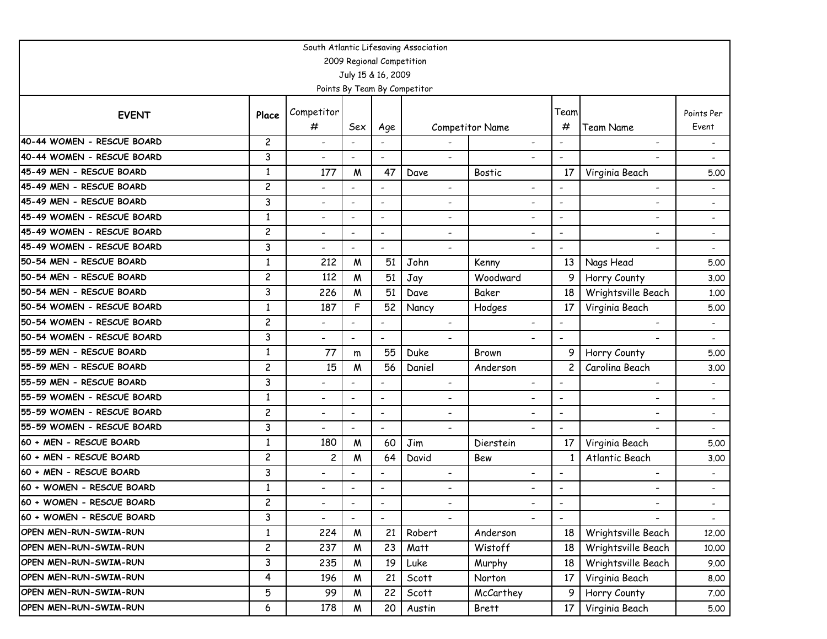| South Atlantic Lifesaving Association |                |                          |                          |                           |                              |                              |                          |                              |            |  |  |  |
|---------------------------------------|----------------|--------------------------|--------------------------|---------------------------|------------------------------|------------------------------|--------------------------|------------------------------|------------|--|--|--|
|                                       |                |                          |                          | 2009 Regional Competition |                              |                              |                          |                              |            |  |  |  |
|                                       |                |                          |                          | July 15 & 16, 2009        |                              |                              |                          |                              |            |  |  |  |
|                                       |                |                          |                          |                           | Points By Team By Competitor |                              |                          |                              |            |  |  |  |
| <b>EVENT</b>                          | Place          | Competitor               |                          |                           |                              |                              | Team                     |                              | Points Per |  |  |  |
|                                       |                | #                        | Sex                      | Age                       |                              | Competitor Name              | #                        | <b>Team Name</b>             | Event      |  |  |  |
| 40-44 WOMEN - RESCUE BOARD            | $\overline{c}$ | $\overline{\phantom{0}}$ |                          |                           |                              |                              | $\blacksquare$           | $\overline{\phantom{0}}$     |            |  |  |  |
| 40-44 WOMEN - RESCUE BOARD            | 3              | $\overline{\phantom{0}}$ |                          |                           | $\blacksquare$               | ٠                            | $\overline{\phantom{a}}$ |                              |            |  |  |  |
| 45-49 MEN - RESCUE BOARD              | $\mathbf{1}$   | 177                      | M                        | 47                        | Dave                         | <b>Bostic</b>                | 17                       | Virginia Beach               | 5.00       |  |  |  |
| 45-49 MEN - RESCUE BOARD              | $\overline{c}$ | $\overline{\phantom{0}}$ |                          | $\overline{\phantom{a}}$  | $\overline{\phantom{a}}$     | $\overline{\phantom{0}}$     | $\overline{\phantom{a}}$ | $\overline{\phantom{a}}$     |            |  |  |  |
| 45-49 MEN - RESCUE BOARD              | 3              | $\overline{\phantom{0}}$ | $\blacksquare$           | $\blacksquare$            | ۰                            | $\overline{\phantom{0}}$     | $\overline{a}$           | $\overline{\phantom{a}}$     |            |  |  |  |
| 45-49 WOMEN - RESCUE BOARD            | $\mathbf{1}$   | $\overline{\phantom{0}}$ |                          | $\blacksquare$            | ۰                            | $\overline{\phantom{0}}$     | $\blacksquare$           | Ξ.                           |            |  |  |  |
| 45-49 WOMEN - RESCUE BOARD            | $\overline{c}$ | $\overline{\phantom{0}}$ | $\overline{\phantom{a}}$ | $\overline{\phantom{a}}$  | $\overline{\phantom{a}}$     | -                            | $\overline{\phantom{a}}$ | $\overline{\phantom{0}}$     |            |  |  |  |
| 45-49 WOMEN - RESCUE BOARD            | 3              | $\overline{\phantom{0}}$ |                          | $\overline{a}$            | $\overline{\phantom{a}}$     | $\overline{\phantom{0}}$     |                          |                              |            |  |  |  |
| 50-54 MEN - RESCUE BOARD              | $\mathbf{1}$   | 212                      | M                        | 51                        | John                         | Kenny                        | 13                       | Nags Head                    | 5.00       |  |  |  |
| 50-54 MEN - RESCUE BOARD              | $\overline{c}$ | 112                      | M                        | 51                        | Jay                          | Woodward                     | 9                        | Horry County                 | 3.00       |  |  |  |
| 50-54 MEN - RESCUE BOARD              | 3              | 226                      | M                        | 51                        | Dave                         | Baker                        | 18                       | Wrightsville Beach           | 1.00       |  |  |  |
| 50-54 WOMEN - RESCUE BOARD            | $\mathbf{1}$   | 187                      | F                        | 52                        | Nancy                        | Hodges                       | 17                       | Virginia Beach               | 5.00       |  |  |  |
| 50-54 WOMEN - RESCUE BOARD            | $\overline{c}$ | $\overline{\phantom{0}}$ |                          | $\overline{a}$            | $\blacksquare$               | $\blacksquare$               | $\blacksquare$           | $\blacksquare$               |            |  |  |  |
| 50-54 WOMEN - RESCUE BOARD            | 3              | $\overline{\phantom{0}}$ | $\blacksquare$           | $\overline{\phantom{a}}$  | $\overline{\phantom{a}}$     |                              | $\blacksquare$           |                              |            |  |  |  |
| 55-59 MEN - RESCUE BOARD              | $\mathbf{1}$   | 77                       | m                        | 55                        | Duke                         | Brown                        | 9                        | Horry County                 | 5.00       |  |  |  |
| 55-59 MEN - RESCUE BOARD              | $\overline{c}$ | 15                       | M                        | 56                        | Daniel                       | Anderson                     | $\overline{c}$           | Carolina Beach               | 3.00       |  |  |  |
| 55-59 MEN - RESCUE BOARD              | 3              | $\overline{a}$           |                          |                           | ۰                            | $\overline{\phantom{0}}$     | $\overline{\phantom{a}}$ | $\overline{\phantom{0}}$     |            |  |  |  |
| 55-59 WOMEN - RESCUE BOARD            | $\mathbf{1}$   | $\overline{\phantom{0}}$ |                          | $\blacksquare$            | $\blacksquare$               | $\overline{\phantom{0}}$     | $\blacksquare$           | $\overline{\phantom{0}}$     |            |  |  |  |
| 55-59 WOMEN - RESCUE BOARD            | $\overline{c}$ | $\overline{\phantom{0}}$ | $\overline{\phantom{a}}$ | $\overline{\phantom{a}}$  | $\overline{\phantom{a}}$     | $\qquad \qquad \blacksquare$ | $\overline{\phantom{a}}$ | $\qquad \qquad \blacksquare$ |            |  |  |  |
| 55-59 WOMEN - RESCUE BOARD            | 3              | $\overline{\phantom{0}}$ | $\blacksquare$           | $\blacksquare$            | $\overline{\phantom{a}}$     |                              | $\blacksquare$           |                              |            |  |  |  |
| 60 + MEN - RESCUE BOARD               | $\mathbf{1}$   | 180                      | M                        | 60                        | Jim                          | Dierstein                    | 17                       | Virginia Beach               | 5.00       |  |  |  |
| 60 + MEN - RESCUE BOARD               | $\overline{c}$ | 2                        | M                        | 64                        | David                        | Bew                          |                          | Atlantic Beach               | 3.00       |  |  |  |
| 60 + MEN - RESCUE BOARD               | 3              | $\overline{\phantom{0}}$ |                          | $\overline{a}$            | $\overline{\phantom{a}}$     | $\overline{\phantom{0}}$     | $\overline{\phantom{a}}$ | $\overline{\phantom{0}}$     |            |  |  |  |
| 60 + WOMEN - RESCUE BOARD             | $\mathbf{1}$   | $\overline{\phantom{0}}$ |                          | $\overline{\phantom{a}}$  | $\qquad \qquad \blacksquare$ |                              | $\overline{\phantom{a}}$ |                              |            |  |  |  |
| 60 + WOMEN - RESCUE BOARD             | $\overline{c}$ |                          |                          | $\overline{\phantom{a}}$  |                              |                              |                          |                              |            |  |  |  |
| 60 + WOMEN - RESCUE BOARD             | 3              |                          | $\overline{\phantom{a}}$ |                           |                              |                              | $\blacksquare$           |                              |            |  |  |  |
| OPEN MEN-RUN-SWIM-RUN                 | $\mathbf{1}$   | 224                      | M                        | 21                        | Robert                       | Anderson                     | 18                       | Wrightsville Beach           | 12.00      |  |  |  |
| OPEN MEN-RUN-SWIM-RUN                 | $\overline{c}$ | 237                      | W                        | 23                        | Matt                         | Wistoff                      | 18                       | Wrightsville Beach           | 10.00      |  |  |  |
| OPEN MEN-RUN-SWIM-RUN                 | 3              | 235                      | W                        | 19                        | Luke                         | Murphy                       | 18                       | Wrightsville Beach           | 9.00       |  |  |  |
| OPEN MEN-RUN-SWIM-RUN                 | 4              | 196                      | W                        | 21                        | Scott                        | Norton                       | 17                       | Virginia Beach               | 8.00       |  |  |  |
| OPEN MEN-RUN-SWIM-RUN                 | 5              | 99                       | W                        | 22                        | Scott                        | McCarthey                    | 9                        | Horry County                 | 7.00       |  |  |  |
| OPEN MEN-RUN-SWIM-RUN                 | 6              | 178                      | W                        | 20                        | Austin                       | Brett                        | 17                       | Virginia Beach               | 5.00       |  |  |  |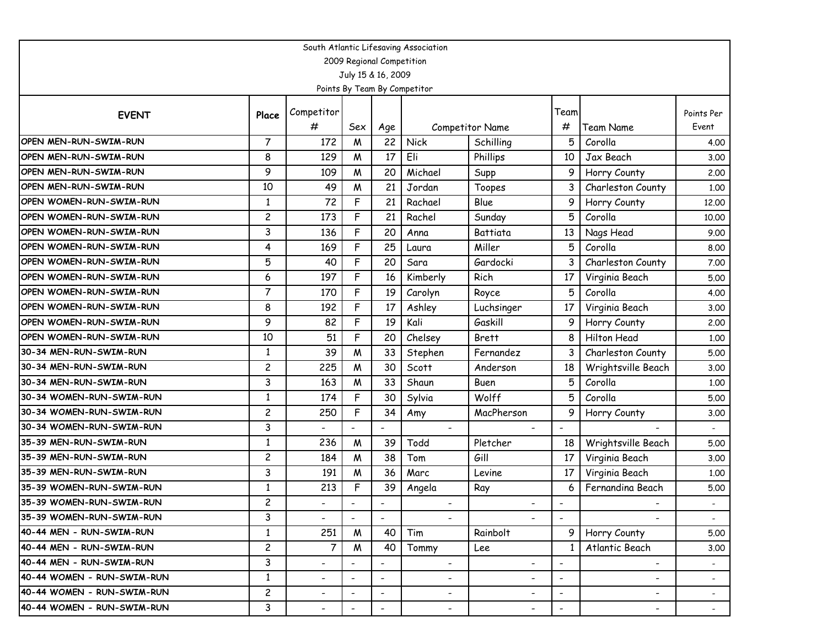| South Atlantic Lifesaving Association |                |                          |                          |                           |                              |                          |                          |                          |                          |  |  |  |
|---------------------------------------|----------------|--------------------------|--------------------------|---------------------------|------------------------------|--------------------------|--------------------------|--------------------------|--------------------------|--|--|--|
|                                       |                |                          |                          | 2009 Regional Competition |                              |                          |                          |                          |                          |  |  |  |
|                                       |                |                          |                          | July 15 & 16, 2009        |                              |                          |                          |                          |                          |  |  |  |
|                                       |                |                          |                          |                           | Points By Team By Competitor |                          |                          |                          |                          |  |  |  |
| <b>EVENT</b>                          | Place          | Competitor               |                          |                           |                              |                          | Team                     |                          | Points Per               |  |  |  |
|                                       |                | #                        | Sex                      | Age                       |                              | Competitor Name          | #                        | Team Name                | Event                    |  |  |  |
| OPEN MEN-RUN-SWIM-RUN                 | $\overline{7}$ | 172                      | M                        | 22                        | Nick                         | Schilling                | 5                        | Corolla                  | 4.00                     |  |  |  |
| <b>OPEN MEN-RUN-SWIM-RUN</b>          | 8              | 129                      | M                        | 17                        | Eli                          | Phillips                 | 10                       | Jax Beach                | 3.00                     |  |  |  |
| <b>OPEN MEN-RUN-SWIM-RUN</b>          | 9              | 109                      | M                        | 20                        | Michael                      | Supp                     | 9                        | Horry County             | 2.00                     |  |  |  |
| <b>OPEN MEN-RUN-SWIM-RUN</b>          | 10             | 49                       | W                        | 21                        | Jordan                       | Toopes                   | 3                        | Charleston County        | 1.00                     |  |  |  |
| OPEN WOMEN-RUN-SWIM-RUN               | $\mathbf{1}$   | 72                       | F                        | 21                        | Rachael                      | Blue                     | 9                        | Horry County             | 12.00                    |  |  |  |
| OPEN WOMEN-RUN-SWIM-RUN               | $\overline{c}$ | 173                      | F                        | 21                        | Rachel                       | Sunday                   | 5                        | Corolla                  | 10.00                    |  |  |  |
| OPEN WOMEN-RUN-SWIM-RUN               | 3              | 136                      | F                        | 20                        | Anna                         | Battiata                 | 13                       | Nags Head                | 9.00                     |  |  |  |
| OPEN WOMEN-RUN-SWIM-RUN               | 4              | 169                      | F                        | 25                        | Laura                        | Miller                   | 5                        | Corolla                  | 8.00                     |  |  |  |
| OPEN WOMEN-RUN-SWIM-RUN               | 5              | 40                       | F                        | 20                        | Sara                         | Gardocki                 |                          | Charleston County        | 7.00                     |  |  |  |
| OPEN WOMEN-RUN-SWIM-RUN               | 6              | 197                      | F                        | 16                        | Kimberly                     | Rich                     | 17                       | Virginia Beach           | 5.00                     |  |  |  |
| OPEN WOMEN-RUN-SWIM-RUN               | $\overline{7}$ | 170                      | F                        | 19                        | Carolyn                      | Royce                    | 5                        | Corolla                  | 4.00                     |  |  |  |
| OPEN WOMEN-RUN-SWIM-RUN               | 8              | 192                      | F                        | 17                        | Ashley                       | Luchsinger               | 17                       | Virginia Beach           | 3.00                     |  |  |  |
| OPEN WOMEN-RUN-SWIM-RUN               | 9              | 82                       | F                        | 19                        | Kali                         | Gaskill                  | 9                        | Horry County             | 2.00                     |  |  |  |
| OPEN WOMEN-RUN-SWIM-RUN               | 10             | 51                       | F                        | 20                        | Chelsey                      | <b>Brett</b>             | 8                        | <b>Hilton Head</b>       | 1.00                     |  |  |  |
| 30-34 MEN-RUN-SWIM-RUN                | $\mathbf{1}$   | 39                       | W                        | 33                        | Stephen                      | Fernandez                | 3                        | Charleston County        | 5.00                     |  |  |  |
| 30-34 MEN-RUN-SWIM-RUN                | $\overline{c}$ | 225                      | M                        | 30                        | Scott                        | Anderson                 | 18                       | Wrightsville Beach       | 3.00                     |  |  |  |
| 30-34 MEN-RUN-SWIM-RUN                | 3              | 163                      | M                        | 33                        | Shaun                        | Buen                     | 5                        | Corolla                  | 1.00                     |  |  |  |
| 30-34 WOMEN-RUN-SWIM-RUN              | $\mathbf{1}$   | 174                      | F                        | 30                        | Sylvia                       | Wolff                    | 5                        | Corolla                  | 5.00                     |  |  |  |
| 30-34 WOMEN-RUN-SWIM-RUN              | $\overline{c}$ | 250                      | F                        | 34                        | Amy                          | MacPherson               | 9                        | Horry County             | 3.00                     |  |  |  |
| 30-34 WOMEN-RUN-SWIM-RUN              | 3              | $\overline{\phantom{0}}$ |                          | $\overline{\phantom{a}}$  | $\overline{\phantom{a}}$     | $\overline{\phantom{0}}$ | $\overline{\phantom{a}}$ |                          |                          |  |  |  |
| 35-39 MEN-RUN-SWIM-RUN                | $\mathbf{1}$   | 236                      | M                        | 39                        | Todd                         | Pletcher                 | 18                       | Wrightsville Beach       | 5.00                     |  |  |  |
| 35-39 MEN-RUN-SWIM-RUN                | $\overline{c}$ | 184                      | M                        | 38                        | Tom                          | Gill                     | 17                       | Virginia Beach           | 3.00                     |  |  |  |
| 35-39 MEN-RUN-SWIM-RUN                | 3              | 191                      | M                        | 36                        | Marc                         | Levine                   | 17                       | Virginia Beach           | 1.00                     |  |  |  |
| 35-39 WOMEN-RUN-SWIM-RUN              | 1              | 213                      | F                        | 39                        | Angela                       | Ray                      |                          | Fernandina Beach         | 5.00                     |  |  |  |
| 35-39 WOMEN-RUN-SWIM-RUN              | $\overline{c}$ |                          |                          | $\overline{\phantom{a}}$  |                              |                          |                          |                          |                          |  |  |  |
| 35-39 WOMEN-RUN-SWIM-RUN              | 3              |                          | $\overline{\phantom{a}}$ |                           |                              |                          | $\blacksquare$           |                          |                          |  |  |  |
| 40-44 MEN - RUN-SWIM-RUN              | $\mathbf{1}$   | 251                      | M                        | 40                        | Tim                          | Rainbolt                 |                          | Horry County             | 5.00                     |  |  |  |
| 40-44 MEN - RUN-SWIM-RUN              | $\overline{c}$ | $\overline{7}$           | M                        | 40                        | Tommy                        | Lee                      |                          | Atlantic Beach           | 3.00                     |  |  |  |
| 40-44 MEN - RUN-SWIM-RUN              | 3              | $\overline{a}$           | $\overline{\phantom{a}}$ | $\overline{\phantom{a}}$  | $\overline{\phantom{a}}$     | $\overline{\phantom{0}}$ | $\overline{\phantom{a}}$ | $\overline{\phantom{0}}$ | $\sim$                   |  |  |  |
| 40-44 WOMEN - RUN-SWIM-RUN            | $\mathbf{1}$   | $\overline{\phantom{a}}$ | $\overline{\phantom{a}}$ | $\overline{\phantom{a}}$  | $\overline{\phantom{a}}$     | $\overline{\phantom{0}}$ | $\overline{\phantom{a}}$ | $\overline{\phantom{0}}$ | $\overline{\phantom{a}}$ |  |  |  |
| 40-44 WOMEN - RUN-SWIM-RUN            | $\overline{c}$ | $\overline{\phantom{0}}$ | $\overline{\phantom{a}}$ | $\overline{\phantom{a}}$  | $\overline{\phantom{a}}$     | -                        | $\overline{\phantom{a}}$ | $\overline{\phantom{0}}$ | $\overline{\phantom{a}}$ |  |  |  |
| 40-44 WOMEN - RUN-SWIM-RUN            | $\mathbf{3}$   | $\overline{\phantom{a}}$ | $\overline{\phantom{a}}$ | $\blacksquare$            | $\overline{\phantom{a}}$     | $\overline{\phantom{a}}$ | $-$                      | $\overline{\phantom{a}}$ | $\sim$                   |  |  |  |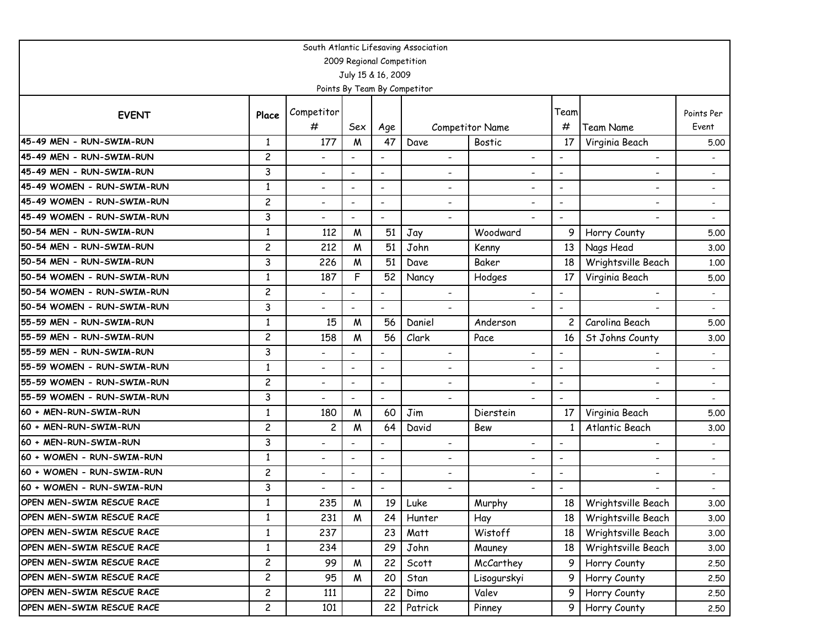| South Atlantic Lifesaving Association |                |                              |                          |                           |                              |                              |                          |                          |                          |  |  |  |
|---------------------------------------|----------------|------------------------------|--------------------------|---------------------------|------------------------------|------------------------------|--------------------------|--------------------------|--------------------------|--|--|--|
|                                       |                |                              |                          | 2009 Regional Competition |                              |                              |                          |                          |                          |  |  |  |
|                                       |                |                              |                          | July 15 & 16, 2009        |                              |                              |                          |                          |                          |  |  |  |
|                                       |                |                              |                          |                           | Points By Team By Competitor |                              |                          |                          |                          |  |  |  |
|                                       |                | Competitor                   |                          |                           |                              |                              | Team                     |                          | Points Per               |  |  |  |
| <b>EVENT</b>                          | Place          | #                            | Sex                      | Age                       |                              | Competitor Name              | #                        | <b>Team Name</b>         | Event                    |  |  |  |
| 45-49 MEN - RUN-SWIM-RUN              | $\mathbf{1}$   | 177                          | M                        | 47                        | Dave                         | <b>Bostic</b>                | 17                       | Virginia Beach           | 5.00                     |  |  |  |
| 45-49 MEN - RUN-SWIM-RUN              | $\overline{c}$ | $\overline{\phantom{0}}$     |                          |                           | $\overline{\phantom{0}}$     | $\overline{\phantom{a}}$     | $\overline{\phantom{a}}$ | $\overline{\phantom{a}}$ |                          |  |  |  |
| 45-49 MEN - RUN-SWIM-RUN              | 3              | $\overline{\phantom{a}}$     |                          | $\blacksquare$            | $\overline{\phantom{0}}$     | $\overline{\phantom{a}}$     | $\blacksquare$           | $\overline{\phantom{a}}$ |                          |  |  |  |
| 45-49 WOMEN - RUN-SWIM-RUN            | $\mathbf{1}$   | $\qquad \qquad \blacksquare$ |                          | $\overline{\phantom{a}}$  | $\qquad \qquad \blacksquare$ | -                            | $\overline{\phantom{a}}$ | -                        |                          |  |  |  |
| 45-49 WOMEN - RUN-SWIM-RUN            | $\overline{c}$ | $\overline{\phantom{a}}$     | $\overline{\phantom{a}}$ | $\overline{\phantom{a}}$  | $\qquad \qquad \blacksquare$ | $\qquad \qquad \blacksquare$ | $\blacksquare$           | -                        |                          |  |  |  |
| 45-49 WOMEN - RUN-SWIM-RUN            | 3              | $\overline{\phantom{0}}$     |                          |                           |                              |                              | $\overline{\phantom{a}}$ |                          |                          |  |  |  |
| 50-54 MEN - RUN-SWIM-RUN              | $\mathbf{1}$   | 112                          | M                        | 51                        | Jay                          | Woodward                     | 9                        | Horry County             | 5.00                     |  |  |  |
| 50-54 MEN - RUN-SWIM-RUN              | $\overline{c}$ | 212                          | W                        | 51                        | John                         | Kenny                        | 13                       | Nags Head                | 3.00                     |  |  |  |
| 50-54 MEN - RUN-SWIM-RUN              | 3              | 226                          | W                        | 51                        | Dave                         | Baker                        | 18                       | Wrightsville Beach       | 1.00                     |  |  |  |
| 50-54 WOMEN - RUN-SWIM-RUN            | $\mathbf{1}$   | 187                          | F                        | 52                        | Nancy                        | Hodges                       | 17                       | Virginia Beach           | 5.00                     |  |  |  |
| 50-54 WOMEN - RUN-SWIM-RUN            | $\overline{c}$ | $\overline{\phantom{0}}$     |                          |                           | $\overline{\phantom{a}}$     |                              | $\overline{\phantom{a}}$ |                          |                          |  |  |  |
| 50-54 WOMEN - RUN-SWIM-RUN            | 3              | $\overline{\phantom{0}}$     |                          | $\blacksquare$            | $\overline{a}$               |                              | $\blacksquare$           |                          |                          |  |  |  |
| 55-59 MEN - RUN-SWIM-RUN              | $\mathbf{1}$   | 15                           | W                        | 56                        | Daniel                       | Anderson                     | $\overline{c}$           | Carolina Beach           | 5.00                     |  |  |  |
| 55-59 MEN - RUN-SWIM-RUN              | $\overline{c}$ | 158                          | W                        | 56                        | Clark                        | Pace                         | 16                       | St Johns County          | 3.00                     |  |  |  |
| 55-59 MEN - RUN-SWIM-RUN              | 3              | $\overline{\phantom{a}}$     | $\overline{\phantom{a}}$ | $\overline{\phantom{a}}$  | $\overline{\phantom{a}}$     | $\overline{\phantom{a}}$     | $\blacksquare$           | -                        |                          |  |  |  |
| 55-59 WOMEN - RUN-SWIM-RUN            | $\mathbf{1}$   | $\overline{\phantom{0}}$     |                          | $\blacksquare$            | $\overline{\phantom{0}}$     | -                            | $\overline{\phantom{a}}$ | -                        |                          |  |  |  |
| 55-59 WOMEN - RUN-SWIM-RUN            | $\overline{c}$ | $\overline{\phantom{0}}$     | $\overline{\phantom{a}}$ | $\overline{\phantom{a}}$  | $\overline{\phantom{0}}$     | $\overline{\phantom{a}}$     | $\overline{\phantom{a}}$ | $\overline{\phantom{a}}$ |                          |  |  |  |
| 55-59 WOMEN - RUN-SWIM-RUN            | 3              | $\blacksquare$               |                          | $\blacksquare$            | $\blacksquare$               | $\overline{\phantom{0}}$     |                          | $\blacksquare$           |                          |  |  |  |
| 60 + MEN-RUN-SWIM-RUN                 | $\mathbf{1}$   | 180                          | W                        | 60                        | Jim                          | Dierstein                    | 17                       | Virginia Beach           | 5.00                     |  |  |  |
| 60 + MEN-RUN-SWIM-RUN                 | $\overline{c}$ | $\overline{\mathbf{c}}$      | M                        | 64                        | David                        | Bew                          | 1                        | Atlantic Beach           | 3.00                     |  |  |  |
| 60 + MEN-RUN-SWIM-RUN                 | 3              | $\overline{\phantom{0}}$     |                          |                           | $\overline{\phantom{0}}$     | $\overline{\phantom{a}}$     | $\overline{\phantom{a}}$ | $\overline{\phantom{0}}$ |                          |  |  |  |
| 60 + WOMEN - RUN-SWIM-RUN             | $\mathbf{1}$   | $\overline{\phantom{0}}$     |                          | $\overline{\phantom{a}}$  | $\qquad \qquad \blacksquare$ | $\overline{\phantom{a}}$     |                          | -                        |                          |  |  |  |
| 60 + WOMEN - RUN-SWIM-RUN             | $\overline{c}$ | $\overline{\phantom{a}}$     |                          | $\overline{\phantom{a}}$  | $\overline{\phantom{a}}$     | $\overline{\phantom{a}}$     |                          | $\overline{\phantom{a}}$ | $\overline{\phantom{a}}$ |  |  |  |
| 60 + WOMEN - RUN-SWIM-RUN             | 3              | $\overline{\phantom{0}}$     |                          | $\overline{\phantom{a}}$  |                              |                              |                          |                          |                          |  |  |  |
| OPEN MEN-SWIM RESCUE RACE             | $\mathbf{1}$   | 235                          | M                        | 19                        | Luke                         | Murphy                       | 18                       | Wrightsville Beach       | 3.00                     |  |  |  |
| OPEN MEN-SWIM RESCUE RACE             | $\mathbf{1}$   | 231                          | M                        | 24                        | Hunter                       | Hay                          | 18 I                     | Wrightsville Beach       | 3.00                     |  |  |  |
| OPEN MEN-SWIM RESCUE RACE             | $\mathbf{1}$   | 237                          |                          | 23                        | Matt                         | Wistoff                      | 18                       | Wrightsville Beach       | 3.00                     |  |  |  |
| OPEN MEN-SWIM RESCUE RACE             | $\mathbf{1}$   | 234                          |                          | 29                        | John                         | Mauney                       | 18                       | Wrightsville Beach       | 3.00                     |  |  |  |
| OPEN MEN-SWIM RESCUE RACE             | $\overline{c}$ | 99                           | W                        | 22                        | Scott                        | McCarthey                    | 9                        | Horry County             | 2.50                     |  |  |  |
| OPEN MEN-SWIM RESCUE RACE             | $\overline{c}$ | 95                           | W                        | 20                        | Stan                         | Lisogurskyi                  | 9                        | Horry County             | 2.50                     |  |  |  |
| OPEN MEN-SWIM RESCUE RACE             | $\overline{c}$ | 111                          |                          | 22                        | Dimo                         | Valev                        | 9                        | Horry County             | 2,50                     |  |  |  |
| OPEN MEN-SWIM RESCUE RACE             | $\overline{c}$ | 101                          |                          | 22                        | Patrick                      | Pinney                       | 9                        | Horry County             | 2,50                     |  |  |  |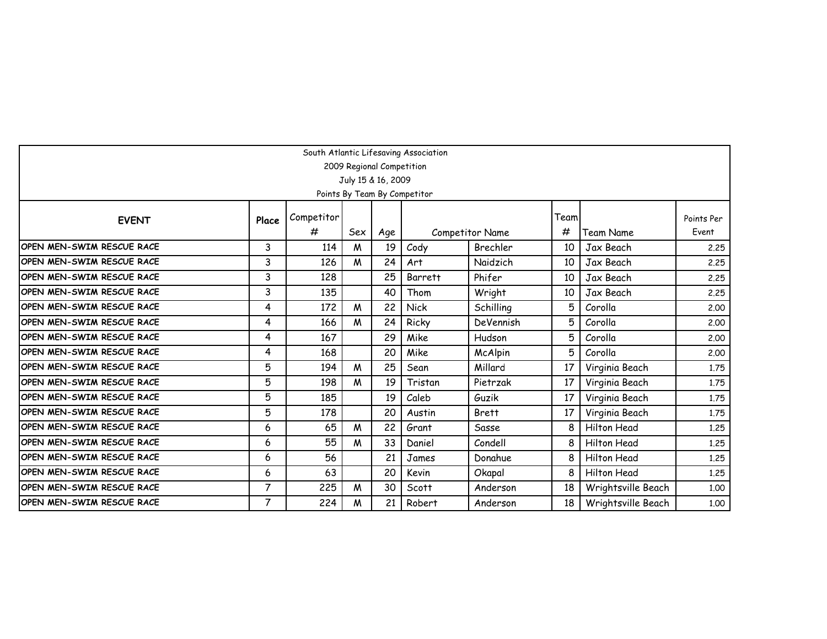| South Atlantic Lifesaving Association                                                                 |                |            |     |                    |                              |                        |      |                    |            |  |  |  |
|-------------------------------------------------------------------------------------------------------|----------------|------------|-----|--------------------|------------------------------|------------------------|------|--------------------|------------|--|--|--|
| 2009 Regional Competition                                                                             |                |            |     |                    |                              |                        |      |                    |            |  |  |  |
|                                                                                                       |                |            |     | July 15 & 16, 2009 |                              |                        |      |                    |            |  |  |  |
|                                                                                                       |                |            |     |                    | Points By Team By Competitor |                        |      |                    |            |  |  |  |
| <b>EVENT</b>                                                                                          | Place          | Competitor |     |                    |                              |                        | Team |                    | Points Per |  |  |  |
|                                                                                                       |                | #          | Sex | Age                |                              | <b>Competitor Name</b> | #    | Team Name          | Event      |  |  |  |
| OPEN MEN-SWIM RESCUE RACE                                                                             | 3              | 114        | W   | 19                 | Cody                         | Brechler               | 10   | Jax Beach          | 2.25       |  |  |  |
| IOPEN MEN-SWIM RESCUE RACE                                                                            | 3              | 126        | M   | 24                 | Art                          | Naidzich               | 10   | Jax Beach          | 2.25       |  |  |  |
| 3<br>25<br>IOPEN MEN-SWIM RESCUE RACE<br>128<br>Phifer<br>Jax Beach<br>Barrett<br>10<br>2.25          |                |            |     |                    |                              |                        |      |                    |            |  |  |  |
| 3<br>135<br><b>OPEN MEN-SWIM RESCUE RACE</b><br>40<br>Thom<br>Wright<br>10<br>Jax Beach<br>2.25       |                |            |     |                    |                              |                        |      |                    |            |  |  |  |
| IOPEN MEN-SWIM RESCUE RACE<br>4<br>172<br>W<br>22<br>Schilling<br>Corolla<br><b>Nick</b><br>5<br>2.00 |                |            |     |                    |                              |                        |      |                    |            |  |  |  |
| IOPEN MEN-SWIM RESCUE RACE                                                                            | 4              | 166        | W   | 24                 | Ricky                        | DeVennish              | 5    | Corolla            | 2.00       |  |  |  |
| IOPEN MEN-SWIM RESCUE RACE                                                                            | 4              | 167        |     | 29                 | Mike                         | Hudson                 | 5    | Corolla            | 2.00       |  |  |  |
| IOPEN MEN-SWIM RESCUE RACE                                                                            | 4              | 168        |     | 20                 | Mike                         | McAlpin                | 5    | Corolla            | 2,00       |  |  |  |
| IOPEN MEN-SWIM RESCUE RACE                                                                            | 5              | 194        | M   | 25                 | Sean                         | Millard                | 17   | Virginia Beach     | 1.75       |  |  |  |
| IOPEN MEN-SWIM RESCUE RACE                                                                            | 5              | 198        | M   | 19                 | Tristan                      | Pietrzak               | 17   | Virginia Beach     | 1.75       |  |  |  |
| IOPEN MEN-SWIM RESCUE RACE                                                                            | 5              | 185        |     | 19                 | Caleb                        | Guzik                  | 17   | Virginia Beach     | 1.75       |  |  |  |
| IOPEN MEN-SWIM RESCUE RACE                                                                            | 5              | 178        |     | 20                 | Austin                       | <b>Brett</b>           | 17   | Virginia Beach     | 1.75       |  |  |  |
| IOPEN MEN-SWIM RESCUE RACE                                                                            | 6              | 65         | M   | 22                 | Grant                        | Sasse                  | 8    | Hilton Head        | 1.25       |  |  |  |
| IOPEN MEN-SWIM RESCUE RACE                                                                            | 6              | 55         | M   | 33                 | Daniel                       | Condell                | 8    | Hilton Head        | 1.25       |  |  |  |
| OPEN MEN-SWIM RESCUE RACE                                                                             | 6              | 56         |     | 21                 | James                        | Donahue                | 8    | Hilton Head        | 1.25       |  |  |  |
| OPEN MEN-SWIM RESCUE RACE                                                                             | 6              | 63         |     | 20                 | Kevin                        | Okapal                 | 8    | Hilton Head        | 1.25       |  |  |  |
| IOPEN MEN-SWIM RESCUE RACE                                                                            | $\overline{7}$ | 225        | M   | 30                 | Scott                        | Anderson               | 18   | Wrightsville Beach | 1.00       |  |  |  |
| <b>OPEN MEN-SWIM RESCUE RACE</b>                                                                      | $\overline{7}$ | 224        | W   | 21                 | Robert                       | Anderson               | 18   | Wrightsville Beach | 1.00       |  |  |  |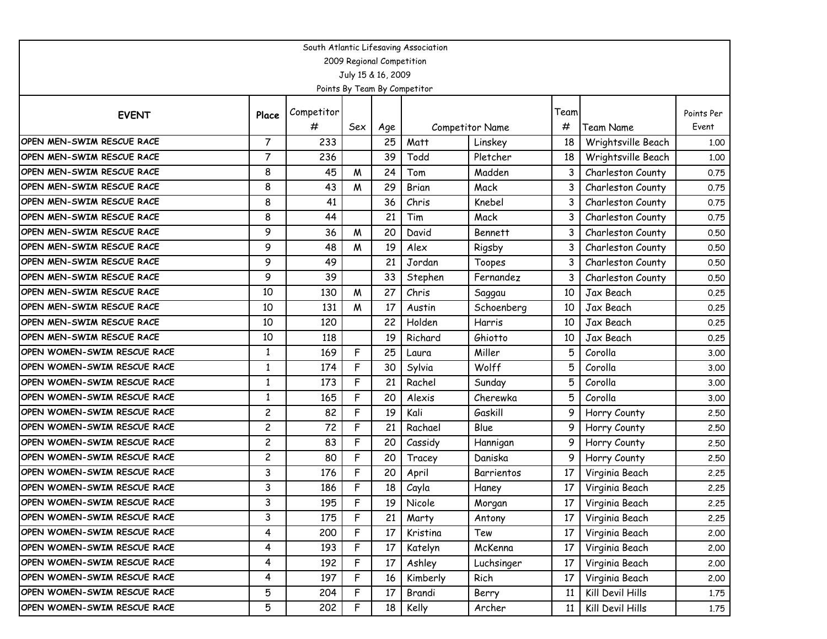| South Atlantic Lifesaving Association |                |            |     |                    |                              |                 |      |                    |            |  |  |  |
|---------------------------------------|----------------|------------|-----|--------------------|------------------------------|-----------------|------|--------------------|------------|--|--|--|
| 2009 Regional Competition             |                |            |     |                    |                              |                 |      |                    |            |  |  |  |
|                                       |                |            |     | July 15 & 16, 2009 |                              |                 |      |                    |            |  |  |  |
|                                       |                |            |     |                    | Points By Team By Competitor |                 |      |                    |            |  |  |  |
| <b>EVENT</b>                          | Place          | Competitor |     |                    |                              |                 | Team |                    | Points Per |  |  |  |
|                                       |                | #          | Sex | Age                |                              | Competitor Name | #    | Team Name          | Event      |  |  |  |
| OPEN MEN-SWIM RESCUE RACE             | $\overline{7}$ | 233        |     | 25                 | Matt                         | Linskey         | 18   | Wrightsville Beach | 1.00       |  |  |  |
| OPEN MEN-SWIM RESCUE RACE             | $\overline{7}$ | 236        |     | 39                 | Todd                         | Pletcher        | 18   | Wrightsville Beach | 1.00       |  |  |  |
| OPEN MEN-SWIM RESCUE RACE             | 8              | 45         | M   | 24                 | Tom                          | Madden          | 3    | Charleston County  | 0.75       |  |  |  |
| OPEN MEN-SWIM RESCUE RACE             | 8              | 43         | M   | 29                 | Brian                        | Mack            |      | Charleston County  | 0.75       |  |  |  |
| <b>OPEN MEN-SWIM RESCUE RACE</b>      | 8              | 41         |     | 36                 | Chris                        | Knebel          | 3    | Charleston County  | 0.75       |  |  |  |
| <b>OPEN MEN-SWIM RESCUE RACE</b>      | 8              | 44         |     | 21                 | Tim                          | Mack            | 3    | Charleston County  | 0.75       |  |  |  |
| <b>OPEN MEN-SWIM RESCUE RACE</b>      | 9              | 36         | M   | 20                 | David                        | <b>Bennett</b>  | 3    | Charleston County  | 0.50       |  |  |  |
| OPEN MEN-SWIM RESCUE RACE             | 9              | 48         | M   | 19                 | Alex                         | Rigsby          | 3    | Charleston County  | 0.50       |  |  |  |
| OPEN MEN-SWIM RESCUE RACE             | 9              | 49         |     | 21                 | Jordan                       | Toopes          | 3    | Charleston County  | 0.50       |  |  |  |
| <b>OPEN MEN-SWIM RESCUE RACE</b>      | 9              | 39         |     | 33                 | Stephen                      | Fernandez       | 3    | Charleston County  | 0.50       |  |  |  |
| <b>OPEN MEN-SWIM RESCUE RACE</b>      | 10             | 130        | M   | 27                 | Chris                        | Saggau          | 10   | Jax Beach          | 0.25       |  |  |  |
| <b>OPEN MEN-SWIM RESCUE RACE</b>      | 10             | 131        | M   | 17                 | Austin                       | Schoenberg      | 10   | Jax Beach          | 0.25       |  |  |  |
| OPEN MEN-SWIM RESCUE RACE             | 10             | 120        |     | 22                 | Holden                       | Harris          | 10   | Jax Beach          | 0.25       |  |  |  |
| <b>OPEN MEN-SWIM RESCUE RACE</b>      | 10             | 118        |     | 19                 | Richard                      | Ghiotto         | 10   | Jax Beach          | 0.25       |  |  |  |
| OPEN WOMEN-SWIM RESCUE RACE           | 1              | 169        | F   | 25                 | Laura                        | Miller          | 5    | Corolla            | 3.00       |  |  |  |
| OPEN WOMEN-SWIM RESCUE RACE           | $\mathbf{1}$   | 174        | F   | 30                 | Sylvia                       | Wolff           | 5    | Corolla            | 3.00       |  |  |  |
| OPEN WOMEN-SWIM RESCUE RACE           | 1              | 173        | F   | 21                 | Rachel                       | Sunday          | 5    | Corolla            | 3.00       |  |  |  |
| OPEN WOMEN-SWIM RESCUE RACE           | $\mathbf{1}$   | 165        | F   | 20                 | Alexis                       | Cherewka        | 5    | Corolla            | 3.00       |  |  |  |
| OPEN WOMEN-SWIM RESCUE RACE           | 2              | 82         | F   | 19                 | Kali                         | Gaskill         | 9    | Horry County       | 2.50       |  |  |  |
| OPEN WOMEN-SWIM RESCUE RACE           | $\overline{c}$ | 72         | F   | 21                 | Rachael                      | Blue            | 9    | Horry County       | 2.50       |  |  |  |
| OPEN WOMEN-SWIM RESCUE RACE           | $\overline{c}$ | 83         | F   | 20                 | Cassidy                      | Hannigan        | 9    | Horry County       | 2.50       |  |  |  |
| OPEN WOMEN-SWIM RESCUE RACE           | $\overline{c}$ | 80         | F   | 20                 | Tracey                       | Daniska         | 9    | Horry County       | 2.50       |  |  |  |
| OPEN WOMEN-SWIM RESCUE RACE           | 3              | 176        | F   | 20                 | April                        | Barrientos      | 17   | Virginia Beach     | 2.25       |  |  |  |
| OPEN WOMEN-SWIM RESCUE RACE           | 3              | 186        | F   | 18                 | Cayla                        | Haney           | 17   | Virginia Beach     | 2.25       |  |  |  |
| <b>OPEN WOMEN-SWIM RESCUE RACE</b>    | 3              | 195        | F   | 19                 | Nicole                       | Morgan          | 17   | Virginia Beach     | 2.25       |  |  |  |
| OPEN WOMEN-SWIM RESCUE RACE           | 3              | 175        | F   | 21                 | Marty                        | Antony          | 17   | Virginia Beach     | 2.25       |  |  |  |
| OPEN WOMEN-SWIM RESCUE RACE           | 4              | 200        | F   | 17                 | Kristina                     | Tew             | 17   | Virginia Beach     | 2.00       |  |  |  |
| OPEN WOMEN-SWIM RESCUE RACE           | 4              | 193        | F   | 17                 | Katelyn                      | McKenna         | 17   | Virginia Beach     | 2.00       |  |  |  |
| OPEN WOMEN-SWIM RESCUE RACE           | 4              | 192        | F   | 17                 | Ashley                       | Luchsinger      | 17   | Virginia Beach     | 2.00       |  |  |  |
| OPEN WOMEN-SWIM RESCUE RACE           | 4              | 197        | F   | 16                 | Kimberly                     | Rich            | 17   | Virginia Beach     | 2.00       |  |  |  |
| OPEN WOMEN-SWIM RESCUE RACE           | 5              | 204        | F   | 17                 | Brandi                       | Berry           | 11   | Kill Devil Hills   | 1.75       |  |  |  |
| OPEN WOMEN-SWIM RESCUE RACE           | 5              | 202        | F   | 18                 | Kelly                        | Archer          | 11   | Kill Devil Hills   | 1.75       |  |  |  |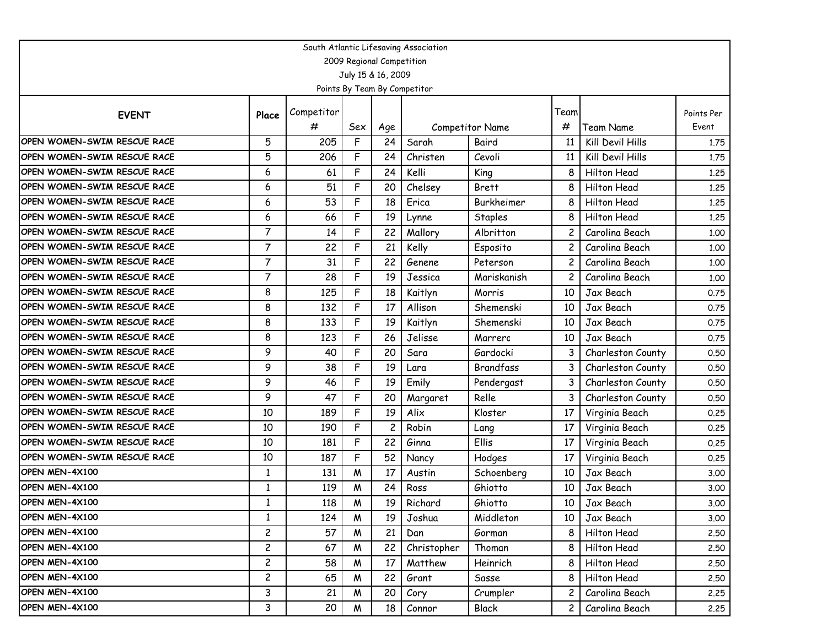| South Atlantic Lifesaving Association |                           |            |     |                    |                              |                  |                 |                   |            |  |  |  |  |
|---------------------------------------|---------------------------|------------|-----|--------------------|------------------------------|------------------|-----------------|-------------------|------------|--|--|--|--|
|                                       | 2009 Regional Competition |            |     |                    |                              |                  |                 |                   |            |  |  |  |  |
|                                       |                           |            |     | July 15 & 16, 2009 |                              |                  |                 |                   |            |  |  |  |  |
|                                       |                           |            |     |                    | Points By Team By Competitor |                  |                 |                   |            |  |  |  |  |
| <b>EVENT</b>                          | Place                     | Competitor |     |                    |                              |                  | Team            |                   | Points Per |  |  |  |  |
|                                       |                           | #          | Sex | Age                |                              | Competitor Name  | #               | Team Name         | Event      |  |  |  |  |
| OPEN WOMEN-SWIM RESCUE RACE           | 5                         | 205        | F   | 24                 | Sarah                        | Baird            | 11              | Kill Devil Hills  | 1.75       |  |  |  |  |
| OPEN WOMEN-SWIM RESCUE RACE           | 5                         | 206        | F   | 24                 | Christen                     | Cevoli           | 11              | Kill Devil Hills  | 1.75       |  |  |  |  |
| OPEN WOMEN-SWIM RESCUE RACE           | 6                         | 61         | F   | 24                 | Kelli                        | King             | 8               | Hilton Head       | 1.25       |  |  |  |  |
| OPEN WOMEN-SWIM RESCUE RACE           | 6                         | 51         | F   | 20                 | Chelsey                      | <b>Brett</b>     | 8               | Hilton Head       | 1.25       |  |  |  |  |
| OPEN WOMEN-SWIM RESCUE RACE           | 6                         | 53         | F   | 18                 | Erica                        | Burkheimer       | 8               | Hilton Head       | 1.25       |  |  |  |  |
| OPEN WOMEN-SWIM RESCUE RACE           | 6                         | 66         | F   | 19                 | Lynne                        | Staples          | 8               | Hilton Head       | 1.25       |  |  |  |  |
| OPEN WOMEN-SWIM RESCUE RACE           | $\overline{7}$            | 14         | F   | 22                 | Mallory                      | Albritton        | 2               | Carolina Beach    | 1.00       |  |  |  |  |
| OPEN WOMEN-SWIM RESCUE RACE           | $\overline{7}$            | 22         | F   | 21                 | Kelly                        | Esposito         | 2               | Carolina Beach    | 1.00       |  |  |  |  |
| OPEN WOMEN-SWIM RESCUE RACE           | 7                         | 31         | F   | 22                 | Genene                       | Peterson         | 2               | Carolina Beach    | 1.00       |  |  |  |  |
| OPEN WOMEN-SWIM RESCUE RACE           | $\overline{7}$            | 28         | F   | 19                 | Jessica                      | Mariskanish      | 2               | Carolina Beach    | 1.00       |  |  |  |  |
| OPEN WOMEN-SWIM RESCUE RACE           | 8                         | 125        | F   | 18                 | Kaitlyn                      | Morris           | 10              | Jax Beach         | 0.75       |  |  |  |  |
| OPEN WOMEN-SWIM RESCUE RACE           | 8                         | 132        | F   | 17                 | Allison                      | Shemenski        | 10              | Jax Beach         | 0.75       |  |  |  |  |
| OPEN WOMEN-SWIM RESCUE RACE           | 8                         | 133        | F   | 19                 | Kaitlyn                      | Shemenski        | 10              | Jax Beach         | 0.75       |  |  |  |  |
| OPEN WOMEN-SWIM RESCUE RACE           | 8                         | 123        | F   | 26                 | Jelisse                      | Marrero          | 10              | Jax Beach         | 0.75       |  |  |  |  |
| OPEN WOMEN-SWIM RESCUE RACE           | 9                         | 40         | F   | 20                 | Sara                         | Gardocki         | 3               | Charleston County | 0.50       |  |  |  |  |
| OPEN WOMEN-SWIM RESCUE RACE           | 9                         | 38         | F   | 19                 | Lara                         | <b>Brandfass</b> | 3               | Charleston County | 0.50       |  |  |  |  |
| OPEN WOMEN-SWIM RESCUE RACE           | 9                         | 46         | F   | 19                 | Emily                        | Pendergast       | 3               | Charleston County | 0.50       |  |  |  |  |
| OPEN WOMEN-SWIM RESCUE RACE           | 9                         | 47         | F   | 20                 | Margaret                     | Relle            | 3               | Charleston County | 0.50       |  |  |  |  |
| OPEN WOMEN-SWIM RESCUE RACE           | 10                        | 189        | F   | 19                 | Alix                         | Kloster          | 17              | Virginia Beach    | 0.25       |  |  |  |  |
| OPEN WOMEN-SWIM RESCUE RACE           | 10                        | 190        | F   | 2                  | Robin                        | Lang             | 17              | Virginia Beach    | 0.25       |  |  |  |  |
| OPEN WOMEN-SWIM RESCUE RACE           | 10                        | 181        | F   | 22                 | Ginna                        | Ellis            | 17              | Virginia Beach    | 0.25       |  |  |  |  |
| OPEN WOMEN-SWIM RESCUE RACE           | 10                        | 187        | F   | 52                 | Nancy                        | Hodges           | 17              | Virginia Beach    | 0.25       |  |  |  |  |
| OPEN MEN-4X100                        | $\mathbf{1}$              | 131        | W   | 17                 | Austin                       | Schoenberg       | 10              | Jax Beach         | 3.00       |  |  |  |  |
| OPEN MEN-4X100                        | 1                         | 119        | W   | 24                 | Ross                         | Ghiotto          | 10              | Jax Beach         | 3.00       |  |  |  |  |
| OPEN MEN-4X100                        | -1                        | 118        | M   | 19                 | Richard                      | Ghiotto          | 10 <sup>°</sup> | Jax Beach         | 3.00       |  |  |  |  |
| OPEN MEN-4X100                        | $\mathbf{1}$              | 124        | M   | 19                 | Joshua                       | Middleton        | 10              | Jax Beach         | 3.00       |  |  |  |  |
| OPEN MEN-4X100                        | $\overline{c}$            | 57         | W   | 21                 | Dan                          | Gorman           | 8               | Hilton Head       | 2.50       |  |  |  |  |
| OPEN MEN-4X100                        | $\overline{c}$            | 67         | W   | 22                 | Christopher                  | Thoman           | 8               | Hilton Head       | 2.50       |  |  |  |  |
| OPEN MEN-4X100                        | $\overline{c}$            | 58         | W   | 17                 | Matthew                      | Heinrich         | 8               | Hilton Head       | 2.50       |  |  |  |  |
| OPEN MEN-4X100                        | $\overline{c}$            | 65         | W   | 22                 | Grant                        | Sasse            | 8               | Hilton Head       | 2.50       |  |  |  |  |
| OPEN MEN-4X100                        | 3                         | 21         | W   | 20                 | Cory                         | Crumpler         | 2               | Carolina Beach    | 2.25       |  |  |  |  |
| OPEN MEN-4X100                        | 3                         | 20         | W   | 18                 | Connor                       | Black            | 2 <sub>1</sub>  | Carolina Beach    | 2.25       |  |  |  |  |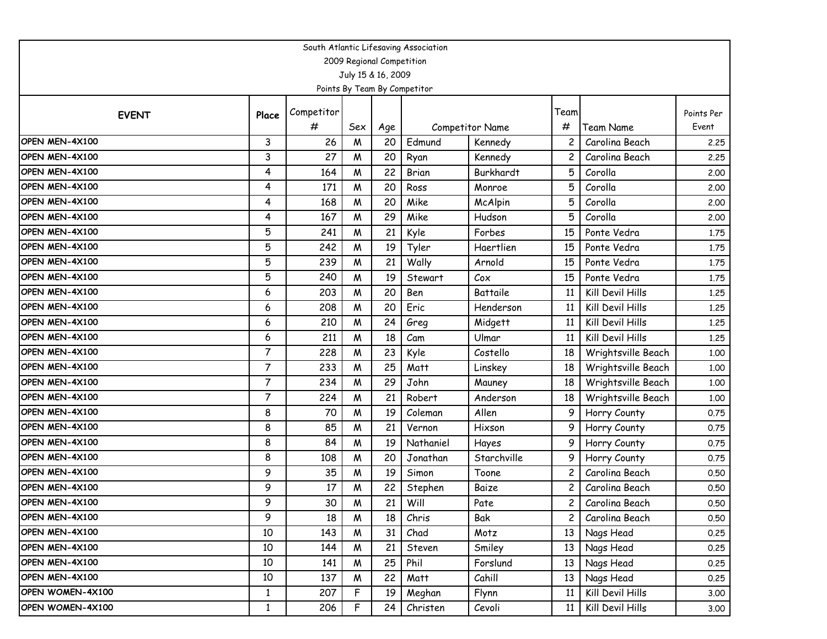| South Atlantic Lifesaving Association |                |            |                    |     |                              |                 |                |                    |            |  |  |  |
|---------------------------------------|----------------|------------|--------------------|-----|------------------------------|-----------------|----------------|--------------------|------------|--|--|--|
| 2009 Regional Competition             |                |            |                    |     |                              |                 |                |                    |            |  |  |  |
|                                       |                |            | July 15 & 16, 2009 |     |                              |                 |                |                    |            |  |  |  |
|                                       |                |            |                    |     | Points By Team By Competitor |                 |                |                    |            |  |  |  |
|                                       |                | Competitor |                    |     |                              |                 | Team           |                    | Points Per |  |  |  |
| <b>EVENT</b>                          | Place          | #          | Sex                | Age |                              | Competitor Name | #              | Team Name          | Event      |  |  |  |
| OPEN MEN-4X100                        | 3              | 26         | M                  | 20  | Edmund                       | Kennedy         | 2              | Carolina Beach     | 2.25       |  |  |  |
| OPEN MEN-4X100                        | 3              | 27         | M                  | 20  | Ryan                         | Kennedy         |                | Carolina Beach     | 2.25       |  |  |  |
| OPEN MEN-4X100                        | 4              | 164        | W                  | 22  | Brian                        | Burkhardt       | 5              | Corolla            | 2.00       |  |  |  |
| OPEN MEN-4X100                        | 4              | 171        | M                  | 20  | Ross                         | Monroe          | 5              | Corolla            | 2.00       |  |  |  |
| OPEN MEN-4X100                        | 4              | 168        | M                  | 20  | Mike                         | McAlpin         | 5              | Corolla            | 2.00       |  |  |  |
| OPEN MEN-4X100                        | 4              | 167        | M                  | 29  | Mike                         | Hudson          | 5              | Corolla            | 2.00       |  |  |  |
| OPEN MEN-4X100                        | 5              | 241        | M                  | 21  | Kyle                         | Forbes          | 15             | Ponte Vedra        | 1.75       |  |  |  |
| OPEN MEN-4X100                        | 5              | 242        | M                  | 19  | Tyler                        | Haertlien       | 15             | Ponte Vedra        | 1.75       |  |  |  |
| OPEN MEN-4X100                        | 5              | 239        | M                  | 21  | Wally                        | Arnold          | 15             | Ponte Vedra        | 1.75       |  |  |  |
| OPEN MEN-4X100                        | 5              | 240        | M                  | 19  | Stewart                      | Cox             | 15             | Ponte Vedra        | 1.75       |  |  |  |
| OPEN MEN-4X100                        | 6              | 203        | M                  | 20  | Ben                          | Battaile        | 11             | Kill Devil Hills   | 1.25       |  |  |  |
| OPEN MEN-4X100                        | 6              | 208        | M                  | 20  | Eric                         | Henderson       | 11             | Kill Devil Hills   | 1.25       |  |  |  |
| OPEN MEN-4X100                        | 6              | 210        | W                  | 24  | Greg                         | Midgett         | 11             | Kill Devil Hills   | 1.25       |  |  |  |
| OPEN MEN-4X100                        | 6              | 211        | M                  | 18  | Cam                          | Ulmar           | 11             | Kill Devil Hills   | 1.25       |  |  |  |
| OPEN MEN-4X100                        | $\overline{7}$ | 228        | M                  | 23  | Kyle                         | Costello        | 18             | Wrightsville Beach | 1.00       |  |  |  |
| OPEN MEN-4X100                        | $\overline{7}$ | 233        | M                  | 25  | Matt                         | Linskey         | 18             | Wrightsville Beach | 1.00       |  |  |  |
| OPEN MEN-4X100                        | $\overline{7}$ | 234        | M                  | 29  | John                         | Mauney          | 18             | Wrightsville Beach | 1.00       |  |  |  |
| OPEN MEN-4X100                        | 7              | 224        | M                  | 21  | Robert                       | Anderson        | 18             | Wrightsville Beach | 1.00       |  |  |  |
| OPEN MEN-4X100                        | 8              | 70         | M                  | 19  | Coleman                      | Allen           | 9              | Horry County       | 0.75       |  |  |  |
| OPEN MEN-4X100                        | 8              | 85         | M                  | 21  | Vernon                       | Hixson          | 9              | Horry County       | 0.75       |  |  |  |
| OPEN MEN-4X100                        | 8              | 84         | M                  | 19  | Nathaniel                    | Hayes           | 9              | Horry County       | 0.75       |  |  |  |
| OPEN MEN-4X100                        | 8              | 108        | M                  | 20  | Jonathan                     | Starchville     | 9              | Horry County       | 0.75       |  |  |  |
| OPEN MEN-4X100                        | 9              | 35         | W                  | 19  | Simon                        | Toone           | 2              | Carolina Beach     | 0.50       |  |  |  |
| OPEN MEN-4X100                        | 9              | 17         | M                  | 22  | Stephen                      | Baize           | 2              | Carolina Beach     | 0.50       |  |  |  |
| OPEN MEN-4X100                        | 9              | 30         | M                  | 21  | Will                         | Pate            | 2 <sup>1</sup> | Carolina Beach     | 0.50       |  |  |  |
| OPEN MEN-4X100                        | 9              | 18         | M                  | 18  | Chris                        | Bak             | $\overline{c}$ | Carolina Beach     | 0.50       |  |  |  |
| OPEN MEN-4X100                        | $10\,$         | 143        | W                  | 31  | Chad                         | Motz            | 13             | Nags Head          | 0.25       |  |  |  |
| OPEN MEN-4X100                        | 10             | 144        | W                  | 21  | Steven                       | Smiley          | 13             | Nags Head          | 0.25       |  |  |  |
| OPEN MEN-4X100                        | 10             | 141        | W                  | 25  | Phil                         | Forslund        | 13             | Nags Head          | 0.25       |  |  |  |
| OPEN MEN-4X100                        | $10$           | 137        | W                  | 22  | Matt                         | Cahill          | 13             | Nags Head          | 0.25       |  |  |  |
| OPEN WOMEN-4X100                      | $\mathbf{1}$   | 207        | F                  | 19  | Meghan                       | Flynn           | 11             | Kill Devil Hills   | 3.00       |  |  |  |
| OPEN WOMEN-4X100                      | $\mathbf{1}$   | 206        | F                  | 24  | Christen                     | Cevoli          | 11             | Kill Devil Hills   | 3.00       |  |  |  |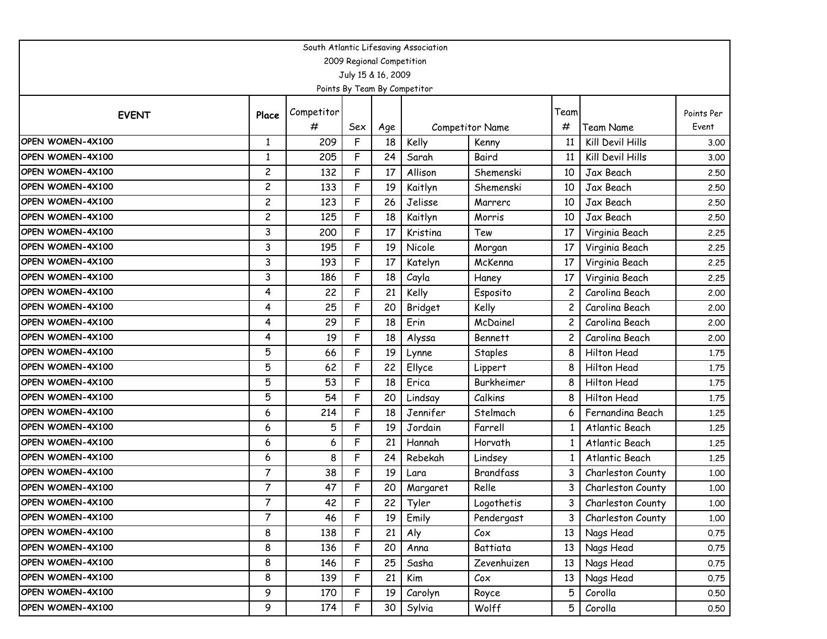| South Atlantic Lifesaving Association |                |            |     |                    |                              |                  |                 |                    |            |  |  |  |
|---------------------------------------|----------------|------------|-----|--------------------|------------------------------|------------------|-----------------|--------------------|------------|--|--|--|
| 2009 Regional Competition             |                |            |     |                    |                              |                  |                 |                    |            |  |  |  |
|                                       |                |            |     | July 15 & 16, 2009 |                              |                  |                 |                    |            |  |  |  |
|                                       |                |            |     |                    | Points By Team By Competitor |                  |                 |                    |            |  |  |  |
|                                       | Place          | Competitor |     |                    |                              |                  | Team            |                    | Points Per |  |  |  |
| <b>EVENT</b>                          |                | #          | Sex | Age                |                              | Competitor Name  | #               | Team Name          | Event      |  |  |  |
| OPEN WOMEN-4X100                      | 1              | 209        | F   | 18                 | Kelly                        | Kenny            | 11              | Kill Devil Hills   | 3.00       |  |  |  |
| OPEN WOMEN-4X100                      | 1              | 205        | F   | 24                 | Sarah                        | Baird            | 11              | Kill Devil Hills   | 3.00       |  |  |  |
| OPEN WOMEN-4X100                      | $\overline{c}$ | 132        | F   | 17                 | Allison                      | Shemenski        | 10              | Jax Beach          | 2.50       |  |  |  |
| OPEN WOMEN-4X100                      | $\overline{c}$ | 133        | F   | 19                 | Kaitlyn                      | Shemenski        | 10              | Jax Beach          | 2.50       |  |  |  |
| OPEN WOMEN-4X100                      | $\overline{c}$ | 123        | F   | 26                 | Jelisse                      | Marrero          | 10              | Jax Beach          | 2.50       |  |  |  |
| OPEN WOMEN-4X100                      | $\overline{c}$ | 125        | F   | 18                 | Kaitlyn                      | Morris           | 10              | Jax Beach          | 2.50       |  |  |  |
| OPEN WOMEN-4X100                      | 3              | 200        | F   | 17                 | Kristina                     | Tew              | 17              | Virginia Beach     | 2.25       |  |  |  |
| OPEN WOMEN-4X100                      | 3              | 195        | F   | 19                 | Nicole                       | Morgan           | 17              | Virginia Beach     | 2.25       |  |  |  |
| OPEN WOMEN-4X100                      | 3              | 193        | F   | 17                 | Katelyn                      | McKenna          | 17              | Virginia Beach     | 2.25       |  |  |  |
| OPEN WOMEN-4X100                      | 3              | 186        | F   | 18                 | Cayla                        | Haney            | 17              | Virginia Beach     | 2.25       |  |  |  |
| OPEN WOMEN-4X100                      | 4              | 22         | F   | 21                 | Kelly                        | Esposito         | 2               | Carolina Beach     | 2.00       |  |  |  |
| OPEN WOMEN-4X100                      | 4              | 25         | F   | 20                 | Bridget                      | Kelly            |                 | Carolina Beach     | 2.00       |  |  |  |
| OPEN WOMEN-4X100                      | 4              | 29         | F   | 18                 | Erin                         | McDainel         |                 | Carolina Beach     | 2.00       |  |  |  |
| OPEN WOMEN-4X100                      | 4              | 19         | F   | 18                 | Alyssa                       | <b>Bennett</b>   | 2               | Carolina Beach     | 2.00       |  |  |  |
| OPEN WOMEN-4X100                      | 5              | 66         | F   | 19                 | Lynne                        | Staples          | 8               | <b>Hilton Head</b> | 1.75       |  |  |  |
| OPEN WOMEN-4X100                      | 5              | 62         | F   | 22                 | Ellyce                       | Lippert          | 8               | Hilton Head        | 1.75       |  |  |  |
| OPEN WOMEN-4X100                      | 5              | 53         | F   | 18                 | Erica                        | Burkheimer       | 8               | Hilton Head        | 1.75       |  |  |  |
| OPEN WOMEN-4X100                      | 5              | 54         | F   | 20                 | Lindsay                      | Calkins          | 8               | Hilton Head        | 1.75       |  |  |  |
| OPEN WOMEN-4X100                      | 6              | 214        | F   | 18                 | Jennifer                     | Stelmach         | 6               | Fernandina Beach   | 1.25       |  |  |  |
| OPEN WOMEN-4X100                      | 6              | 5          | F   | 19                 | Jordain                      | Farrell          |                 | Atlantic Beach     | 1.25       |  |  |  |
| OPEN WOMEN-4X100                      | 6              | 6          | F   | 21                 | Hannah                       | Horvath          | 1               | Atlantic Beach     | 1.25       |  |  |  |
| OPEN WOMEN-4X100                      | 6              | 8          | F   | 24                 | Rebekah                      | Lindsey          |                 | Atlantic Beach     | 1.25       |  |  |  |
| OPEN WOMEN-4X100                      | 7              | 38         | F   | 19                 | Lara                         | <b>Brandfass</b> | 3               | Charleston County  | 1.00       |  |  |  |
| OPEN WOMEN-4X100                      | $\overline{7}$ | 47         | F   | 20                 | Margaret                     | Relle            | 3               | Charleston County  | 1.00       |  |  |  |
| OPEN WOMEN-4X100                      | $\overline{7}$ | 42         | F   | 22                 | Tyler                        | Logothetis       | 3               | Charleston County  | 1.00       |  |  |  |
| OPEN WOMEN-4X100                      | $\overline{7}$ | 46         | F   | 19                 | Emily                        | Pendergast       | 3 <sup>1</sup>  | Charleston County  | 1.00       |  |  |  |
| OPEN WOMEN-4X100                      | 8              | 138        | F   | 21                 | Aly                          | $\mathcal{C}$ ox | 13              | Nags Head          | 0.75       |  |  |  |
| OPEN WOMEN-4X100                      | 8              | 136        | F   | 20                 | Anna                         | Battiata         | 13              | Nags Head          | 0.75       |  |  |  |
| OPEN WOMEN-4X100                      | 8              | 146        | F   | 25                 | Sasha                        | Zevenhuizen      | 13              | Nags Head          | 0.75       |  |  |  |
| OPEN WOMEN-4X100                      | 8              | 139        | F   | 21                 | Kim                          | $\mathcal{C}$ ox | 13 <sup>1</sup> | Nags Head          | 0.75       |  |  |  |
| OPEN WOMEN-4X100                      | 9              | 170        | F   | 19                 | Carolyn                      | Royce            | 5 <sup>1</sup>  | Corolla            | 0.50       |  |  |  |
| OPEN WOMEN-4X100                      | 9              | 174        | F   | 30 <sub>o</sub>    | Sylvia                       | Wolff            | 5               | Corolla            | 0.50       |  |  |  |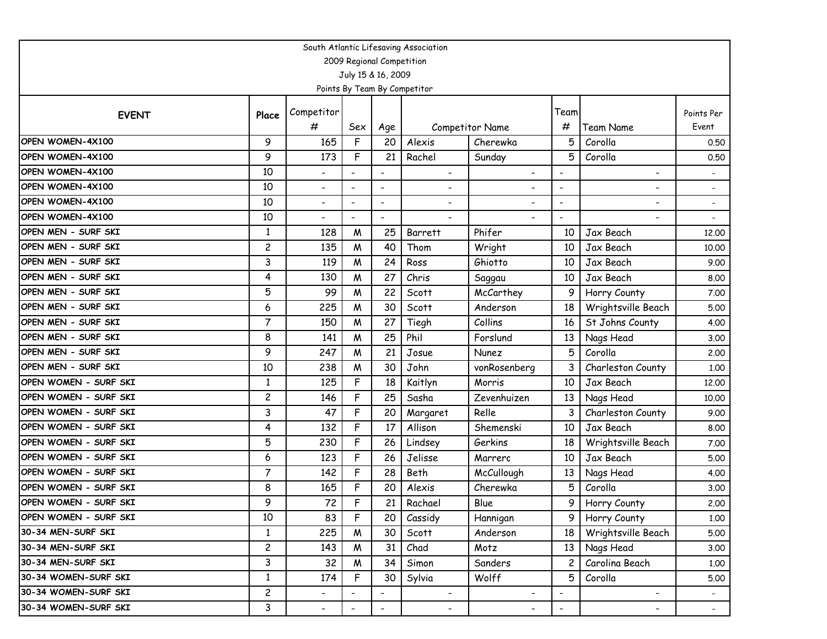| South Atlantic Lifesaving Association |                |                          |                          |                          |                              |                          |                          |                          |                          |  |  |  |
|---------------------------------------|----------------|--------------------------|--------------------------|--------------------------|------------------------------|--------------------------|--------------------------|--------------------------|--------------------------|--|--|--|
| 2009 Regional Competition             |                |                          |                          |                          |                              |                          |                          |                          |                          |  |  |  |
|                                       |                |                          |                          | July 15 & 16, 2009       |                              |                          |                          |                          |                          |  |  |  |
|                                       |                |                          |                          |                          | Points By Team By Competitor |                          |                          |                          |                          |  |  |  |
|                                       |                | Competitor               |                          |                          |                              |                          | Team                     |                          | Points Per               |  |  |  |
| <b>EVENT</b>                          | Place          | #                        | Sex                      | Age                      |                              | Competitor Name          | #                        | Team Name                | Event                    |  |  |  |
| OPEN WOMEN-4X100                      | 9              | 165                      | F                        | 20                       | Alexis                       | Cherewka                 | 5                        | Corolla                  | 0.50                     |  |  |  |
| OPEN WOMEN-4X100                      | 9              | 173                      | F                        | 21                       | Rachel                       | Sunday                   | 5                        | Corolla                  | 0.50                     |  |  |  |
| OPEN WOMEN-4X100                      | 10             | $\overline{\phantom{0}}$ |                          |                          | $\overline{\phantom{0}}$     | $\overline{\phantom{a}}$ |                          | $\overline{\phantom{a}}$ |                          |  |  |  |
| OPEN WOMEN-4X100                      | 10             | ۰                        | $\overline{a}$           | $\tilde{\phantom{a}}$    | ۰                            |                          |                          |                          |                          |  |  |  |
| OPEN WOMEN-4X100                      | 10             | $\overline{\phantom{0}}$ | $\overline{\phantom{a}}$ | $\overline{\phantom{a}}$ | $\overline{\phantom{0}}$     | $\overline{\phantom{a}}$ | $\overline{\phantom{a}}$ | $\overline{\phantom{a}}$ | $\overline{\phantom{a}}$ |  |  |  |
| OPEN WOMEN-4X100                      | 10             | $\overline{\phantom{0}}$ | $\blacksquare$           | $\overline{\phantom{0}}$ |                              | Ξ.                       |                          | ۰                        |                          |  |  |  |
| OPEN MEN - SURF SKI                   | 1              | 128                      | M                        | 25                       | Barrett                      | Phifer                   | 10                       | Jax Beach                | 12,00                    |  |  |  |
| OPEN MEN - SURF SKI                   | $\overline{c}$ | 135                      | M                        | 40                       | Thom                         | Wright                   | 10                       | Jax Beach                | 10.00                    |  |  |  |
| OPEN MEN - SURF SKI                   | 3              | 119                      | M                        | 24                       | Ross                         | Ghiotto                  | 10                       | Jax Beach                | 9.00                     |  |  |  |
| OPEN MEN - SURF SKI                   | 4              | 130                      | M                        | 27                       | Chris                        | Saggau                   | 10                       | Jax Beach                | 8.00                     |  |  |  |
| OPEN MEN - SURF SKI                   | 5              | 99                       | M                        | 22                       | Scott                        | McCarthey                | 9                        | Horry County             | 7.00                     |  |  |  |
| OPEN MEN - SURF SKI                   | 6              | 225                      | M                        | 30                       | Scott                        | Anderson                 | 18                       | Wrightsville Beach       | 5.00                     |  |  |  |
| OPEN MEN - SURF SKI                   | 7              | 150                      | W                        | 27                       | Tiegh                        | Collins                  | 16                       | St Johns County          | 4.00                     |  |  |  |
| OPEN MEN - SURF SKI                   | 8              | 141                      | M                        | 25                       | Phil                         | Forslund                 | 13                       | Nags Head                | 3.00                     |  |  |  |
| OPEN MEN - SURF SKI                   | 9              | 247                      | M                        | 21                       | Josue                        | Nunez                    | 5                        | Corolla                  | 2.00                     |  |  |  |
| OPEN MEN - SURF SKI                   | 10             | 238                      | M                        | 30                       | John                         | vonRosenberg             | 3                        | Charleston County        | 1.00                     |  |  |  |
| OPEN WOMEN - SURF SKI                 | 1              | 125                      | F                        | 18                       | Kaitlyn                      | Morris                   | 10                       | Jax Beach                | 12.00                    |  |  |  |
| OPEN WOMEN - SURF SKI                 | $\overline{c}$ | 146                      | F                        | 25                       | Sasha                        | Zevenhuizen              | 13                       | Nags Head                | 10.00                    |  |  |  |
| OPEN WOMEN - SURF SKI                 | 3              | 47                       | F                        | 20                       | Margaret                     | Relle                    | 3                        | Charleston County        | 9.00                     |  |  |  |
| OPEN WOMEN - SURF SKI                 | 4              | 132                      | F                        | 17                       | Allison                      | Shemenski                | 10                       | Jax Beach                | 8.00                     |  |  |  |
| OPEN WOMEN - SURF SKI                 | 5              | 230                      | F                        | 26                       | Lindsey                      | Gerkins                  | 18                       | Wrightsville Beach       | 7.00                     |  |  |  |
| OPEN WOMEN - SURF SKI                 | 6              | 123                      | F                        | 26                       | Jelisse                      | Marrero                  | 10                       | Jax Beach                | 5.00                     |  |  |  |
| OPEN WOMEN - SURF SKI                 | 7              | 142                      | F                        | 28                       | Beth                         | McCullough               | 13                       | Nags Head                | 4.00                     |  |  |  |
| OPEN WOMEN - SURF SKI                 | 8              | 165                      | F                        | 20                       | Alexis                       | Cherewka                 | 5                        | Corolla                  | 3.00                     |  |  |  |
| OPEN WOMEN - SURF SKI                 | 9              | 72                       | F                        | 21                       | Rachael                      | Blue                     | 9                        | Horry County             | 2.00                     |  |  |  |
| OPEN WOMEN - SURF SKI                 | 10             | 83                       | F                        | 20                       | Cassidy                      | Hannigan                 | 9                        | Horry County             | 1.00                     |  |  |  |
| 30-34 MEN-SURF SKI                    | $\mathbf{1}$   | 225                      | W                        | 30                       | Scott                        | Anderson                 | 18                       | Wrightsville Beach       | 5.00                     |  |  |  |
| 30-34 MEN-SURF SKI                    | $\overline{c}$ | 143                      | W                        | 31                       | Chad                         | Motz                     | 13 <sup>1</sup>          | Nags Head                | 3.00                     |  |  |  |
| 30-34 MEN-SURF SKI                    | 3              | 32                       | W                        | 34                       | Simon                        | Sanders                  |                          | Carolina Beach           | 1.00                     |  |  |  |
| 30-34 WOMEN-SURF SKI                  | $\mathbf{1}$   | 174                      | F                        | 30                       | Sylvia                       | Wolff                    | 5                        | Corolla                  | 5.00                     |  |  |  |
| 30-34 WOMEN-SURF SKI                  | $\overline{c}$ |                          |                          |                          | $\overline{\phantom{0}}$     |                          |                          | $\overline{\phantom{a}}$ |                          |  |  |  |
| 30-34 WOMEN-SURF SKI                  | 3              | $\overline{\phantom{a}}$ | $\overline{\phantom{a}}$ | $\overline{\phantom{a}}$ | $\overline{\phantom{a}}$     | $\overline{\phantom{a}}$ | $\overline{\phantom{a}}$ | $\overline{\phantom{a}}$ | $\sim$                   |  |  |  |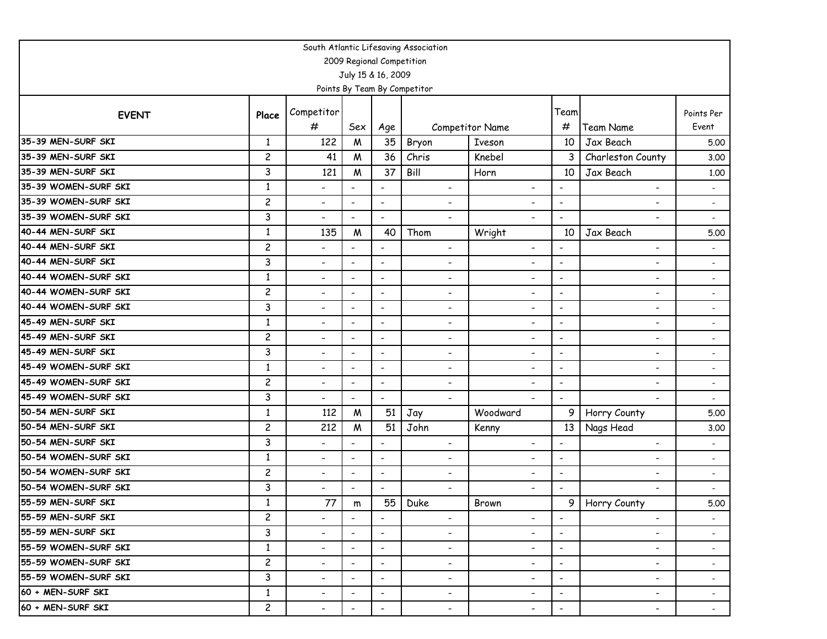| South Atlantic Lifesaving Association |                |                          |                          |                              |                              |                          |                          |                          |                          |  |  |  |
|---------------------------------------|----------------|--------------------------|--------------------------|------------------------------|------------------------------|--------------------------|--------------------------|--------------------------|--------------------------|--|--|--|
| 2009 Regional Competition             |                |                          |                          |                              |                              |                          |                          |                          |                          |  |  |  |
|                                       |                |                          | July 15 & 16, 2009       |                              |                              |                          |                          |                          |                          |  |  |  |
|                                       |                |                          |                          |                              | Points By Team By Competitor |                          |                          |                          |                          |  |  |  |
| <b>EVENT</b>                          | Place          | Competitor               |                          |                              |                              |                          | Team                     |                          | Points Per               |  |  |  |
|                                       |                | #                        | Sex                      | Age                          |                              | <b>Competitor Name</b>   | #                        | <b>Team Name</b>         | Event                    |  |  |  |
| 35-39 MEN-SURF SKI                    | 1              | 122                      | $\boldsymbol{M}$         | 35                           | Bryon                        | <b>Iveson</b>            | 10                       | Jax Beach                | 5.00                     |  |  |  |
| 35-39 MEN-SURF SKI                    | $\overline{c}$ | 41                       | M                        | 36                           | Chris                        | Knebel                   | 3                        | Charleston County        | 3.00                     |  |  |  |
| 35-39 MEN-SURF SKI                    | 3              | 121                      | M                        | 37                           | Bill                         | Horn                     | 10                       | Jax Beach                | 1.00                     |  |  |  |
| 35-39 WOMEN-SURF SKI                  | $\mathbf{1}$   | $\overline{\phantom{a}}$ | $\overline{\phantom{a}}$ | $\overline{\phantom{a}}$     | $\qquad \qquad \blacksquare$ | $\overline{\phantom{a}}$ | $\overline{\phantom{a}}$ | $\overline{\phantom{a}}$ | $\overline{\phantom{a}}$ |  |  |  |
| 35-39 WOMEN-SURF SKI                  | $\overline{c}$ | $\blacksquare$           | $\overline{\phantom{a}}$ | $\blacksquare$               | $\overline{\phantom{0}}$     | $\overline{\phantom{0}}$ | $\blacksquare$           | $\overline{\phantom{a}}$ | $\overline{\phantom{a}}$ |  |  |  |
| 35-39 WOMEN-SURF SKI                  | 3              | $\overline{\phantom{0}}$ | $\blacksquare$           | $\overline{\phantom{a}}$     | $\overline{a}$               | $\overline{\phantom{0}}$ | $\blacksquare$           | $\overline{\phantom{0}}$ | $\overline{\phantom{a}}$ |  |  |  |
| 40-44 MEN-SURF SKI                    | 1              | 135                      | M                        | 40                           | Thom                         | Wright                   | 10                       | Jax Beach                | 5.00                     |  |  |  |
| 40-44 MEN-SURF SKI                    | $\overline{c}$ | $\overline{\phantom{a}}$ | $\overline{a}$           | $\qquad \qquad \blacksquare$ | $\overline{\phantom{0}}$     | $\overline{\phantom{a}}$ | $\overline{\phantom{a}}$ | $\overline{\phantom{a}}$ | $\overline{\phantom{a}}$ |  |  |  |
| 40-44 MEN-SURF SKI                    | 3              | $\overline{\phantom{a}}$ | $\overline{\phantom{a}}$ | $\overline{\phantom{a}}$     | $\qquad \qquad \blacksquare$ | $\overline{\phantom{a}}$ | $\blacksquare$           | $\overline{\phantom{a}}$ | $\overline{\phantom{a}}$ |  |  |  |
| 40-44 WOMEN-SURF SKI                  | $\mathbf{1}$   | $\blacksquare$           | $\overline{\phantom{a}}$ | $\overline{\phantom{a}}$     | ٠                            | $\overline{\phantom{a}}$ | $\blacksquare$           | $\overline{\phantom{a}}$ | $\overline{\phantom{a}}$ |  |  |  |
| 40-44 WOMEN-SURF SKI                  | $\overline{c}$ | $\overline{\phantom{a}}$ | $\overline{\phantom{a}}$ | $\overline{\phantom{a}}$     | $\qquad \qquad \blacksquare$ | $\overline{\phantom{0}}$ | $\overline{\phantom{a}}$ | -                        | $\overline{\phantom{a}}$ |  |  |  |
| 40-44 WOMEN-SURF SKI                  | 3              | $\overline{\phantom{a}}$ | $\overline{\phantom{a}}$ | $\overline{\phantom{a}}$     | -                            | $\overline{\phantom{a}}$ | $\overline{\phantom{a}}$ | $\overline{\phantom{a}}$ |                          |  |  |  |
| 45-49 MEN-SURF SKI                    | $\mathbf{1}$   | $\overline{\phantom{a}}$ | $\overline{\phantom{a}}$ | $\overline{\phantom{a}}$     | $\qquad \qquad \blacksquare$ | $\overline{\phantom{a}}$ | $\blacksquare$           | $\overline{\phantom{a}}$ | $\overline{\phantom{a}}$ |  |  |  |
| 45-49 MEN-SURF SKI                    | $\overline{c}$ | $\overline{\phantom{a}}$ | $\overline{\phantom{a}}$ | $\qquad \qquad \blacksquare$ | $\qquad \qquad \blacksquare$ | $\overline{\phantom{a}}$ | $\overline{\phantom{a}}$ | $\overline{\phantom{a}}$ | $\overline{\phantom{a}}$ |  |  |  |
| 45-49 MEN-SURF SKI                    | 3              | $\overline{\phantom{a}}$ | $\overline{\phantom{a}}$ | $\overline{\phantom{a}}$     | $\qquad \qquad \blacksquare$ | $\overline{\phantom{a}}$ | $\overline{\phantom{a}}$ | $\overline{\phantom{a}}$ | $\overline{\phantom{a}}$ |  |  |  |
| 45-49 WOMEN-SURF SKI                  | $\mathbf{1}$   | $\overline{\phantom{a}}$ | $\overline{\phantom{a}}$ | $\overline{\phantom{a}}$     | $\qquad \qquad \blacksquare$ | $\overline{\phantom{a}}$ | $\overline{\phantom{a}}$ | $\overline{\phantom{a}}$ | $\overline{\phantom{a}}$ |  |  |  |
| 45-49 WOMEN-SURF SKI                  | $\overline{c}$ | $\overline{\phantom{a}}$ | $\overline{\phantom{a}}$ | $\overline{\phantom{a}}$     | $\overline{\phantom{0}}$     | $\overline{\phantom{a}}$ | $\overline{\phantom{a}}$ | $\overline{\phantom{a}}$ | $\overline{\phantom{a}}$ |  |  |  |
| 45-49 WOMEN-SURF SKI                  | 3              | $\overline{\phantom{a}}$ | $\blacksquare$           | $\overline{a}$               | $\overline{\phantom{0}}$     | $\blacksquare$           | $\blacksquare$           | $\blacksquare$           | $\overline{\phantom{a}}$ |  |  |  |
| 50-54 MEN-SURF SKI                    | $\mathbf{1}$   | 112                      | M                        | 51                           | Jay                          | Woodward                 | 9                        | Horry County             | 5.00                     |  |  |  |
| 50-54 MEN-SURF SKI                    | $\overline{c}$ | 212                      | M                        | 51                           | John                         | Kenny                    | 13                       | Nags Head                | 3.00                     |  |  |  |
| 50-54 MEN-SURF SKI                    | 3              | $\overline{\phantom{a}}$ | $\overline{\phantom{a}}$ | $\overline{\phantom{a}}$     | $\overline{\phantom{0}}$     | $\overline{\phantom{0}}$ | $\overline{\phantom{a}}$ | -                        |                          |  |  |  |
| 50-54 WOMEN-SURF SKI                  | 1              | $\overline{\phantom{a}}$ | $\overline{\phantom{a}}$ | $\overline{\phantom{a}}$     | $\overline{\phantom{0}}$     | $\overline{\phantom{a}}$ | $\overline{\phantom{a}}$ | -                        |                          |  |  |  |
| 50-54 WOMEN-SURF SKI                  | $\overline{c}$ | $\overline{\phantom{a}}$ | $\overline{\phantom{a}}$ | $\overline{\phantom{a}}$     | $\qquad \qquad \blacksquare$ | $\overline{\phantom{a}}$ | $\overline{\phantom{a}}$ | $\overline{\phantom{a}}$ | $\overline{\phantom{a}}$ |  |  |  |
| 50-54 WOMEN-SURF SKI                  | 3              | $\overline{\phantom{a}}$ | $\overline{\phantom{a}}$ | $\overline{\phantom{a}}$     | $\overline{\phantom{0}}$     | $\overline{\phantom{0}}$ | $\overline{\phantom{a}}$ | -                        | $\overline{\phantom{a}}$ |  |  |  |
| 55-59 MEN-SURF SKI                    | $\mathbf{1}$   | 77                       | m                        | 55                           | Duke                         | Brown                    | 9 <sub>1</sub>           | Horry County             | 5.00                     |  |  |  |
| 55-59 MEN-SURF SKI                    | $\overline{c}$ | $\overline{\phantom{a}}$ | $\overline{\phantom{a}}$ | $\overline{\phantom{a}}$     | $\overline{\phantom{0}}$     | $\overline{\phantom{a}}$ | $\overline{\phantom{a}}$ | $\overline{\phantom{a}}$ | $\overline{\phantom{a}}$ |  |  |  |
| 55-59 MEN-SURF SKI                    | 3              | -                        | $\overline{\phantom{a}}$ | $\overline{\phantom{a}}$     | -                            | ۰.                       | $\overline{\phantom{a}}$ | ۰.                       | $\overline{\phantom{a}}$ |  |  |  |
| 55-59 WOMEN-SURF SKI                  | $\mathbf{1}$   | $\overline{\phantom{a}}$ | $\overline{\phantom{a}}$ | $\overline{\phantom{a}}$     | Ξ.                           | $\overline{\phantom{0}}$ | $\overline{\phantom{a}}$ | ۰.                       | $\sim$                   |  |  |  |
| 155-59 WOMEN-SURF SKI                 | $\overline{c}$ | $\overline{\phantom{a}}$ | $\overline{\phantom{a}}$ | $\overline{\phantom{a}}$     | -                            | $\overline{\phantom{a}}$ | $\overline{\phantom{a}}$ | $\overline{\phantom{a}}$ | $\sim$                   |  |  |  |
| 55-59 WOMEN-SURF SKI                  | 3              | $\overline{\phantom{a}}$ | $\overline{\phantom{a}}$ | $\overline{\phantom{a}}$     | $\overline{\phantom{a}}$     | $\overline{\phantom{a}}$ | $\overline{\phantom{a}}$ | $\overline{\phantom{a}}$ | $\overline{\phantom{a}}$ |  |  |  |
| 60 + MEN-SURF SKI                     | $\mathbf{1}$   | $\overline{\phantom{a}}$ | $\overline{\phantom{a}}$ | $\overline{\phantom{a}}$     | $\overline{\phantom{0}}$     | $\overline{\phantom{a}}$ | $\overline{\phantom{a}}$ | $\overline{\phantom{a}}$ | $\sim$                   |  |  |  |
| 60 + MEN-SURF SKI                     | $\overline{c}$ | -                        | $\overline{\phantom{a}}$ | $\overline{\phantom{a}}$     | $\overline{\phantom{a}}$     | $\overline{\phantom{a}}$ | $\overline{\phantom{a}}$ | ۰.                       | $\sim$                   |  |  |  |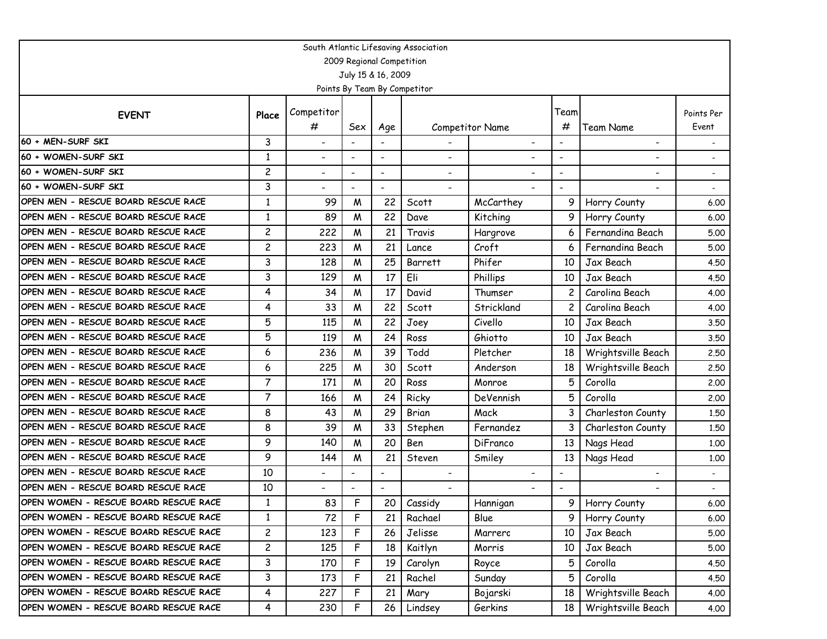| South Atlantic Lifesaving Association |                |                          |                          |                          |                              |                          |                          |                                  |                          |  |  |  |
|---------------------------------------|----------------|--------------------------|--------------------------|--------------------------|------------------------------|--------------------------|--------------------------|----------------------------------|--------------------------|--|--|--|
| 2009 Regional Competition             |                |                          |                          |                          |                              |                          |                          |                                  |                          |  |  |  |
|                                       |                |                          |                          | July 15 & 16, 2009       |                              |                          |                          |                                  |                          |  |  |  |
|                                       |                |                          |                          |                          | Points By Team By Competitor |                          |                          |                                  |                          |  |  |  |
| <b>EVENT</b>                          | Place          | Competitor               |                          |                          |                              |                          | Team                     |                                  | Points Per               |  |  |  |
|                                       |                | #                        | Sex                      | Age                      |                              | Competitor Name          | #                        | Team Name                        | Event                    |  |  |  |
| 60 + MEN-SURF SKI                     | 3              | $\blacksquare$           |                          |                          |                              | $\overline{\phantom{0}}$ | $\blacksquare$           | $\overline{\phantom{0}}$         |                          |  |  |  |
| 60 + WOMEN-SURF SKI                   | $\mathbf{1}$   | $\overline{\phantom{a}}$ |                          |                          |                              |                          |                          |                                  |                          |  |  |  |
| 60 + WOMEN-SURF SKI                   | $\overline{c}$ | $\overline{\phantom{a}}$ | $\overline{\phantom{a}}$ | $\overline{\phantom{a}}$ | $\qquad \qquad \blacksquare$ |                          |                          | $\overline{\phantom{0}}$         | $\overline{\phantom{a}}$ |  |  |  |
| 60 + WOMEN-SURF SKI                   | 3              | $\overline{\phantom{a}}$ |                          |                          |                              |                          | $\overline{\phantom{a}}$ |                                  |                          |  |  |  |
| OPEN MEN - RESCUE BOARD RESCUE RACE   | $\mathbf{1}$   | 99                       | M                        | 22                       | Scott                        | McCarthey                |                          | Horry County                     | 6.00                     |  |  |  |
| OPEN MEN - RESCUE BOARD RESCUE RACE   | 1              | 89                       | W                        | 22                       | Dave                         | Kitching                 | 9                        | Horry County                     | 6.00                     |  |  |  |
| OPEN MEN - RESCUE BOARD RESCUE RACE   | $\overline{c}$ | 222                      | W                        | 21                       | Travis                       | Hargrove                 |                          | Fernandina Beach                 | 5.00                     |  |  |  |
| OPEN MEN - RESCUE BOARD RESCUE RACE   | $\overline{c}$ | 223                      | M                        | 21                       | Lance                        | Croft                    | 6                        | Fernandina Beach                 | 5.00                     |  |  |  |
| OPEN MEN - RESCUE BOARD RESCUE RACE   | 3              | 128                      | W                        | 25                       | Barrett                      | Phifer                   | 10                       | Jax Beach                        | 4.50                     |  |  |  |
| OPEN MEN - RESCUE BOARD RESCUE RACE   | 3              | 129                      | M                        | 17                       | Eli                          | Phillips                 | 10                       | Jax Beach                        | 4.50                     |  |  |  |
| OPEN MEN - RESCUE BOARD RESCUE RACE   | $\overline{4}$ | 34                       | W                        | 17                       | David                        | Thumser                  | 2                        | Carolina Beach                   | 4.00                     |  |  |  |
| OPEN MEN - RESCUE BOARD RESCUE RACE   | 4              | 33                       | W                        | 22                       | Scott                        | Strickland               |                          | Carolina Beach                   | 4.00                     |  |  |  |
| OPEN MEN - RESCUE BOARD RESCUE RACE   | 5              | 115                      | M                        | 22                       | Joey                         | Civello                  | 10                       | Jax Beach                        | 3.50                     |  |  |  |
| OPEN MEN - RESCUE BOARD RESCUE RACE   | 5              | 119                      | W                        | 24                       | Ross                         | Ghiotto                  | 10                       | Jax Beach                        | 3.50                     |  |  |  |
| OPEN MEN - RESCUE BOARD RESCUE RACE   | 6              | 236                      | M                        | 39                       | Todd                         | Pletcher                 | 18                       | Wrightsville Beach               | 2.50                     |  |  |  |
| OPEN MEN - RESCUE BOARD RESCUE RACE   | 6              | 225                      | W                        | 30                       | Scott                        | Anderson                 | 18                       | Wrightsville Beach               | 2.50                     |  |  |  |
| OPEN MEN - RESCUE BOARD RESCUE RACE   | $\overline{7}$ | 171                      | W                        | 20                       | Ross                         | Monroe                   | 5                        | Corolla                          | 2.00                     |  |  |  |
| OPEN MEN - RESCUE BOARD RESCUE RACE   | $\overline{7}$ | 166                      | W                        | 24                       | Ricky                        | DeVennish                | 5                        | Corolla                          | 2.00                     |  |  |  |
| OPEN MEN - RESCUE BOARD RESCUE RACE   | 8              | 43                       | W                        | 29                       | <b>Brian</b>                 | Mack                     | 3                        | Charleston County                | 1.50                     |  |  |  |
| OPEN MEN - RESCUE BOARD RESCUE RACE   | 8              | 39                       | M                        | 33                       | Stephen                      | Fernandez                | 3                        | Charleston County                | 1.50                     |  |  |  |
| OPEN MEN - RESCUE BOARD RESCUE RACE   | 9              | 140                      | W                        | 20                       | Ben                          | DiFranco                 | 13                       | Nags Head                        | 1.00                     |  |  |  |
| OPEN MEN - RESCUE BOARD RESCUE RACE   | 9              | 144                      | M                        | 21                       | Steven                       | Smiley                   | 13                       | Nags Head                        | 1.00                     |  |  |  |
| OPEN MEN - RESCUE BOARD RESCUE RACE   | 10             | $\overline{\phantom{a}}$ |                          | $\overline{\phantom{a}}$ | $\overline{\phantom{0}}$     |                          | $\overline{\phantom{a}}$ |                                  | $\overline{\phantom{0}}$ |  |  |  |
| OPEN MEN - RESCUE BOARD RESCUE RACE   | 10             | $\overline{\phantom{0}}$ |                          |                          |                              |                          |                          |                                  |                          |  |  |  |
| OPEN WOMEN - RESCUE BOARD RESCUE RACE | 1              | 83                       | F                        | 20                       | Cassidy                      | Hannigan                 | 9                        | Horry County<br>$\cdot$ $\prime$ | 6.00                     |  |  |  |
| OPEN WOMEN - RESCUE BOARD RESCUE RACE | $\mathbf{1}$   | 72                       | F                        | 21                       | Rachael                      | Blue                     | 9                        | Horry County                     | 6.00                     |  |  |  |
| OPEN WOMEN - RESCUE BOARD RESCUE RACE | $\overline{c}$ | 123                      | F                        | 26                       | Jelisse                      | Marrero                  | 10                       | Jax Beach                        | 5.00                     |  |  |  |
| OPEN WOMEN - RESCUE BOARD RESCUE RACE | $\overline{c}$ | 125                      | F                        | 18                       | Kaitlyn                      | Morris                   | 10                       | Jax Beach                        | 5.00                     |  |  |  |
| OPEN WOMEN - RESCUE BOARD RESCUE RACE | 3              | 170                      | F                        | 19                       | Carolyn                      | Royce                    | 5                        | Corolla                          | 4.50                     |  |  |  |
| OPEN WOMEN - RESCUE BOARD RESCUE RACE | 3              | 173                      | F                        | 21                       | Rachel                       | Sunday                   |                          | Corolla                          | 4.50                     |  |  |  |
| OPEN WOMEN - RESCUE BOARD RESCUE RACE | 4              | 227                      | F                        | 21                       | Mary                         | Bojarski                 | 18                       | Wrightsville Beach               | 4.00                     |  |  |  |
| OPEN WOMEN - RESCUE BOARD RESCUE RACE | 4              | 230                      | F                        | 26                       | Lindsey                      | Gerkins                  | 18 I                     | Wrightsville Beach               | 4.00                     |  |  |  |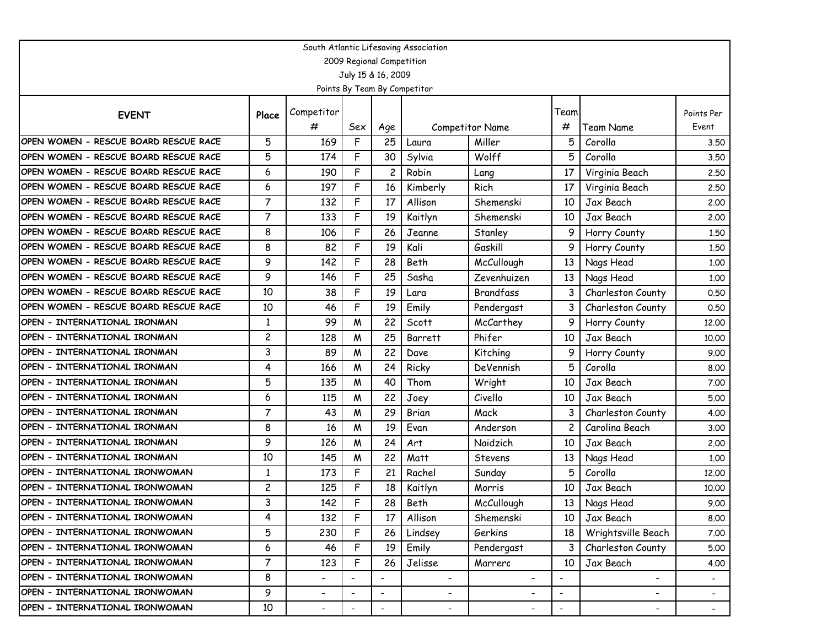| South Atlantic Lifesaving Association |                           |                          |                          |                          |                              |                          |                          |                          |                          |  |  |  |  |
|---------------------------------------|---------------------------|--------------------------|--------------------------|--------------------------|------------------------------|--------------------------|--------------------------|--------------------------|--------------------------|--|--|--|--|
|                                       | 2009 Regional Competition |                          |                          |                          |                              |                          |                          |                          |                          |  |  |  |  |
|                                       |                           |                          |                          | July 15 & 16, 2009       |                              |                          |                          |                          |                          |  |  |  |  |
|                                       |                           |                          |                          |                          | Points By Team By Competitor |                          |                          |                          |                          |  |  |  |  |
|                                       |                           | Competitor               |                          |                          |                              |                          | Team                     |                          | Points Per               |  |  |  |  |
| <b>EVENT</b>                          | Place                     | #                        | Sex                      | Age                      |                              | Competitor Name          | #                        | Team Name                | Event                    |  |  |  |  |
| OPEN WOMEN - RESCUE BOARD RESCUE RACE | 5                         | 169                      | F                        | 25                       | Laura                        | Miller                   | 5                        | Corolla                  | 3.50                     |  |  |  |  |
| OPEN WOMEN - RESCUE BOARD RESCUE RACE | 5                         | 174                      | F                        | 30                       | Sylvia                       | Wolff                    | 5                        | Corolla                  | 3.50                     |  |  |  |  |
| OPEN WOMEN - RESCUE BOARD RESCUE RACE | 6                         | 190                      | F                        | 2                        | Robin                        | Lang                     | 17                       | Virginia Beach           | 2.50                     |  |  |  |  |
| OPEN WOMEN - RESCUE BOARD RESCUE RACE | 6                         | 197                      | F                        | 16                       | Kimberly                     | Rich                     | 17                       | Virginia Beach           | 2.50                     |  |  |  |  |
| OPEN WOMEN - RESCUE BOARD RESCUE RACE | $\overline{7}$            | 132                      | F                        | 17                       | Allison                      | Shemenski                | 10                       | Jax Beach                | 2.00                     |  |  |  |  |
| OPEN WOMEN - RESCUE BOARD RESCUE RACE | $\overline{7}$            | 133                      | F                        | 19                       | Kaitlyn                      | Shemenski                | 10                       | Jax Beach                | 2.00                     |  |  |  |  |
| OPEN WOMEN - RESCUE BOARD RESCUE RACE | 8                         | 106                      | F                        | 26                       | Jeanne                       | Stanley                  | 9                        | Horry County             | 1,50                     |  |  |  |  |
| OPEN WOMEN - RESCUE BOARD RESCUE RACE | 8                         | 82                       | F                        | 19                       | Kali                         | Gaskill                  | 9                        | Horry County             | 1.50                     |  |  |  |  |
| OPEN WOMEN - RESCUE BOARD RESCUE RACE | 9                         | 142                      | F                        | 28                       | Beth                         | McCullough               | 13                       | Nags Head                | 1.00                     |  |  |  |  |
| OPEN WOMEN - RESCUE BOARD RESCUE RACE | 9                         | 146                      | F                        | 25                       | Sasha                        | Zevenhuizen              | 13                       | Nags Head                | 1.00                     |  |  |  |  |
| OPEN WOMEN - RESCUE BOARD RESCUE RACE | 10                        | 38                       | F                        | 19                       | Lara                         | Brandfass                | 3                        | Charleston County        | 0.50                     |  |  |  |  |
| OPEN WOMEN - RESCUE BOARD RESCUE RACE | 10                        | 46                       | F                        | 19                       | Emily                        | Pendergast               | 3                        | Charleston County        | 0.50                     |  |  |  |  |
| OPEN - INTERNATIONAL IRONMAN          | $\mathbf{1}$              | 99                       | M                        | 22                       | Scott                        | McCarthey                | 9                        | Horry County             | 12,00                    |  |  |  |  |
| OPEN - INTERNATIONAL IRONMAN          | 2                         | 128                      | W                        | 25                       | Barrett                      | Phifer                   | 10                       | Jax Beach                | 10.00                    |  |  |  |  |
| OPEN - INTERNATIONAL IRONMAN          | 3                         | 89                       | W                        | 22                       | Dave                         | Kitching                 | 9                        | Horry County             | 9.00                     |  |  |  |  |
| OPEN - INTERNATIONAL IRONMAN          | 4                         | 166                      | W                        | 24                       | Ricky                        | DeVennish                | 5                        | Corolla                  | 8.00                     |  |  |  |  |
| OPEN - INTERNATIONAL IRONMAN          | 5                         | 135                      | W                        | 40                       | Thom                         | Wright                   | 10                       | Jax Beach                | 7.00                     |  |  |  |  |
| OPEN - INTERNATIONAL IRONMAN          | 6                         | 115                      | M                        | 22                       | Joey                         | Civello                  | 10                       | Jax Beach                | 5.00                     |  |  |  |  |
| OPEN - INTERNATIONAL IRONMAN          | 7                         | 43                       | W                        | 29                       | Brian                        | Mack                     |                          | Charleston County        | 4.00                     |  |  |  |  |
| OPEN - INTERNATIONAL IRONMAN          | 8                         | 16                       | M                        | 19                       | Evan                         | Anderson                 |                          | Carolina Beach           | 3.00                     |  |  |  |  |
| OPEN - INTERNATIONAL IRONMAN          | 9                         | 126                      | W                        | 24                       | Art                          | Naidzich                 | 10                       | Jax Beach                | 2,00                     |  |  |  |  |
| OPEN - INTERNATIONAL IRONMAN          | 10                        | 145                      | W                        | 22                       | Matt                         | Stevens                  | 13                       | Nags Head                | 1.00                     |  |  |  |  |
| OPEN - INTERNATIONAL IRONWOMAN        | 1                         | 173                      | F                        | 21                       | Rachel                       | Sunday                   | 5                        | Corolla                  | 12,00                    |  |  |  |  |
| OPEN - INTERNATIONAL IRONWOMAN        | 2                         | 125                      | F                        | 18                       | Kaitlyn                      | Morris                   | 10                       | Jax Beach                | 10.00                    |  |  |  |  |
| OPEN - INTERNATIONAL IRONWOMAN        | 3                         | 142                      | F                        | 28                       | Beth                         | McCullough               | 13                       | Nags Head                | 9.00                     |  |  |  |  |
| OPEN - INTERNATIONAL IRONWOMAN        | 4                         | 132                      | F                        | 17                       | Allison                      | Shemenski                | 10                       | Jax Beach                | 8.00                     |  |  |  |  |
| OPEN - INTERNATIONAL IRONWOMAN        | 5                         | 230                      | F                        | 26                       | Lindsey                      | Gerkins                  | 18                       | Wrightsville Beach       | 7.00                     |  |  |  |  |
| OPEN - INTERNATIONAL IRONWOMAN        | 6                         | 46                       | F                        | 19                       | Emily                        | Pendergast               | 3                        | Charleston County        | 5.00                     |  |  |  |  |
| OPEN - INTERNATIONAL IRONWOMAN        | $\overline{7}$            | 123                      | F                        | 26                       | Jelisse                      | Marrero                  | 10                       | Jax Beach                | 4.00                     |  |  |  |  |
| OPEN - INTERNATIONAL IRONWOMAN        | 8                         | $\overline{\phantom{a}}$ | $\overline{\phantom{a}}$ | $\overline{\phantom{a}}$ | $\overline{\phantom{a}}$     | $\overline{\phantom{a}}$ | $\overline{\phantom{a}}$ | $\overline{\phantom{a}}$ |                          |  |  |  |  |
| OPEN - INTERNATIONAL IRONWOMAN        | 9                         | $\overline{\phantom{a}}$ |                          | $\overline{\phantom{a}}$ | $\overline{\phantom{a}}$     | $\overline{\phantom{0}}$ | $\overline{\phantom{a}}$ | -                        | $\overline{\phantom{a}}$ |  |  |  |  |
| OPEN - INTERNATIONAL IRONWOMAN        | 10                        | $\blacksquare$           | $\overline{\phantom{a}}$ | $\overline{\phantom{a}}$ | $\overline{\phantom{a}}$     | $\overline{\phantom{a}}$ | $\overline{\phantom{a}}$ | $\overline{\phantom{a}}$ | $\sim$                   |  |  |  |  |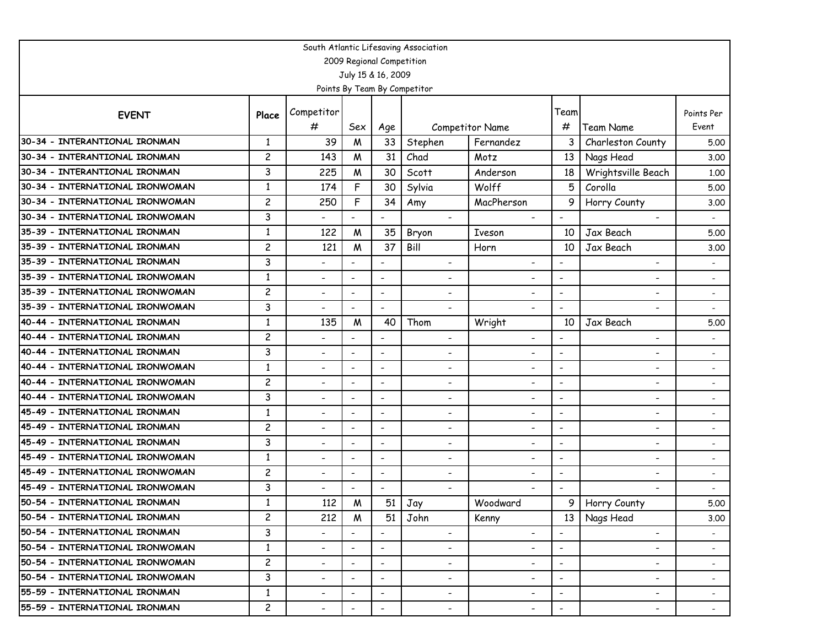| South Atlantic Lifesaving Association                            |                                |                                                      |                                                      |                                                      |                               |                                                      |                                                      |                                                      |                          |  |  |  |
|------------------------------------------------------------------|--------------------------------|------------------------------------------------------|------------------------------------------------------|------------------------------------------------------|-------------------------------|------------------------------------------------------|------------------------------------------------------|------------------------------------------------------|--------------------------|--|--|--|
|                                                                  |                                |                                                      |                                                      | 2009 Regional Competition                            |                               |                                                      |                                                      |                                                      |                          |  |  |  |
|                                                                  |                                |                                                      |                                                      | July 15 & 16, 2009                                   |                               |                                                      |                                                      |                                                      |                          |  |  |  |
|                                                                  |                                |                                                      |                                                      |                                                      | Points By Team By Competitor  |                                                      |                                                      |                                                      |                          |  |  |  |
| <b>EVENT</b>                                                     | Place                          | Competitor                                           |                                                      |                                                      |                               |                                                      | Team                                                 |                                                      | Points Per               |  |  |  |
|                                                                  |                                | #                                                    | Sex                                                  | Age                                                  |                               | <b>Competitor Name</b>                               | #                                                    | <b>Team Name</b>                                     | Event                    |  |  |  |
| 30-34 - INTERANTIONAL IRONMAN                                    | $\mathbf{1}$                   | 39                                                   | M                                                    | 33                                                   | Stephen                       | Fernandez                                            | 3                                                    | Charleston County                                    | 5.00                     |  |  |  |
| 30-34 - INTERANTIONAL IRONMAN                                    | $\overline{c}$                 | 143                                                  | M                                                    | 31                                                   | Chad                          | Motz                                                 | 13                                                   | Nags Head                                            | 3.00                     |  |  |  |
| 30-34 - INTERANTIONAL IRONMAN                                    | 3                              | 225                                                  | M                                                    | 30                                                   | Scott                         | Anderson                                             | 18                                                   | Wrightsville Beach                                   | 1.00                     |  |  |  |
| 30-34 - INTERNATIONAL IRONWOMAN                                  | 1                              | 174                                                  | F                                                    | 30                                                   | Sylvia                        | Wolff                                                | 5                                                    | Corolla                                              | 5.00                     |  |  |  |
| 30-34 - INTERNATIONAL IRONWOMAN                                  | $\overline{c}$                 | 250                                                  | F                                                    | 34                                                   | Amy                           | MacPherson                                           | 9                                                    | Horry County                                         | 3.00                     |  |  |  |
| 30-34 - INTERNATIONAL IRONWOMAN                                  | 3                              | $\overline{\phantom{0}}$                             |                                                      |                                                      | $\blacksquare$                |                                                      | $\overline{\phantom{a}}$                             |                                                      |                          |  |  |  |
| 35-39 - INTERNATIONAL IRONMAN                                    | $\mathbf{1}$                   | 122                                                  | M                                                    | 35                                                   | Bryon                         | Iveson                                               | 10                                                   | Jax Beach                                            | 5.00                     |  |  |  |
| 35-39 - INTERNATIONAL IRONMAN                                    | $\overline{c}$                 | 121                                                  | W                                                    | 37                                                   | Bill                          | Horn                                                 | 10                                                   | Jax Beach                                            | 3.00                     |  |  |  |
| 35-39 - INTERNATIONAL IRONMAN                                    | 3                              | $\overline{\phantom{0}}$                             |                                                      | $\overline{\phantom{a}}$                             | $\overline{\phantom{a}}$      | $\overline{\phantom{a}}$                             | $\overline{\phantom{a}}$                             | $\overline{\phantom{a}}$                             |                          |  |  |  |
| 35-39 - INTERNATIONAL IRONWOMAN                                  | $\mathbf{1}$                   | $\overline{\phantom{a}}$                             | $\overline{\phantom{a}}$                             | $\overline{\phantom{a}}$                             | ٠                             | $\qquad \qquad \blacksquare$                         | $\overline{\phantom{a}}$                             | -                                                    |                          |  |  |  |
| 35-39 - INTERNATIONAL IRONWOMAN                                  | $\overline{c}$                 | $\overline{\phantom{0}}$                             | $\overline{\phantom{a}}$                             | $\overline{\phantom{a}}$                             | $\overline{\phantom{0}}$      | -                                                    | $\overline{\phantom{a}}$                             | -                                                    |                          |  |  |  |
| 35-39 - INTERNATIONAL IRONWOMAN                                  | 3                              | $\overline{\phantom{0}}$                             | $\overline{\phantom{a}}$                             | $\blacksquare$                                       | $\overline{\phantom{0}}$      | $\overline{\phantom{a}}$                             | $\overline{\phantom{a}}$                             | $\overline{\phantom{a}}$                             |                          |  |  |  |
| 40-44 - INTERNATIONAL IRONMAN                                    | $\mathbf{1}$                   | 135                                                  | W                                                    | 40                                                   | Thom                          | Wright                                               | 10                                                   | Jax Beach                                            | 5.00                     |  |  |  |
| 40-44 - INTERNATIONAL IRONMAN                                    | $\overline{c}$                 | $\overline{\phantom{0}}$                             | $\overline{\phantom{a}}$                             | $\overline{\phantom{a}}$                             | $\overline{\phantom{a}}$      | $\overline{\phantom{a}}$                             | $\overline{\phantom{a}}$                             | -                                                    |                          |  |  |  |
| 40-44 - INTERNATIONAL IRONMAN                                    | 3                              | $\overline{\phantom{a}}$                             | $\tilde{\phantom{a}}$                                | $\overline{\phantom{a}}$                             | ٠                             | $\qquad \qquad \blacksquare$                         | $\overline{\phantom{a}}$                             | -                                                    |                          |  |  |  |
| 40-44 - INTERNATIONAL IRONWOMAN                                  | $\mathbf{1}$                   | $\overline{\phantom{0}}$                             | $\overline{\phantom{a}}$                             | $\overline{\phantom{a}}$                             | $\overline{\phantom{0}}$      | -                                                    | $\overline{\phantom{a}}$                             | -                                                    |                          |  |  |  |
| 40-44 - INTERNATIONAL IRONWOMAN                                  | $\overline{c}$                 | $\overline{\phantom{0}}$                             | $\overline{\phantom{a}}$                             | $\overline{\phantom{a}}$                             | ٠                             | $\overline{\phantom{a}}$                             | $\blacksquare$                                       | -                                                    |                          |  |  |  |
| 40-44 - INTERNATIONAL IRONWOMAN                                  | 3                              | $\overline{\phantom{a}}$                             |                                                      | $\overline{\phantom{a}}$                             | $\qquad \qquad \blacksquare$  | $\overline{\phantom{a}}$                             | $\overline{\phantom{a}}$                             | $\overline{\phantom{a}}$                             |                          |  |  |  |
| 45-49 - INTERNATIONAL IRONMAN                                    | $\mathbf{1}$                   | $\qquad \qquad \blacksquare$                         | $\overline{\phantom{a}}$                             | $\overline{\phantom{a}}$                             | -                             | $\overline{\phantom{a}}$                             | $\blacksquare$                                       | -                                                    |                          |  |  |  |
| 45-49 - INTERNATIONAL IRONMAN                                    | $\overline{c}$                 | $\overline{\phantom{a}}$                             | $\blacksquare$                                       | $\overline{\phantom{a}}$                             | ٠                             | $\overline{\phantom{a}}$                             | $\overline{\phantom{a}}$                             | -                                                    |                          |  |  |  |
| 45-49 - INTERNATIONAL IRONMAN                                    | 3                              | $\overline{\phantom{0}}$                             | $\overline{\phantom{a}}$                             | $\blacksquare$                                       | $\overline{\phantom{0}}$      | $\overline{\phantom{a}}$                             | $\blacksquare$                                       | $\overline{\phantom{0}}$                             |                          |  |  |  |
| 45-49 - INTERNATIONAL IRONWOMAN                                  | $\mathbf{1}$                   | $\overline{\phantom{0}}$                             | $\overline{\phantom{a}}$                             | $\overline{\phantom{a}}$                             | -                             | $\overline{\phantom{a}}$                             | $\overline{\phantom{a}}$                             | -                                                    |                          |  |  |  |
| 45-49 - INTERNATIONAL IRONWOMAN                                  | $\overline{c}$                 | $\overline{\phantom{a}}$                             | $\overline{\phantom{a}}$                             | $\overline{\phantom{a}}$                             | $\overline{\phantom{a}}$      | $\overline{\phantom{a}}$                             | $\overline{\phantom{a}}$                             | $\overline{\phantom{a}}$                             |                          |  |  |  |
| 45-49 - INTERNATIONAL IRONWOMAN                                  | 3<br>$\mathbf{1}$              | $\overline{\phantom{0}}$                             |                                                      | $\overline{\phantom{a}}$                             | $\overline{\phantom{0}}$      |                                                      | $\overline{\phantom{a}}$                             |                                                      |                          |  |  |  |
| 50-54 - INTERNATIONAL IRONMAN                                    |                                | 112                                                  | м<br>                                                | 51                                                   | Jay                           | Woodward                                             | 9 <sup>1</sup>                                       | Horry County                                         | 5.00                     |  |  |  |
| 50-54 - INTERNATIONAL IRONMAN                                    | $\overline{c}$                 | 212                                                  | W                                                    | 51                                                   | John                          | Kenny                                                | 13 <sup>1</sup>                                      | Nags Head                                            | 3.00                     |  |  |  |
| 50-54 - INTERNATIONAL IRONMAN<br>50-54 - INTERNATIONAL IRONWOMAN | 3                              | $\overline{\phantom{0}}$                             | $\overline{\phantom{a}}$                             | $\overline{\phantom{a}}$                             | $\overline{\phantom{a}}$      | $\overline{\phantom{a}}$                             | $\overline{\phantom{a}}$                             | $\overline{\phantom{a}}$                             | $\overline{\phantom{a}}$ |  |  |  |
| 50-54 - INTERNATIONAL IRONWOMAN                                  | $\mathbf{1}$<br>$\overline{c}$ | $\overline{\phantom{a}}$                             |                                                      | $\overline{\phantom{a}}$                             | $\overline{\phantom{a}}$      | $\overline{\phantom{a}}$                             | $\overline{\phantom{a}}$                             | $\overline{\phantom{a}}$                             | $\sim$                   |  |  |  |
| 50-54 - INTERNATIONAL IRONWOMAN                                  | 3                              | -                                                    |                                                      | $\overline{\phantom{a}}$<br>$\overline{\phantom{a}}$ | -                             | $\overline{\phantom{a}}$<br>$\overline{\phantom{a}}$ | $\overline{\phantom{a}}$<br>$\overline{\phantom{a}}$ | $\overline{\phantom{a}}$<br>$\overline{\phantom{a}}$ | $\overline{\phantom{a}}$ |  |  |  |
| 55-59 - INTERNATIONAL IRONMAN                                    | $\mathbf{1}$                   | $\overline{\phantom{a}}$<br>$\overline{\phantom{0}}$ | $\overline{\phantom{a}}$<br>$\overline{\phantom{a}}$ | $\overline{\phantom{a}}$                             | $\overline{\phantom{a}}$<br>- | $\overline{\phantom{a}}$                             | $\overline{\phantom{a}}$                             | $\overline{\phantom{a}}$                             | $\overline{\phantom{a}}$ |  |  |  |
| 55-59 - INTERNATIONAL IRONMAN                                    | $\overline{c}$                 |                                                      |                                                      |                                                      |                               |                                                      |                                                      |                                                      | $\overline{\phantom{a}}$ |  |  |  |
|                                                                  |                                | ۰.                                                   | $\overline{\phantom{a}}$                             | $\overline{\phantom{a}}$                             | $\overline{\phantom{a}}$      | $\blacksquare$                                       | $\overline{\phantom{a}}$                             | -                                                    | $\sim$                   |  |  |  |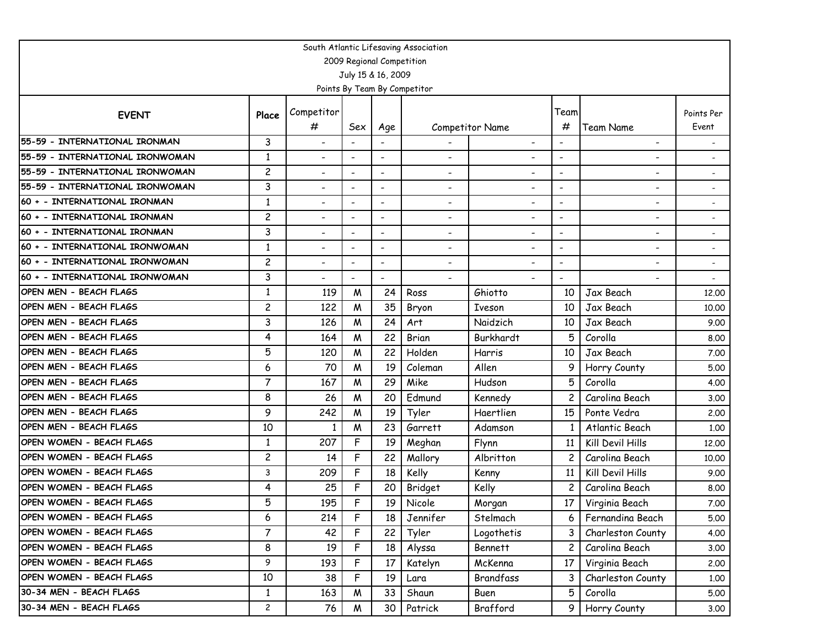| South Atlantic Lifesaving Association |                |                          |                          |                           |                              |                              |                          |                          |                          |  |  |  |
|---------------------------------------|----------------|--------------------------|--------------------------|---------------------------|------------------------------|------------------------------|--------------------------|--------------------------|--------------------------|--|--|--|
|                                       |                |                          |                          | 2009 Regional Competition |                              |                              |                          |                          |                          |  |  |  |
|                                       |                |                          |                          | July 15 & 16, 2009        |                              |                              |                          |                          |                          |  |  |  |
|                                       |                |                          |                          |                           | Points By Team By Competitor |                              |                          |                          |                          |  |  |  |
| <b>EVENT</b>                          |                | Competitor               |                          |                           |                              |                              | Team                     |                          | Points Per               |  |  |  |
|                                       | Place          | $^{\#}$                  | Sex                      | Age                       |                              | Competitor Name              | #                        | Team Name                | Event                    |  |  |  |
| 55-59 - INTERNATIONAL IRONMAN         | 3              | $\overline{\phantom{a}}$ | $\overline{\phantom{a}}$ |                           |                              | $\overline{\phantom{a}}$     | $\blacksquare$           | $\overline{\phantom{0}}$ |                          |  |  |  |
| 55-59 - INTERNATIONAL IRONWOMAN       | $\mathbf{1}$   | $\overline{\phantom{0}}$ |                          | $\overline{\phantom{a}}$  | $\overline{\phantom{0}}$     |                              | $\blacksquare$           | ۰                        |                          |  |  |  |
| 55-59 - INTERNATIONAL IRONWOMAN       | $\overline{c}$ | $\blacksquare$           | $\overline{\phantom{a}}$ | $\blacksquare$            | $\overline{\phantom{0}}$     | $\overline{\phantom{a}}$     | $\blacksquare$           | $\overline{a}$           |                          |  |  |  |
| 55-59 - INTERNATIONAL IRONWOMAN       | 3              | $\overline{\phantom{a}}$ |                          | $\overline{\phantom{a}}$  | $\overline{\phantom{a}}$     | $\overline{\phantom{a}}$     | $\overline{\phantom{a}}$ | $\overline{\phantom{a}}$ |                          |  |  |  |
| 60 + - INTERNATIONAL IRONMAN          | $\mathbf{1}$   | $\overline{\phantom{a}}$ | $\qquad \qquad -$        | $\overline{\phantom{a}}$  | $\qquad \qquad \blacksquare$ | $\overline{\phantom{a}}$     | $\overline{\phantom{a}}$ | $\overline{\phantom{a}}$ |                          |  |  |  |
| 60 + - INTERNATIONAL IRONMAN          | $\overline{c}$ | $\overline{\phantom{a}}$ |                          | $\blacksquare$            | -                            | $\overline{\phantom{a}}$     |                          | $\overline{\phantom{a}}$ | $\overline{\phantom{a}}$ |  |  |  |
| 60 + - INTERNATIONAL IRONMAN          | 3              | $\overline{\phantom{0}}$ | $\blacksquare$           | $\overline{\phantom{a}}$  | $\overline{\phantom{0}}$     | $\overline{\phantom{a}}$     | $\blacksquare$           | $\overline{\phantom{0}}$ |                          |  |  |  |
| 60 + - INTERNATIONAL IRONWOMAN        | $\mathbf{1}$   | $\overline{\phantom{a}}$ | $\tilde{\phantom{a}}$    | $\blacksquare$            | $\overline{\phantom{0}}$     | $\overline{\phantom{a}}$     | $\overline{\phantom{a}}$ | $\overline{\phantom{a}}$ |                          |  |  |  |
| 60 + - INTERNATIONAL IRONWOMAN        | $\overline{c}$ | -                        |                          | $\overline{\phantom{a}}$  | $\overline{\phantom{a}}$     | $\qquad \qquad \blacksquare$ | $\overline{\phantom{a}}$ | $\overline{\phantom{a}}$ |                          |  |  |  |
| 60 + - INTERNATIONAL IRONWOMAN        | 3              | $\overline{\phantom{0}}$ | $\qquad \qquad -$        | $\overline{\phantom{a}}$  | $\overline{\phantom{a}}$     |                              | $\overline{\phantom{a}}$ | $\overline{\phantom{a}}$ |                          |  |  |  |
| OPEN MEN - BEACH FLAGS                | $\mathbf{1}$   | 119                      | M                        | 24                        | Ross                         | Ghiotto                      | 10                       | Jax Beach                | 12,00                    |  |  |  |
| OPEN MEN - BEACH FLAGS                | $\overline{c}$ | 122                      | M                        | 35                        | Bryon                        | Iveson                       | 10                       | Jax Beach                | 10.00                    |  |  |  |
| OPEN MEN - BEACH FLAGS                | 3              | 126                      | M                        | 24                        | Art                          | Naidzich                     | 10                       | Jax Beach                | 9.00                     |  |  |  |
| OPEN MEN - BEACH FLAGS                | 4              | 164                      | W                        | 22                        | Brian                        | Burkhardt                    | 5                        | Corolla                  | 8.00                     |  |  |  |
| OPEN MEN - BEACH FLAGS                | 5              | 120                      | W                        | 22                        | Holden                       | Harris                       | 10                       | Jax Beach                | 7.00                     |  |  |  |
| OPEN MEN - BEACH FLAGS                | 6              | 70                       | M                        | 19                        | Coleman                      | Allen                        | 9                        | Horry County             | 5.00                     |  |  |  |
| OPEN MEN - BEACH FLAGS                | $\overline{7}$ | 167                      | M                        | 29                        | Mike                         | Hudson                       | 5                        | Corolla                  | 4.00                     |  |  |  |
| OPEN MEN - BEACH FLAGS                | 8              | 26                       | M                        | 20                        | Edmund                       | Kennedy                      | $\overline{c}$           | Carolina Beach           | 3.00                     |  |  |  |
| OPEN MEN - BEACH FLAGS                | 9              | 242                      | W                        | 19                        | Tyler                        | Haertlien                    | 15                       | Ponte Vedra              | 2.00                     |  |  |  |
| OPEN MEN - BEACH FLAGS                | 10             | 1                        | W                        | 23                        | Garrett                      | Adamson                      |                          | Atlantic Beach           | 1.00                     |  |  |  |
| OPEN WOMEN - BEACH FLAGS              | $\mathbf{1}$   | 207                      | F                        | 19                        | Meghan                       | Flynn                        | 11                       | Kill Devil Hills         | 12.00                    |  |  |  |
| OPEN WOMEN - BEACH FLAGS              | $\overline{c}$ | 14                       | F                        | 22                        | Mallory                      | Albritton                    |                          | Carolina Beach           | 10.00                    |  |  |  |
| OPEN WOMEN - BEACH FLAGS              | 3              | 209                      | F                        | 18                        | Kelly                        | Kenny                        | 11                       | Kill Devil Hills         | 9.00                     |  |  |  |
| OPEN WOMEN - BEACH FLAGS              | 4              | 25                       | F                        | 20                        | Bridget                      | Kelly                        | 2                        | Carolina Beach           | 8.00                     |  |  |  |
| OPEN WOMEN - BEACH FLAGS              | 5              | 195                      | F                        | 19                        | Nicole                       | Morgan                       | 17                       | Virginia Beach           | 7.00                     |  |  |  |
| OPEN WOMEN - BEACH FLAGS              | 6              | 214                      | F                        | 18                        | Jennifer                     | Stelmach                     | 6                        | Fernandina Beach         | 5.00                     |  |  |  |
| OPEN WOMEN - BEACH FLAGS              | $\overline{7}$ | 42                       | F                        | 22                        | Tyler                        | Logothetis                   |                          | Charleston County        | 4.00                     |  |  |  |
| OPEN WOMEN - BEACH FLAGS              | 8              | 19                       | F                        | 18                        | Alyssa                       | <b>Bennett</b>               |                          | Carolina Beach           | 3.00                     |  |  |  |
| OPEN WOMEN - BEACH FLAGS              | 9              | 193                      | F                        | 17                        | Katelyn                      | McKenna                      | 17                       | Virginia Beach           | 2.00                     |  |  |  |
| OPEN WOMEN - BEACH FLAGS              | 10             | 38                       | F                        | 19                        | Lara                         | Brandfass                    | 3                        | Charleston County        | 1.00                     |  |  |  |
| 30-34 MEN - BEACH FLAGS               | $\mathbf{1}$   | 163                      | W                        | 33                        | Shaun                        | Buen                         | 5 <sup>1</sup>           | Corolla                  | 5.00                     |  |  |  |
| 30-34 MEN - BEACH FLAGS               | $\mathbf{2}$   | 76                       | W                        | 30                        | Patrick                      | Brafford                     | 9 <sub>1</sub>           | Horry County             | 3.00                     |  |  |  |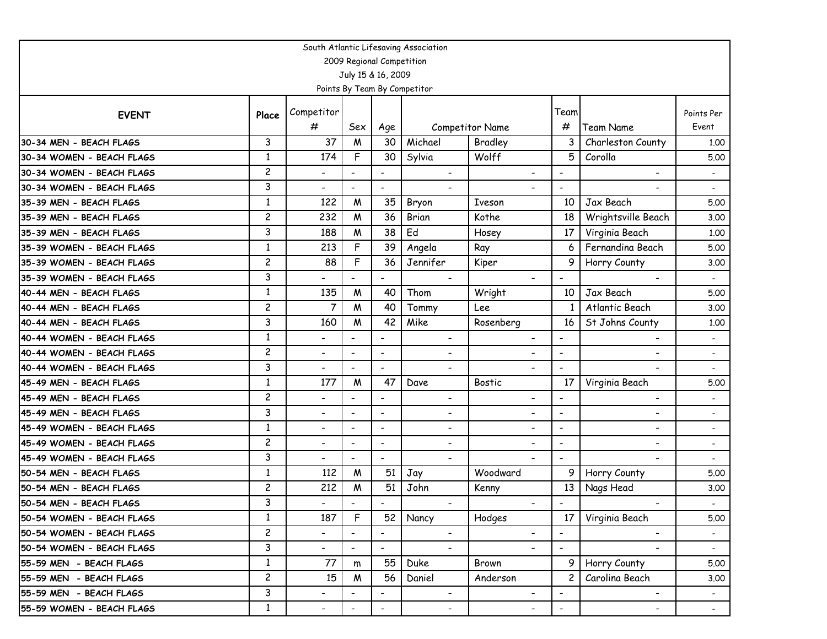| South Atlantic Lifesaving Association |                |                          |                           |                          |                              |                          |                          |                          |                          |  |  |  |
|---------------------------------------|----------------|--------------------------|---------------------------|--------------------------|------------------------------|--------------------------|--------------------------|--------------------------|--------------------------|--|--|--|
|                                       |                |                          | 2009 Regional Competition |                          |                              |                          |                          |                          |                          |  |  |  |
|                                       |                |                          | July 15 & 16, 2009        |                          |                              |                          |                          |                          |                          |  |  |  |
|                                       |                |                          |                           |                          | Points By Team By Competitor |                          |                          |                          |                          |  |  |  |
| <b>EVENT</b>                          | Place          | Competitor               |                           |                          |                              |                          | Team                     |                          | Points Per               |  |  |  |
|                                       |                | #                        | Sex                       | Age                      |                              | Competitor Name          | #                        | <b>Team Name</b>         | Event                    |  |  |  |
| 30-34 MEN - BEACH FLAGS               | 3              | 37                       | M                         | 30                       | Michael                      | Bradley                  | 3                        | Charleston County        | 1.00                     |  |  |  |
| 30-34 WOMEN - BEACH FLAGS             | $\mathbf{1}$   | 174                      | F                         | 30                       | Sylvia                       | Wolff                    | 5                        | Corolla                  | 5.00                     |  |  |  |
| 30-34 WOMEN - BEACH FLAGS             | $\overline{c}$ | $\overline{\phantom{0}}$ |                           |                          | $\blacksquare$               | $\blacksquare$           | $\blacksquare$           | $\blacksquare$           |                          |  |  |  |
| 30-34 WOMEN - BEACH FLAGS             | 3              | $\overline{\phantom{0}}$ | $\overline{\phantom{a}}$  | $\overline{\phantom{a}}$ | $\overline{\phantom{0}}$     |                          | $\tilde{\phantom{a}}$    |                          |                          |  |  |  |
| 35-39 MEN - BEACH FLAGS               | $\mathbf{1}$   | 122                      | M                         | 35                       | Bryon                        | Iveson                   | 10                       | Jax Beach                | 5.00                     |  |  |  |
| 35-39 MEN - BEACH FLAGS               | $\overline{c}$ | 232                      | M                         | 36                       | Brian                        | Kothe                    | 18                       | Wrightsville Beach       | 3.00                     |  |  |  |
| 35-39 MEN - BEACH FLAGS               | 3              | 188                      | M                         | 38                       | Ed                           | Hosey                    | 17                       | Virginia Beach           | 1.00                     |  |  |  |
| 35-39 WOMEN - BEACH FLAGS             | $\mathbf{1}$   | 213                      | F                         | 39                       | Angela                       | Ray                      | 6                        | Fernandina Beach         | 5.00                     |  |  |  |
| 35-39 WOMEN - BEACH FLAGS             | $\overline{c}$ | 88                       | F                         | 36                       | Jennifer                     | Kiper                    | 9                        | Horry County             | 3.00                     |  |  |  |
| 35-39 WOMEN - BEACH FLAGS             | 3              | $\overline{\phantom{0}}$ |                           | $\overline{\phantom{0}}$ | $\blacksquare$               | $\blacksquare$           | $\overline{\phantom{a}}$ | $\overline{\phantom{a}}$ | $\overline{\phantom{a}}$ |  |  |  |
| 40-44 MEN - BEACH FLAGS               | $\mathbf{1}$   | 135                      | M                         | 40                       | Thom                         | Wright                   | 10                       | Jax Beach                | 5.00                     |  |  |  |
| 40-44 MEN - BEACH FLAGS               | $\overline{c}$ | 7                        | M                         | 40                       | Tommy                        | Lee                      |                          | Atlantic Beach           | 3.00                     |  |  |  |
| 40-44 MEN - BEACH FLAGS               | 3              | 160                      | M                         | 42                       | Mike                         | Rosenberg                | 16                       | St Johns County          | 1.00                     |  |  |  |
| 40-44 WOMEN - BEACH FLAGS             | $\mathbf{1}$   | $\overline{\phantom{0}}$ | $\tilde{\phantom{a}}$     | $\overline{\phantom{a}}$ | -                            | $\overline{\phantom{a}}$ | $\overline{\phantom{a}}$ | $\overline{\phantom{a}}$ |                          |  |  |  |
| 40-44 WOMEN - BEACH FLAGS             | $\overline{c}$ | $\overline{\phantom{0}}$ | $\blacksquare$            | $\overline{\phantom{a}}$ | ۰                            | $\overline{\phantom{0}}$ | $\blacksquare$           | ۰                        |                          |  |  |  |
| 40-44 WOMEN - BEACH FLAGS             | 3              | $\overline{\phantom{0}}$ | $\blacksquare$            | $\overline{\phantom{a}}$ |                              | $\overline{\phantom{0}}$ | $\blacksquare$           |                          |                          |  |  |  |
| 45-49 MEN - BEACH FLAGS               | 1              | 177                      | M                         | 47                       | Dave                         | <b>Bostic</b>            | 17                       | Virginia Beach           | 5.00                     |  |  |  |
| 45-49 MEN - BEACH FLAGS               | $\overline{c}$ | $\overline{\phantom{0}}$ | $\overline{\phantom{a}}$  | $\overline{a}$           | $\overline{\phantom{0}}$     | $\overline{\phantom{a}}$ | $\blacksquare$           | $\overline{\phantom{a}}$ |                          |  |  |  |
| 45-49 MEN - BEACH FLAGS               | 3              | $\overline{\phantom{0}}$ | $\overline{\phantom{a}}$  | $\overline{\phantom{a}}$ | -                            | -                        | $\overline{\phantom{a}}$ | $\overline{\phantom{0}}$ |                          |  |  |  |
| 45-49 WOMEN - BEACH FLAGS             | $\mathbf{1}$   | $\overline{\phantom{0}}$ | $\blacksquare$            | $\blacksquare$           | $\overline{\phantom{0}}$     | $\overline{\phantom{a}}$ | $\blacksquare$           | ۰                        |                          |  |  |  |
| 45-49 WOMEN - BEACH FLAGS             | $\overline{c}$ | $\overline{\phantom{0}}$ | $\overline{\phantom{a}}$  | $\overline{\phantom{a}}$ | $\overline{\phantom{0}}$     | $\overline{\phantom{0}}$ | $\overline{\phantom{a}}$ | -                        | $\overline{\phantom{a}}$ |  |  |  |
| 45-49 WOMEN - BEACH FLAGS             | 3              | $\overline{\phantom{0}}$ |                           | $\overline{\phantom{a}}$ | $\overline{\phantom{0}}$     |                          |                          |                          |                          |  |  |  |
| 50-54 MEN - BEACH FLAGS               | $\mathbf{1}$   | 112                      | M                         | 51                       | Jay                          | Woodward                 | 9                        | Horry County             | 5.00                     |  |  |  |
| 50-54 MEN - BEACH FLAGS               | $\overline{c}$ | 212                      | M                         | 51                       | John                         | Kenny                    | 13                       | Nags Head                | 3.00                     |  |  |  |
| 50-54 MEN - BEACH FLAGS               | 3              | ۰.                       |                           |                          | ۰.                           |                          | $\overline{\phantom{a}}$ |                          |                          |  |  |  |
| 50-54 WOMEN - BEACH FLAGS             | $\mathbf{1}$   | 187                      | F                         | 52                       | Nancy                        | Hodges                   | 17                       | Virginia Beach           | 5.00                     |  |  |  |
| 50-54 WOMEN - BEACH FLAGS             | $\overline{c}$ | $\overline{\phantom{0}}$ | $\overline{\phantom{a}}$  | $\overline{\phantom{0}}$ | $\overline{\phantom{0}}$     | $\overline{\phantom{a}}$ | $\overline{\phantom{a}}$ | $\overline{\phantom{a}}$ | $\overline{\phantom{a}}$ |  |  |  |
| 50-54 WOMEN - BEACH FLAGS             | 3              | $\overline{\phantom{0}}$ | $\overline{\phantom{a}}$  | $\blacksquare$           | $\overline{\phantom{0}}$     | $\overline{\phantom{a}}$ | $\blacksquare$           | $\overline{\phantom{0}}$ | $\sim$                   |  |  |  |
| 55-59 MEN - BEACH FLAGS               | $\mathbf{1}$   | 77                       | m                         | 55                       | Duke                         | Brown                    | 9 I                      | Horry County             | 5.00                     |  |  |  |
| 55-59 MEN - BEACH FLAGS               | $\overline{c}$ | 15                       | W                         | 56                       | Daniel                       | Anderson                 | $\overline{c}$           | Carolina Beach           | 3.00                     |  |  |  |
| 55-59 MEN - BEACH FLAGS               | 3              | $\overline{\phantom{0}}$ | $\overline{\phantom{a}}$  | $\blacksquare$           | $\overline{\phantom{a}}$     | $\overline{\phantom{0}}$ | $\blacksquare$           | $\overline{\phantom{0}}$ |                          |  |  |  |
| 55-59 WOMEN - BEACH FLAGS             | $\mathbf{1}$   | -                        | $\overline{\phantom{a}}$  | $\overline{\phantom{a}}$ | $\overline{\phantom{a}}$     | $\overline{\phantom{a}}$ | $\overline{\phantom{a}}$ | $\blacksquare$           | $\sim$                   |  |  |  |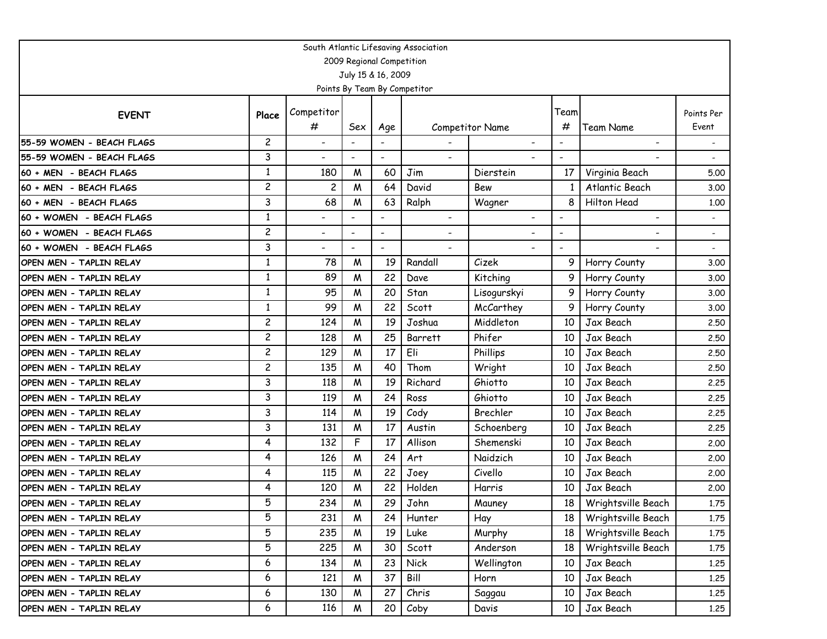| South Atlantic Lifesaving Association |                |                              |                          |                          |                          |                        |                |                          |                |  |
|---------------------------------------|----------------|------------------------------|--------------------------|--------------------------|--------------------------|------------------------|----------------|--------------------------|----------------|--|
| 2009 Regional Competition             |                |                              |                          |                          |                          |                        |                |                          |                |  |
| July 15 & 16, 2009                    |                |                              |                          |                          |                          |                        |                |                          |                |  |
| Points By Team By Competitor          |                |                              |                          |                          |                          |                        |                |                          |                |  |
|                                       |                | Competitor                   |                          |                          |                          |                        | Team           |                          | Points Per     |  |
| <b>EVENT</b>                          | Place          | $^{\#}$                      | Sex                      | Age                      |                          | <b>Competitor Name</b> | #              | <b>Team Name</b>         | Event          |  |
| 55-59 WOMEN - BEACH FLAGS             | $\overline{c}$ | $\overline{\phantom{0}}$     |                          |                          |                          |                        | $\blacksquare$ | $\overline{\phantom{0}}$ |                |  |
| 55-59 WOMEN - BEACH FLAGS             | 3              | $\qquad \qquad \blacksquare$ | $\overline{\phantom{a}}$ | $\overline{\phantom{a}}$ |                          |                        |                |                          |                |  |
| 60 + MEN - BEACH FLAGS                | $\mathbf{1}$   | 180                          | M                        | 60                       | Jim                      | Dierstein              | 17             | Virginia Beach           | 5.00           |  |
| 60 + MEN - BEACH FLAGS                | $\overline{c}$ | $\overline{\mathbf{c}}$      | M                        | 64                       | David                    | Bew                    |                | Atlantic Beach           | 3.00           |  |
| 60 + MEN - BEACH FLAGS                | 3              | 68                           | Μ                        | 63                       | Ralph                    | Wagner                 |                | Hilton Head              | 1.00           |  |
| 60 + WOMEN - BEACH FLAGS              | 1              | $\overline{\phantom{0}}$     |                          |                          |                          |                        | $\blacksquare$ | $\overline{\phantom{0}}$ |                |  |
| 60 + WOMEN - BEACH FLAGS              | 2              | $\qquad \qquad \blacksquare$ | $\qquad \qquad -$        | $\overline{\phantom{a}}$ | $\overline{\phantom{0}}$ |                        |                |                          | $\blacksquare$ |  |
| 60 + WOMEN - BEACH FLAGS              | 3              | $\overline{\phantom{0}}$     | $\blacksquare$           | $\overline{\phantom{a}}$ | $\overline{\phantom{0}}$ |                        |                |                          | $\blacksquare$ |  |
| OPEN MEN - TAPLIN RELAY               | $\mathbf{1}$   | 78                           | M                        | 19                       | Randall                  | Cizek                  | 9              | Horry County             | 3.00           |  |
| OPEN MEN - TAPLIN RELAY               | 1              | 89                           | M                        | 22                       | Dave                     | Kitching               | 9              | Horry County             | 3.00           |  |
| OPEN MEN - TAPLIN RELAY               | 1              | 95                           | W                        | 20                       | Stan                     | Lisogurskyi            | 9              | Horry County             | 3.00           |  |
| OPEN MEN - TAPLIN RELAY               | $\mathbf{1}$   | 99                           | W                        | 22                       | Scott                    | McCarthey              | 9              | Horry County             | 3.00           |  |
| OPEN MEN - TAPLIN RELAY               | 2              | 124                          | M                        | 19                       | Joshua                   | Middleton              | 10             | Jax Beach                | 2.50           |  |
| OPEN MEN - TAPLIN RELAY               | 2              | 128                          | M                        | 25                       | Barrett                  | Phifer                 | 10             | Jax Beach                | 2.50           |  |
| OPEN MEN - TAPLIN RELAY               | 2              | 129                          | M                        | 17                       | Eli                      | Phillips               | 10             | Jax Beach                | 2.50           |  |
| OPEN MEN - TAPLIN RELAY               | $\overline{c}$ | 135                          | W                        | 40                       | Thom                     | Wright                 | 10             | Jax Beach                | 2.50           |  |
| OPEN MEN - TAPLIN RELAY               | 3              | 118                          | M                        | 19                       | Richard                  | Ghiotto                | 10             | Jax Beach                | 2.25           |  |
| OPEN MEN - TAPLIN RELAY               | 3              | 119                          | M                        | 24                       | Ross                     | Ghiotto                | 10             | Jax Beach                | 2,25           |  |
| OPEN MEN - TAPLIN RELAY               | 3              | 114                          | M                        | 19                       | Cody                     | Brechler               | 10             | Jax Beach                | 2.25           |  |
| OPEN MEN - TAPLIN RELAY               | 3              | 131                          | M                        | 17                       | Austin                   | Schoenberg             | 10             | Jax Beach                | 2.25           |  |
| OPEN MEN - TAPLIN RELAY               | 4              | 132                          | F                        | 17                       | Allison                  | Shemenski              | 10             | Jax Beach                | 2.00           |  |
| OPEN MEN - TAPLIN RELAY               | 4              | 126                          | W                        | 24                       | Art                      | Naidzich               | 10             | Jax Beach                | 2.00           |  |
| OPEN MEN - TAPLIN RELAY               | 4              | 115                          | M                        | 22                       | Joey                     | Civello                | 10             | Jax Beach                | 2.00           |  |
| OPEN MEN - TAPLIN RELAY               | 4              | 120                          | M                        | 22                       | Holden                   | Harris                 | 10             | Jax Beach                | 2.00           |  |
| OPEN MEN - TAPLIN RELAY               | 5              | 234                          | M                        | 29                       | John                     | Mauney                 | 18             | Wrightsville Beach       | 1.75           |  |
| OPEN MEN - TAPLIN RELAY               | 5              | 231                          | W                        | 24                       | Hunter                   | Hay                    | 18             | Wrightsville Beach       | 1.75           |  |
| OPEN MEN - TAPLIN RELAY               | 5              | 235                          | M                        | 19                       | Luke                     | Murphy                 | 18             | Wrightsville Beach       | 1,75           |  |
| OPEN MEN - TAPLIN RELAY               | 5              | 225                          | M                        | 30                       | Scott                    | Anderson               | 18             | Wrightsville Beach       | 1.75           |  |
| OPEN MEN - TAPLIN RELAY               | 6              | 134                          | M                        | 23                       | <b>Nick</b>              | Wellington             | 10             | Jax Beach                | 1.25           |  |
| OPEN MEN - TAPLIN RELAY               | 6              | 121                          | M                        | 37                       | Bill                     | Horn                   | 10             | Jax Beach                | 1.25           |  |
| OPEN MEN - TAPLIN RELAY               | 6              | 130                          | M                        | 27                       | Chris                    | Saggau                 | 10             | Jax Beach                | 1.25           |  |
| OPEN MEN - TAPLIN RELAY               | 6              | 116                          | W                        | 20                       | Coby                     | Davis                  | 10             | Jax Beach                | 1.25           |  |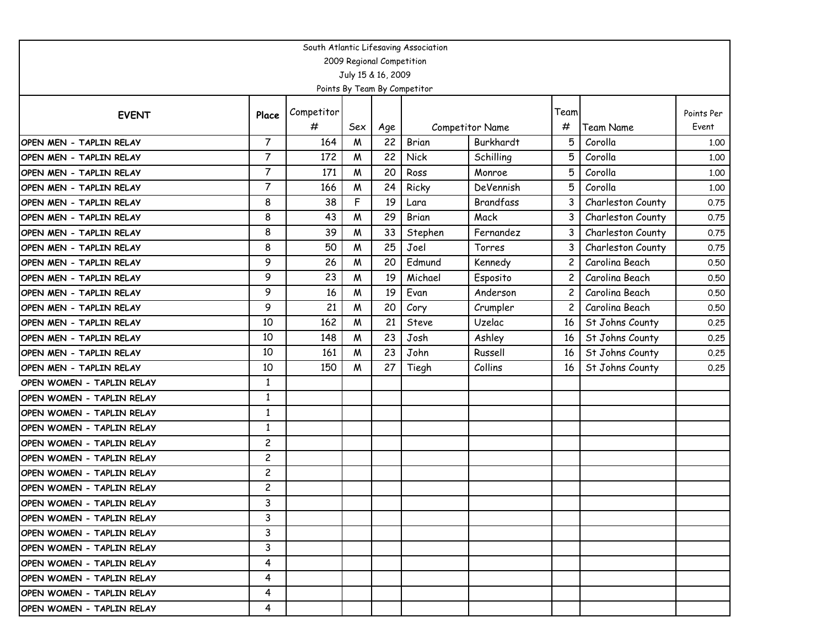| South Atlantic Lifesaving Association |                         |            |     |     |              |                  |      |                   |            |  |
|---------------------------------------|-------------------------|------------|-----|-----|--------------|------------------|------|-------------------|------------|--|
| 2009 Regional Competition             |                         |            |     |     |              |                  |      |                   |            |  |
| July 15 & 16, 2009                    |                         |            |     |     |              |                  |      |                   |            |  |
| Points By Team By Competitor          |                         |            |     |     |              |                  |      |                   |            |  |
| <b>EVENT</b>                          | Place                   | Competitor |     |     |              |                  | Team |                   | Points Per |  |
|                                       |                         | #          | Sex | Age |              | Competitor Name  | #    | <b>Team Name</b>  | Event      |  |
| OPEN MEN - TAPLIN RELAY               | $\overline{7}$          | 164        | M   | 22  | Brian        | Burkhardt        | 5    | Corolla           | 1.00       |  |
| OPEN MEN - TAPLIN RELAY               | 7                       | 172        | W   | 22  | <b>Nick</b>  | Schilling        | 5    | Corolla           | 1.00       |  |
| OPEN MEN - TAPLIN RELAY               | 7                       | 171        | W   | 20  | Ross         | Monroe           | 5    | Corolla           | 1.00       |  |
| OPEN MEN - TAPLIN RELAY               | 7                       | 166        | W   | 24  | Ricky        | DeVennish        | 5    | Corolla           | 1.00       |  |
| OPEN MEN - TAPLIN RELAY               | 8                       | 38         | F   | 19  | Lara         | <b>Brandfass</b> | 3    | Charleston County | 0.75       |  |
| OPEN MEN - TAPLIN RELAY               | 8                       | 43         | M   | 29  | Brian        | Mack             | 3    | Charleston County | 0.75       |  |
| OPEN MEN - TAPLIN RELAY               | 8                       | 39         | W   | 33  | Stephen      | Fernandez        | 3    | Charleston County | 0.75       |  |
| OPEN MEN - TAPLIN RELAY               | 8                       | 50         | W   | 25  | Joel         | Torres           | 3    | Charleston County | 0.75       |  |
| OPEN MEN - TAPLIN RELAY               | 9                       | 26         | W   | 20  | Edmund       | Kennedy          | 2    | Carolina Beach    | 0.50       |  |
| OPEN MEN - TAPLIN RELAY               | 9                       | 23         | M   | 19  | Michael      | Esposito         | 2    | Carolina Beach    | 0.50       |  |
| OPEN MEN - TAPLIN RELAY               | 9                       | 16         | M   | 19  | Evan         | Anderson         | 2    | Carolina Beach    | 0.50       |  |
| OPEN MEN - TAPLIN RELAY               | 9                       | 21         | M   | 20  | Cory         | Crumpler         |      | Carolina Beach    | 0.50       |  |
| OPEN MEN - TAPLIN RELAY               | 10                      | 162        | W   | 21  | <b>Steve</b> | Uzelac           | 16   | St Johns County   | 0.25       |  |
| OPEN MEN - TAPLIN RELAY               | 10                      | 148        | W   | 23  | Josh         | Ashley           | 16   | St Johns County   | 0.25       |  |
| OPEN MEN - TAPLIN RELAY               | 10                      | 161        | M   | 23  | John         | Russell          | 16   | St Johns County   | 0.25       |  |
| OPEN MEN - TAPLIN RELAY               | 10                      | 150        | M   | 27  | Tiegh        | Collins          | 16   | St Johns County   | 0.25       |  |
| OPEN WOMEN - TAPLIN RELAY             | 1                       |            |     |     |              |                  |      |                   |            |  |
| OPEN WOMEN - TAPLIN RELAY             | $\mathbf{1}$            |            |     |     |              |                  |      |                   |            |  |
| OPEN WOMEN - TAPLIN RELAY             | 1                       |            |     |     |              |                  |      |                   |            |  |
| OPEN WOMEN - TAPLIN RELAY             | $\mathbf{1}$            |            |     |     |              |                  |      |                   |            |  |
| OPEN WOMEN - TAPLIN RELAY             | $\overline{c}$          |            |     |     |              |                  |      |                   |            |  |
| OPEN WOMEN - TAPLIN RELAY             | $\overline{\mathbf{c}}$ |            |     |     |              |                  |      |                   |            |  |
| OPEN WOMEN - TAPLIN RELAY             | $\overline{c}$          |            |     |     |              |                  |      |                   |            |  |
| OPEN WOMEN - TAPLIN RELAY             | $\overline{c}$          |            |     |     |              |                  |      |                   |            |  |
| OPEN WOMEN - TAPLIN RELAY             | 3                       |            |     |     |              |                  |      |                   |            |  |
| IOPEN WOMEN - TAPLIN RELAY            | 3                       |            |     |     |              |                  |      |                   |            |  |
| IOPEN WOMEN - TAPLIN RELAY            | 3                       |            |     |     |              |                  |      |                   |            |  |
| IOPEN WOMEN - TAPLIN RELAY            | 3                       |            |     |     |              |                  |      |                   |            |  |
| OPEN WOMEN - TAPLIN RELAY             | 4                       |            |     |     |              |                  |      |                   |            |  |
| OPEN WOMEN - TAPLIN RELAY             | 4                       |            |     |     |              |                  |      |                   |            |  |
| IOPEN WOMEN - TAPLIN RELAY            | 4                       |            |     |     |              |                  |      |                   |            |  |
| OPEN WOMEN - TAPLIN RELAY             | 4                       |            |     |     |              |                  |      |                   |            |  |